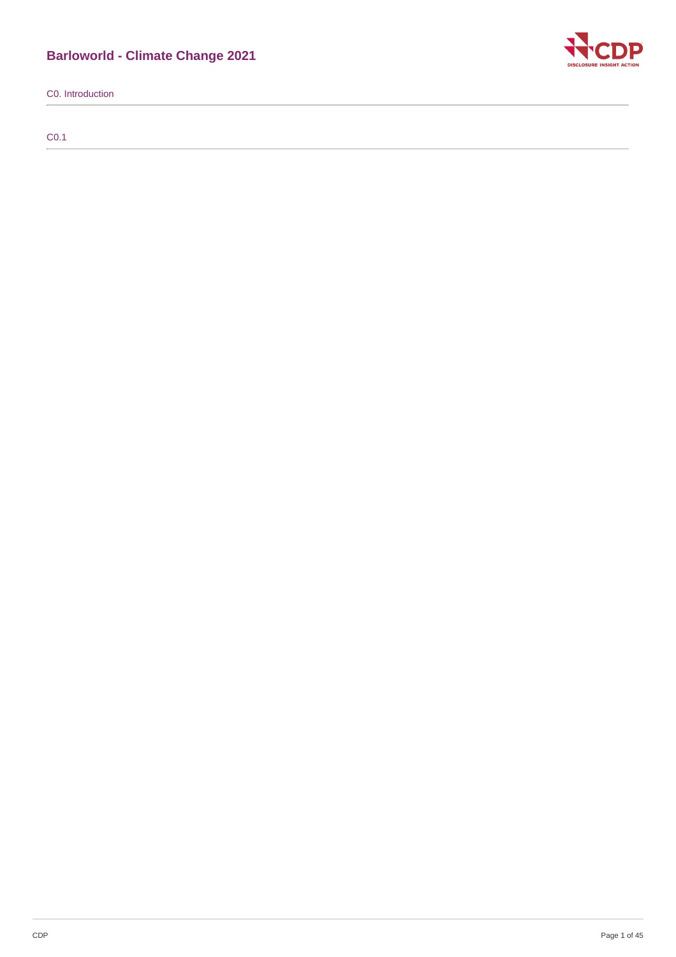# **Barloworld - Climate Change 2021**

C0. Introduction

C0.1

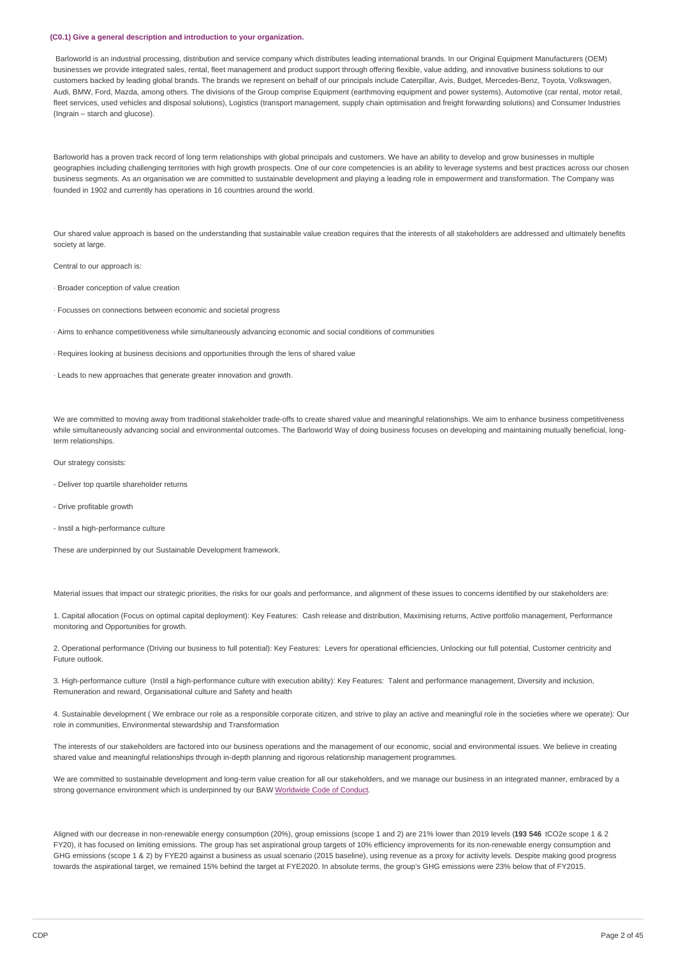#### **(C0.1) Give a general description and introduction to your organization.**

Barloworld is an industrial processing, distribution and service company which distributes leading international brands. In our Original Equipment Manufacturers (OEM) businesses we provide integrated sales, rental, fleet management and product support through offering flexible, value adding, and innovative business solutions to our customers backed by leading global brands. The brands we represent on behalf of our principals include Caterpillar, Avis, Budget, Mercedes-Benz, Toyota, Volkswagen, Audi, BMW, Ford, Mazda, among others. The divisions of the Group comprise Equipment (earthmoving equipment and power systems), Automotive (car rental, motor retail, fleet services, used vehicles and disposal solutions), Logistics (transport management, supply chain optimisation and freight forwarding solutions) and Consumer Industries (Ingrain – starch and glucose).

Barloworld has a proven track record of long term relationships with global principals and customers. We have an ability to develop and grow businesses in multiple geographies including challenging territories with high growth prospects. One of our core competencies is an ability to leverage systems and best practices across our chosen business segments. As an organisation we are committed to sustainable development and playing a leading role in empowerment and transformation. The Company was founded in 1902 and currently has operations in 16 countries around the world.

Our shared value approach is based on the understanding that sustainable value creation requires that the interests of all stakeholders are addressed and ultimately benefits society at large.

Central to our approach is:

· Broader conception of value creation

- · Focusses on connections between economic and societal progress
- · Aims to enhance competitiveness while simultaneously advancing economic and social conditions of communities
- · Requires looking at business decisions and opportunities through the lens of shared value
- · Leads to new approaches that generate greater innovation and growth.

We are committed to moving away from traditional stakeholder trade-offs to create shared value and meaningful relationships. We aim to enhance business competitiveness while simultaneously advancing social and environmental outcomes. The Barloworld Way of doing business focuses on developing and maintaining mutually beneficial, longterm relationships.

Our strategy consists:

- Deliver top quartile shareholder returns
- Drive profitable growth
- Instil a high-performance culture

These are underpinned by our Sustainable Development framework.

Material issues that impact our strategic priorities, the risks for our goals and performance, and alignment of these issues to concerns identified by our stakeholders are:

1. Capital allocation (Focus on optimal capital deployment): Key Features: Cash release and distribution, Maximising returns, Active portfolio management, Performance monitoring and Opportunities for growth.

2. Operational performance (Driving our business to full potential): Key Features: Levers for operational efficiencies, Unlocking our full potential, Customer centricity and Future outlook.

3. High-performance culture (Instil a high-performance culture with execution ability): Key Features: Talent and performance management, Diversity and inclusion, Remuneration and reward, Organisational culture and Safety and health

4. Sustainable development ( We embrace our role as a responsible corporate citizen, and strive to play an active and meaningful role in the societies where we operate): Our role in communities, Environmental stewardship and Transformation

The interests of our stakeholders are factored into our business operations and the management of our economic, social and environmental issues. We believe in creating shared value and meaningful relationships through in-depth planning and rigorous relationship management programmes.

We are committed to sustainable development and long-term value creation for all our stakeholders, and we manage our business in an integrated manner, embraced by a strong governance environment which is underpinned by our BAW [Worldwide](https://www.barloworld.com/sustainability/worldwide-code/index.php) Code of Conduct.

Aligned with our decrease in non-renewable energy consumption (20%), group emissions (scope 1 and 2) are 21% lower than 2019 levels (**193 546** tCO2e scope 1 & 2 FY20), it has focused on limiting emissions. The group has set aspirational group targets of 10% efficiency improvements for its non-renewable energy consumption and GHG emissions (scope 1 & 2) by FYE20 against a business as usual scenario (2015 baseline), using revenue as a proxy for activity levels. Despite making good progress towards the aspirational target, we remained 15% behind the target at FYE2020. In absolute terms, the group's GHG emissions were 23% below that of FY2015.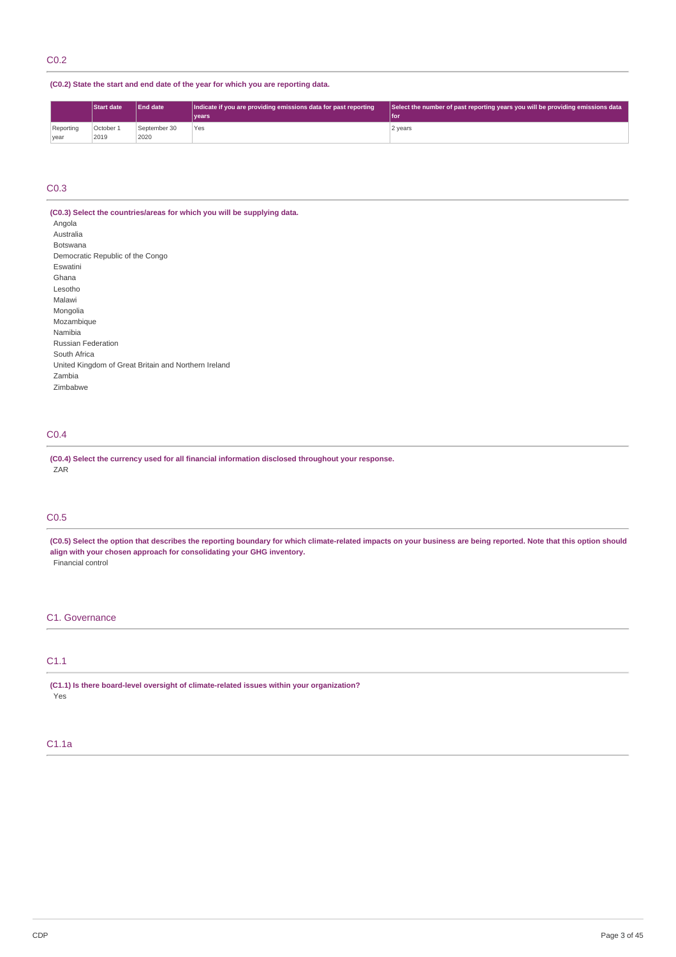# **(C0.2) State the start and end date of the year for which you are reporting data.**

|                   | <b>Start date</b> | <b>End date</b>      | Indicate if you are providing emissions data for past reporting | Select the number of past reporting years you will be providing emissions data |  |
|-------------------|-------------------|----------------------|-----------------------------------------------------------------|--------------------------------------------------------------------------------|--|
|                   |                   |                      | vears                                                           | <b>Ifor</b>                                                                    |  |
| Reporting<br>year | October 1<br>2019 | September 30<br>2020 | Yes                                                             | 2 years                                                                        |  |

# C0.3

**(C0.3) Select the countries/areas for which you will be supplying data.** Angola Australia Botswana Democratic Republic of the Congo Eswatini Ghana Lesotho Malawi Mongolia Mozambique Namibia Russian Federation South Africa United Kingdom of Great Britain and Northern Ireland Zambia Zimbabwe

# C0.4

**(C0.4) Select the currency used for all financial information disclosed throughout your response.** ZAR<sup>T</sup>

# C0.5

(C0.5) Select the option that describes the reporting boundary for which climate-related impacts on your business are being reported. Note that this option should **align with your chosen approach for consolidating your GHG inventory.** Financial control

# C1. Governance

# C1.1

**(C1.1) Is there board-level oversight of climate-related issues within your organization?** Yes

# C1.1a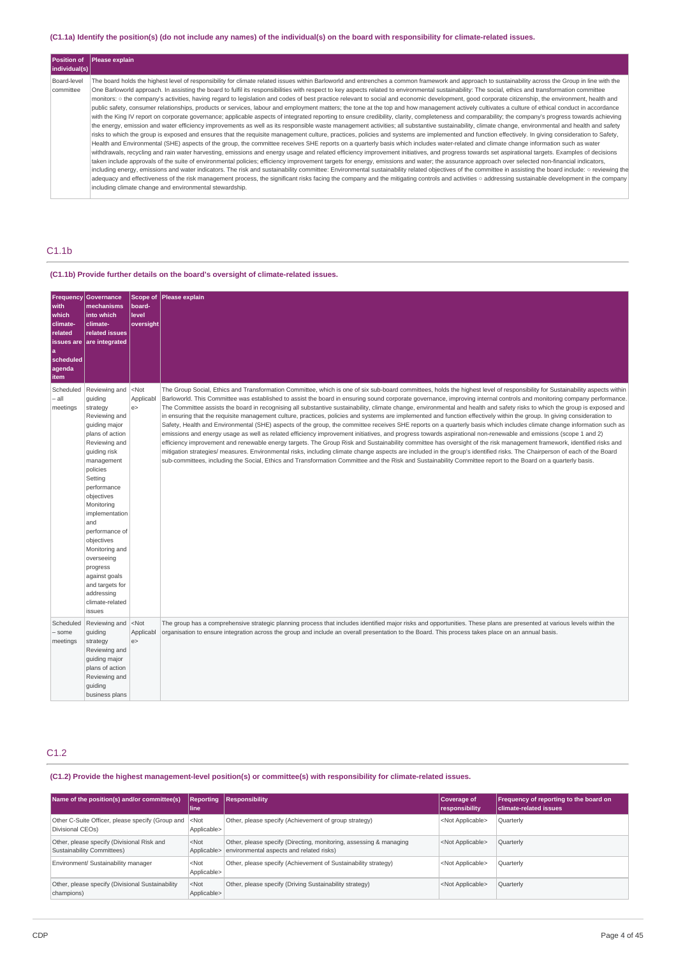# (C1.1a) Identify the position(s) (do not include any names) of the individual(s) on the board with responsibility for climate-related issues.

| Position of              | Please explain                                                                                                                                                                                                                                                                                                                                                                                                                                                                                                                                                                                                                                                                                                                                                                                                                                                                                                                                                                                                                                                                                                                                                                                                                                                                                                                                                                                                                                                                                                                                                                                                                                                                                                                                                                                                                                                                                                                                                                                                                                                                                                                                                                                                                                                                                                                                                                                                                                                                                                            |
|--------------------------|---------------------------------------------------------------------------------------------------------------------------------------------------------------------------------------------------------------------------------------------------------------------------------------------------------------------------------------------------------------------------------------------------------------------------------------------------------------------------------------------------------------------------------------------------------------------------------------------------------------------------------------------------------------------------------------------------------------------------------------------------------------------------------------------------------------------------------------------------------------------------------------------------------------------------------------------------------------------------------------------------------------------------------------------------------------------------------------------------------------------------------------------------------------------------------------------------------------------------------------------------------------------------------------------------------------------------------------------------------------------------------------------------------------------------------------------------------------------------------------------------------------------------------------------------------------------------------------------------------------------------------------------------------------------------------------------------------------------------------------------------------------------------------------------------------------------------------------------------------------------------------------------------------------------------------------------------------------------------------------------------------------------------------------------------------------------------------------------------------------------------------------------------------------------------------------------------------------------------------------------------------------------------------------------------------------------------------------------------------------------------------------------------------------------------------------------------------------------------------------------------------------------------|
| individual(s)            |                                                                                                                                                                                                                                                                                                                                                                                                                                                                                                                                                                                                                                                                                                                                                                                                                                                                                                                                                                                                                                                                                                                                                                                                                                                                                                                                                                                                                                                                                                                                                                                                                                                                                                                                                                                                                                                                                                                                                                                                                                                                                                                                                                                                                                                                                                                                                                                                                                                                                                                           |
| Board-level<br>committee | The board holds the highest level of responsibility for climate related issues within Barloworld and entrenches a common framework and approach to sustainability across the Group in line with the<br>One Barloworld approach. In assisting the board to fulfil its responsibilities with respect to key aspects related to environmental sustainability: The social, ethics and transformation committee<br>monitors: o the company's activities, having regard to legislation and codes of best practice relevant to social and economic development, good corporate citizenship, the environment, health and<br>public safety, consumer relationships, products or services, labour and employment matters; the tone at the top and how management actively cultivates a culture of ethical conduct in accordance<br>with the King IV report on corporate governance; applicable aspects of integrated reporting to ensure credibility, clarity, completeness and comparability; the company's progress towards achieving<br>the energy, emission and water efficiency improvements as well as its responsible waste management activities; all substantive sustainability, climate change, environmental and health and safety<br>risks to which the group is exposed and ensures that the requisite management culture, practices, policies and systems are implemented and function effectively. In giving consideration to Safety,<br>Health and Environmental (SHE) aspects of the group, the committee receives SHE reports on a quarterly basis which includes water-related and climate change information such as water<br>withdrawals, recycling and rain water harvesting, emissions and energy usage and related efficiency improvement initiatives, and progress towards set aspirational targets. Examples of decisions<br>taken include approvals of the suite of environmental policies; efficiency improvement targets for energy, emissions and water; the assurance approach over selected non-financial indicators,<br>including energy, emissions and water indicators. The risk and sustainability committee: Environmental sustainability related objectives of the committee in assisting the board include: o reviewing the<br>adequacy and effectiveness of the risk management process, the significant risks facing the company and the mitigating controls and activities o addressing sustainable development in the company<br>including climate change and environmental stewardship. |

# C1.1b

# **(C1.1b) Provide further details on the board's oversight of climate-related issues.**

| Frequency<br>with<br>which<br>climate-<br>related<br>a<br>scheduled<br>agenda<br>item | Governance<br>mechanisms<br>into which<br>climate-<br>related issues<br>issues are are integrated                                                                                                                                                                                                                                                                                              | Scope of<br>board-<br>level<br>oversight | Please explain                                                                                                                                                                                                                                                                                                                                                                                                                                                                                                                                                                                                                                                                                                                                                                                                                                                                                                                                                                                                                                                                                                                                                                                                                                                                                                                                                                                                                                                                                                                                                                       |
|---------------------------------------------------------------------------------------|------------------------------------------------------------------------------------------------------------------------------------------------------------------------------------------------------------------------------------------------------------------------------------------------------------------------------------------------------------------------------------------------|------------------------------------------|--------------------------------------------------------------------------------------------------------------------------------------------------------------------------------------------------------------------------------------------------------------------------------------------------------------------------------------------------------------------------------------------------------------------------------------------------------------------------------------------------------------------------------------------------------------------------------------------------------------------------------------------------------------------------------------------------------------------------------------------------------------------------------------------------------------------------------------------------------------------------------------------------------------------------------------------------------------------------------------------------------------------------------------------------------------------------------------------------------------------------------------------------------------------------------------------------------------------------------------------------------------------------------------------------------------------------------------------------------------------------------------------------------------------------------------------------------------------------------------------------------------------------------------------------------------------------------------|
| Scheduled<br>- all<br>meetings                                                        | Reviewing and<br>quiding<br>strategy<br>Reviewing and<br>guiding major<br>plans of action<br>Reviewing and<br>quiding risk<br>management<br>policies<br>Setting<br>performance<br>objectives<br>Monitoring<br>implementation<br>and<br>performance of<br>objectives<br>Monitoring and<br>overseeing<br>progress<br>against goals<br>and targets for<br>addressing<br>climate-related<br>issues | $<$ Not<br>Applicabl<br>e                | The Group Social, Ethics and Transformation Committee, which is one of six sub-board committees, holds the highest level of responsibility for Sustainability aspects within<br>Barloworld. This Committee was established to assist the board in ensuring sound corporate governance, improving internal controls and monitoring company performance.<br>The Committee assists the board in recognising all substantive sustainability, climate change, environmental and health and safety risks to which the group is exposed and<br>in ensuring that the requisite management culture, practices, policies and systems are implemented and function effectively within the group. In giving consideration to<br>Safety, Health and Environmental (SHE) aspects of the group, the committee receives SHE reports on a quarterly basis which includes climate change information such as<br>emissions and energy usage as well as related efficiency improvement initiatives, and progress towards aspirational non-renewable and emissions (scope 1 and 2)<br>efficiency improvement and renewable energy targets. The Group Risk and Sustainability committee has oversight of the risk management framework, identified risks and<br>mitigation strategies/ measures. Environmental risks, including climate change aspects are included in the group's identified risks. The Chairperson of each of the Board<br>sub-committees, including the Social, Ethics and Transformation Committee and the Risk and Sustainability Committee report to the Board on a quarterly basis. |
| Scheduled<br>- some<br>meetings                                                       | Reviewing and<br>guiding<br>strategy<br>Reviewing and<br>guiding major<br>plans of action<br>Reviewing and<br>guiding<br>business plans                                                                                                                                                                                                                                                        | $ $ <not<br>Applicabl<br/>e</not<br>     | The group has a comprehensive strategic planning process that includes identified major risks and opportunities. These plans are presented at various levels within the<br>organisation to ensure integration across the group and include an overall presentation to the Board. This process takes place on an annual basis.                                                                                                                                                                                                                                                                                                                                                                                                                                                                                                                                                                                                                                                                                                                                                                                                                                                                                                                                                                                                                                                                                                                                                                                                                                                        |

# C1.2

# **(C1.2) Provide the highest management-level position(s) or committee(s) with responsibility for climate-related issues.**

| Name of the position(s) and/or committee(s)                                          | Reporting<br>l line    | <b>Responsibility</b>                                                                                          | Coverage of<br>responsibility | <b>Frequency of reporting to the board on</b><br><b>climate-related issues</b> |
|--------------------------------------------------------------------------------------|------------------------|----------------------------------------------------------------------------------------------------------------|-------------------------------|--------------------------------------------------------------------------------|
| Other C-Suite Officer, please specify (Group and   <not<br>Divisional CEOs)</not<br> | Applicable>            | Other, please specify (Achievement of group strategy)                                                          | <not applicable=""></not>     | Quarterly                                                                      |
| Other, please specify (Divisional Risk and<br>Sustainability Committees)             | $<$ Not<br>Applicable> | Other, please specify (Directing, monitoring, assessing & managing<br>environmental aspects and related risks) | <not applicable=""></not>     | Quarterly                                                                      |
| Environment/ Sustainability manager                                                  | $<$ Not<br>Applicable> | Other, please specify (Achievement of Sustainability strategy)                                                 | <not applicable=""></not>     | Quarterly                                                                      |
| Other, please specify (Divisional Sustainability<br>champions)                       | $<$ Not<br>Applicable> | Other, please specify (Driving Sustainability strategy)                                                        | <not applicable=""></not>     | Quarterly                                                                      |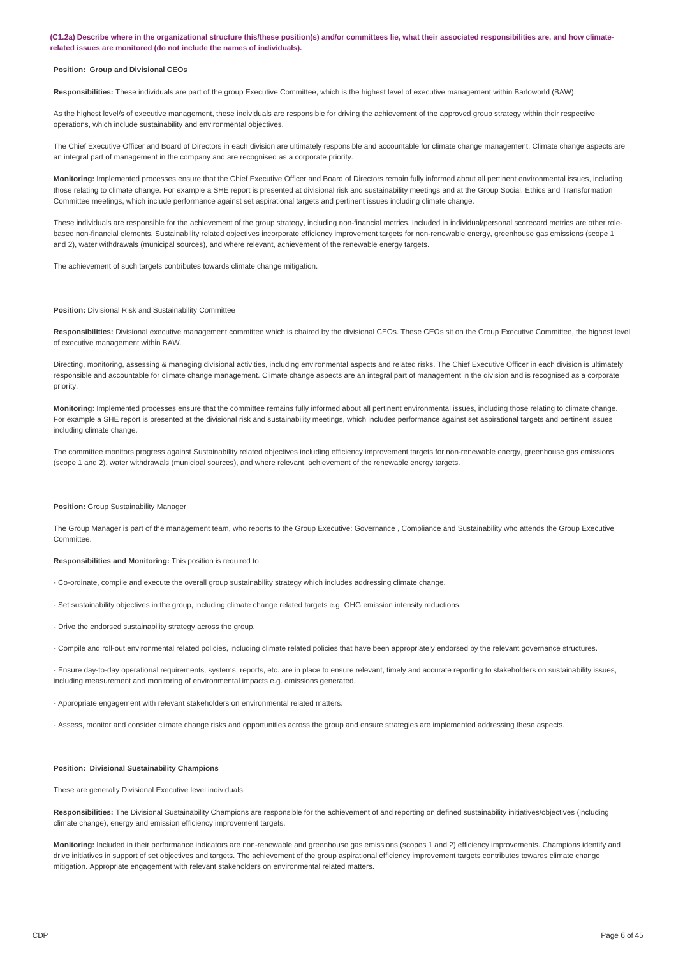(C1.2a) Describe where in the organizational structure this/these position(s) and/or committees lie, what their associated responsibilities are, and how climate**related issues are monitored (do not include the names of individuals).**

#### **Position: Group and Divisional CEOs**

**Responsibilities:** These individuals are part of the group Executive Committee, which is the highest level of executive management within Barloworld (BAW).

As the highest level/s of executive management, these individuals are responsible for driving the achievement of the approved group strategy within their respective operations, which include sustainability and environmental objectives.

The Chief Executive Officer and Board of Directors in each division are ultimately responsible and accountable for climate change management. Climate change aspects are an integral part of management in the company and are recognised as a corporate priority.

**Monitoring:** Implemented processes ensure that the Chief Executive Officer and Board of Directors remain fully informed about all pertinent environmental issues, including those relating to climate change. For example a SHE report is presented at divisional risk and sustainability meetings and at the Group Social, Ethics and Transformation Committee meetings, which include performance against set aspirational targets and pertinent issues including climate change.

These individuals are responsible for the achievement of the group strategy, including non-financial metrics. Included in individual/personal scorecard metrics are other rolebased non-financial elements. Sustainability related objectives incorporate efficiency improvement targets for non-renewable energy, greenhouse gas emissions (scope 1 and 2), water withdrawals (municipal sources), and where relevant, achievement of the renewable energy targets.

The achievement of such targets contributes towards climate change mitigation.

#### **Position:** Divisional Risk and Sustainability Committee

**Responsibilities:** Divisional executive management committee which is chaired by the divisional CEOs. These CEOs sit on the Group Executive Committee, the highest level of executive management within BAW.

Directing, monitoring, assessing & managing divisional activities, including environmental aspects and related risks. The Chief Executive Officer in each division is ultimately responsible and accountable for climate change management. Climate change aspects are an integral part of management in the division and is recognised as a corporate priority.

**Monitoring**: Implemented processes ensure that the committee remains fully informed about all pertinent environmental issues, including those relating to climate change. For example a SHE report is presented at the divisional risk and sustainability meetings, which includes performance against set aspirational targets and pertinent issues including climate change.

The committee monitors progress against Sustainability related objectives including efficiency improvement targets for non-renewable energy, greenhouse gas emissions (scope 1 and 2), water withdrawals (municipal sources), and where relevant, achievement of the renewable energy targets.

#### **Position:** Group Sustainability Manager

The Group Manager is part of the management team, who reports to the Group Executive: Governance , Compliance and Sustainability who attends the Group Executive Committee.

**Responsibilities and Monitoring:** This position is required to:

- Co-ordinate, compile and execute the overall group sustainability strategy which includes addressing climate change.
- Set sustainability objectives in the group, including climate change related targets e.g. GHG emission intensity reductions.
- Drive the endorsed sustainability strategy across the group.
- Compile and roll-out environmental related policies, including climate related policies that have been appropriately endorsed by the relevant governance structures.

- Ensure day-to-day operational requirements, systems, reports, etc. are in place to ensure relevant, timely and accurate reporting to stakeholders on sustainability issues, including measurement and monitoring of environmental impacts e.g. emissions generated.

- Appropriate engagement with relevant stakeholders on environmental related matters.

- Assess, monitor and consider climate change risks and opportunities across the group and ensure strategies are implemented addressing these aspects.

### **Position: Divisional Sustainability Champions**

These are generally Divisional Executive level individuals.

**Responsibilities:** The Divisional Sustainability Champions are responsible for the achievement of and reporting on defined sustainability initiatives/objectives (including climate change), energy and emission efficiency improvement targets.

**Monitoring:** Included in their performance indicators are non-renewable and greenhouse gas emissions (scopes 1 and 2) efficiency improvements. Champions identify and drive initiatives in support of set objectives and targets. The achievement of the group aspirational efficiency improvement targets contributes towards climate change mitigation. Appropriate engagement with relevant stakeholders on environmental related matters.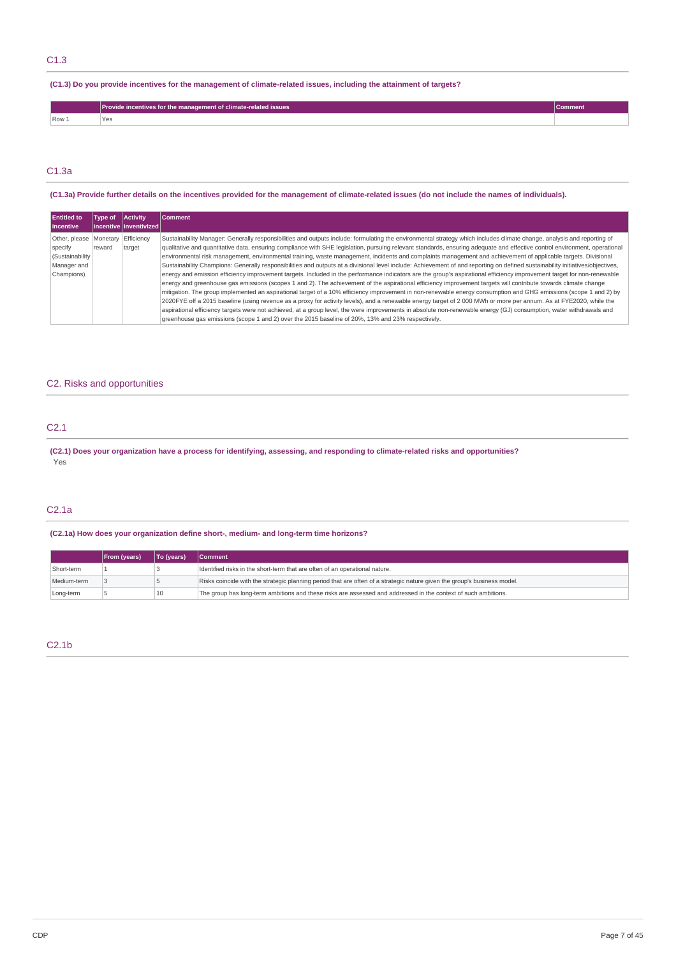# C1.3

# (C1.3) Do you provide incentives for the management of climate-related issues, including the attainment of targets?

|                  | Provide incentives for the management of climate-related issues |  |
|------------------|-----------------------------------------------------------------|--|
| Row <sub>2</sub> |                                                                 |  |

# C1.3a

### (C1.3a) Provide further details on the incentives provided for the management of climate-related issues (do not include the names of individuals).

| <b>Entitled to</b><br><b>lincentive</b>                                             | Type of | <b>Activity</b><br>l incentive linventivized l | Comment                                                                                                                                                                                                                                                                                                                                                                                                                                                                                                                                                                                                                                                                                                                                                                                                                                                                                                                                                                                                                                                                                                                                                                                                                                                                                                                                                                                                                                                                                                                                                                                                                                                                        |
|-------------------------------------------------------------------------------------|---------|------------------------------------------------|--------------------------------------------------------------------------------------------------------------------------------------------------------------------------------------------------------------------------------------------------------------------------------------------------------------------------------------------------------------------------------------------------------------------------------------------------------------------------------------------------------------------------------------------------------------------------------------------------------------------------------------------------------------------------------------------------------------------------------------------------------------------------------------------------------------------------------------------------------------------------------------------------------------------------------------------------------------------------------------------------------------------------------------------------------------------------------------------------------------------------------------------------------------------------------------------------------------------------------------------------------------------------------------------------------------------------------------------------------------------------------------------------------------------------------------------------------------------------------------------------------------------------------------------------------------------------------------------------------------------------------------------------------------------------------|
| Other, please   Monetary<br>specify<br>(Sustainability<br>Manager and<br>Champions) | reward  | Efficiency<br>target                           | Sustainability Manager: Generally responsibilities and outputs include: formulating the environmental strategy which includes climate change, analysis and reporting of<br>qualitative and quantitative data, ensuring compliance with SHE legislation, pursuing relevant standards, ensuring adequate and effective control environment, operational<br>environmental risk management, environmental training, waste management, incidents and complaints management and achievement of applicable targets. Divisional<br>Sustainability Champions: Generally responsibilities and outputs at a divisional level include: Achievement of and reporting on defined sustainability initiatives/objectives,<br>energy and emission efficiency improvement targets. Included in the performance indicators are the group's aspirational efficiency improvement target for non-renewable<br>energy and greenhouse gas emissions (scopes 1 and 2). The achievement of the aspirational efficiency improvement targets will contribute towards climate change<br>mitigation. The group implemented an aspirational target of a 10% efficiency improvement in non-renewable energy consumption and GHG emissions (scope 1 and 2) by<br>2020FYE off a 2015 baseline (using revenue as a proxy for activity levels), and a renewable energy target of 2 000 MWh or more per annum. As at FYE2020, while the<br>aspirational efficiency targets were not achieved, at a group level, the were improvements in absolute non-renewable energy (GJ) consumption, water withdrawals and<br>greenhouse gas emissions (scope 1 and 2) over the 2015 baseline of 20%, 13% and 23% respectively. |

# C2. Risks and opportunities

# C2.1

(C2.1) Does your organization have a process for identifying, assessing, and responding to climate-related risks and opportunities? Yes

# C2.1a

# **(C2.1a) How does your organization define short-, medium- and long-term time horizons?**

|             | From (years) | To (years) | <b>Comment</b>                                                                                                           |
|-------------|--------------|------------|--------------------------------------------------------------------------------------------------------------------------|
| Short-term  |              |            | Identified risks in the short-term that are often of an operational nature.                                              |
| Medium-term |              |            | Risks coincide with the strategic planning period that are often of a strategic nature given the group's business model. |
| Long-term   |              | 10         | The group has long-term ambitions and these risks are assessed and addressed in the context of such ambitions.           |

# C2.1b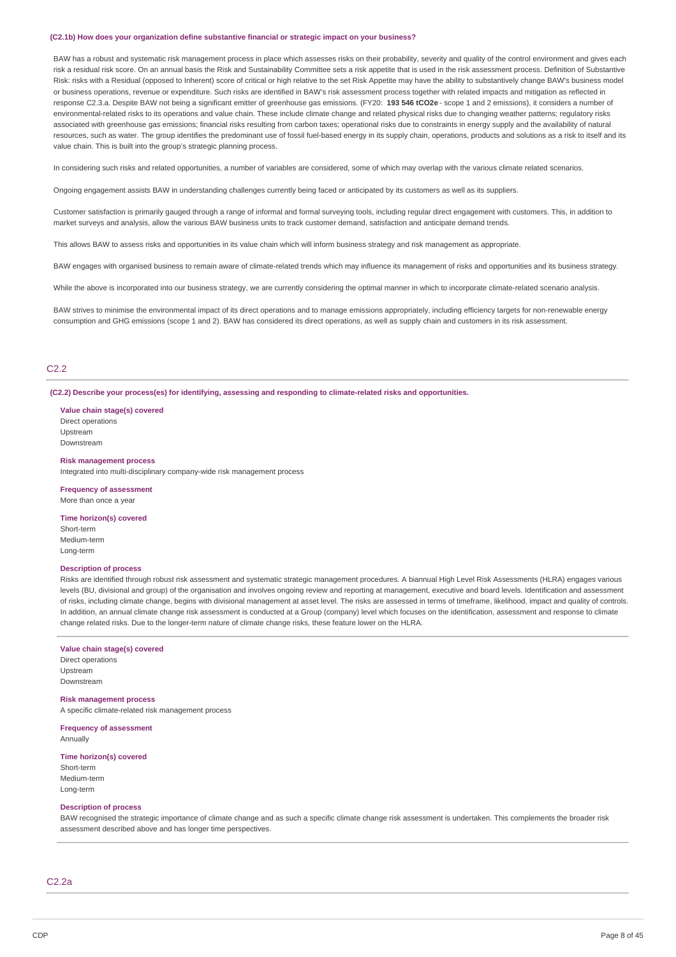#### **(C2.1b) How does your organization define substantive financial or strategic impact on your business?**

BAW has a robust and systematic risk management process in place which assesses risks on their probability, severity and quality of the control environment and gives each risk a residual risk score. On an annual basis the Risk and Sustainability Committee sets a risk appetite that is used in the risk assessment process. Definition of Substantive Risk: risks with a Residual (opposed to Inherent) score of critical or high relative to the set Risk Appetite may have the ability to substantively change BAW's business model or business operations, revenue or expenditure. Such risks are identified in BAW's risk assessment process together with related impacts and mitigation as reflected in response C2.3.a. Despite BAW not being a significant emitter of greenhouse gas emissions. (FY20: **193 546 tCO2e** - scope 1 and 2 emissions), it considers a number of environmental-related risks to its operations and value chain. These include climate change and related physical risks due to changing weather patterns; regulatory risks associated with greenhouse gas emissions; financial risks resulting from carbon taxes; operational risks due to constraints in energy supply and the availability of natural resources, such as water. The group identifies the predominant use of fossil fuel-based energy in its supply chain, operations, products and solutions as a risk to itself and its value chain. This is built into the group's strategic planning process.

In considering such risks and related opportunities, a number of variables are considered, some of which may overlap with the various climate related scenarios.

Ongoing engagement assists BAW in understanding challenges currently being faced or anticipated by its customers as well as its suppliers.

Customer satisfaction is primarily gauged through a range of informal and formal surveying tools, including regular direct engagement with customers. This, in addition to market surveys and analysis, allow the various BAW business units to track customer demand, satisfaction and anticipate demand trends.

This allows BAW to assess risks and opportunities in its value chain which will inform business strategy and risk management as appropriate.

BAW engages with organised business to remain aware of climate-related trends which may influence its management of risks and opportunities and its business strategy.

While the above is incorporated into our business strategy, we are currently considering the optimal manner in which to incorporate climate-related scenario analysis.

BAW strives to minimise the environmental impact of its direct operations and to manage emissions appropriately, including efficiency targets for non-renewable energy consumption and GHG emissions (scope 1 and 2). BAW has considered its direct operations, as well as supply chain and customers in its risk assessment.

# C2.2

#### **(C2.2) Describe your process(es) for identifying, assessing and responding to climate-related risks and opportunities.**

### **Value chain stage(s) covered**

Direct operations Upstream Downstream

#### **Risk management process**

Integrated into multi-disciplinary company-wide risk management process

**Frequency of assessment** More than once a year

#### **Time horizon(s) covered**

Short-term Medium-term Long-term

#### **Description of process**

Risks are identified through robust risk assessment and systematic strategic management procedures. A biannual High Level Risk Assessments (HLRA) engages various levels (BU, divisional and group) of the organisation and involves ongoing review and reporting at management, executive and board levels. Identification and assessment of risks, including climate change, begins with divisional management at asset level. The risks are assessed in terms of timeframe, likelihood, impact and quality of controls. In addition, an annual climate change risk assessment is conducted at a Group (company) level which focuses on the identification, assessment and response to climate change related risks. Due to the longer-term nature of climate change risks, these feature lower on the HLRA.

#### **Value chain stage(s) covered**

Direct operations Upstream Downstream

#### **Risk management process**

A specific climate-related risk management process

**Frequency of assessment** Annually

### **Time horizon(s) covered**

Short-term Medium-term Long-term

#### **Description of process**

BAW recognised the strategic importance of climate change and as such a specific climate change risk assessment is undertaken. This complements the broader risk assessment described above and has longer time perspectives.

C2.2a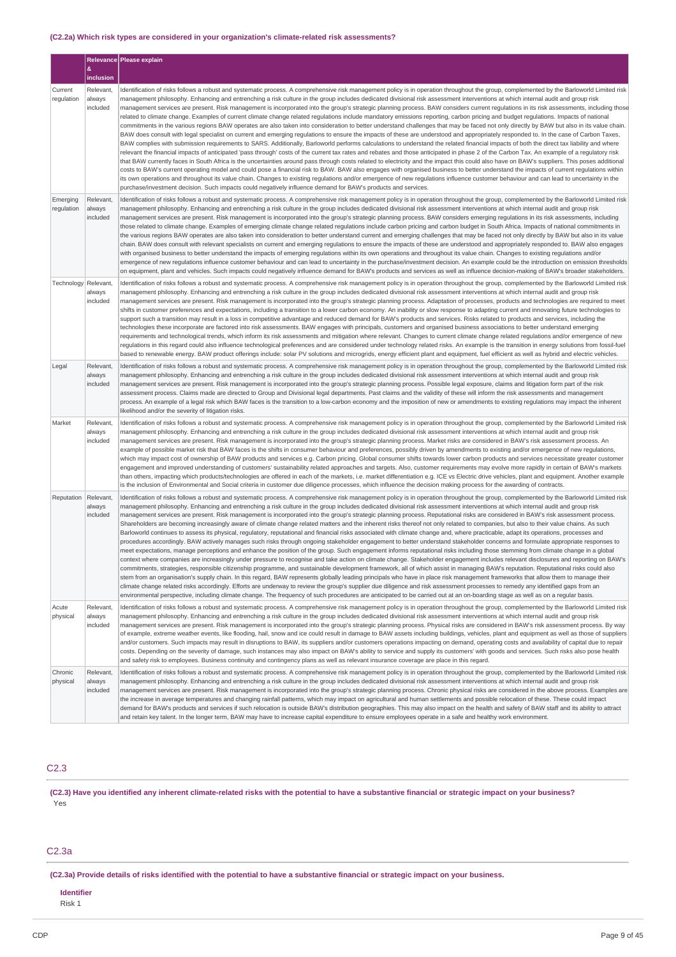### **(C2.2a) Which risk types are considered in your organization's climate-related risk assessments?**

|                        |                                 | Relevance Please explain                                                                                                                                                                                                                                                                                                                                                                                                                                                                                                                                                                                                                                                                                                                                                                                                                                                                                                                                                                                                                                                                                                                                                                                                                                                                                                                                                                                                                                                                                                                                                                                                                                                                                                                                                                                                                                                                                                                                                                                                                                                                                                                                                                                                                                        |
|------------------------|---------------------------------|-----------------------------------------------------------------------------------------------------------------------------------------------------------------------------------------------------------------------------------------------------------------------------------------------------------------------------------------------------------------------------------------------------------------------------------------------------------------------------------------------------------------------------------------------------------------------------------------------------------------------------------------------------------------------------------------------------------------------------------------------------------------------------------------------------------------------------------------------------------------------------------------------------------------------------------------------------------------------------------------------------------------------------------------------------------------------------------------------------------------------------------------------------------------------------------------------------------------------------------------------------------------------------------------------------------------------------------------------------------------------------------------------------------------------------------------------------------------------------------------------------------------------------------------------------------------------------------------------------------------------------------------------------------------------------------------------------------------------------------------------------------------------------------------------------------------------------------------------------------------------------------------------------------------------------------------------------------------------------------------------------------------------------------------------------------------------------------------------------------------------------------------------------------------------------------------------------------------------------------------------------------------|
|                        | &<br>inclusion                  |                                                                                                                                                                                                                                                                                                                                                                                                                                                                                                                                                                                                                                                                                                                                                                                                                                                                                                                                                                                                                                                                                                                                                                                                                                                                                                                                                                                                                                                                                                                                                                                                                                                                                                                                                                                                                                                                                                                                                                                                                                                                                                                                                                                                                                                                 |
| Current<br>regulation  | Relevant,<br>always<br>included | Identification of risks follows a robust and systematic process. A comprehensive risk management policy is in operation throughout the group, complemented by the Barloworld Limited risk<br>management philosophy. Enhancing and entrenching a risk culture in the group includes dedicated divisional risk assessment interventions at which internal audit and group risk<br>management services are present. Risk management is incorporated into the group's strategic planning process. BAW considers current regulations in its risk assessments, including those<br>related to climate change. Examples of current climate change related regulations include mandatory emissions reporting, carbon pricing and budget regulations. Impacts of national<br>commitments in the various regions BAW operates are also taken into consideration to better understand challenges that may be faced not only directly by BAW but also in its value chain.<br>BAW does consult with legal specialist on current and emerging regulations to ensure the impacts of these are understood and appropriately responded to. In the case of Carbon Taxes,<br>BAW complies with submission requirements to SARS. Additionally, Barloworld performs calculations to understand the related financial impacts of both the direct tax liability and where<br>relevant the financial impacts of anticipated 'pass through' costs of the current tax rates and rebates and those anticipated in phase 2 of the Carbon Tax. An example of a regulatory risk<br>that BAW currently faces in South Africa is the uncertainties around pass through costs related to electricity and the impact this could also have on BAW's suppliers. This poses additional<br>costs to BAW's current operating model and could pose a financial risk to BAW. BAW also engages with organised business to better understand the impacts of current regulations within<br>its own operations and throughout its value chain. Changes to existing regulations and/or emergence of new regulations influence customer behaviour and can lead to uncertainty in the<br>purchase/investment decision. Such impacts could negatively influence demand for BAW's products and services.           |
| Emerging<br>regulation | Relevant.<br>always<br>included | Identification of risks follows a robust and systematic process. A comprehensive risk management policy is in operation throughout the group, complemented by the Barloworld Limited risk<br>management philosophy. Enhancing and entrenching a risk culture in the group includes dedicated divisional risk assessment interventions at which internal audit and group risk<br>management services are present. Risk management is incorporated into the group's strategic planning process. BAW considers emerging regulations in its risk assessments, including<br>those related to climate change. Examples of emerging climate change related regulations include carbon pricing and carbon budget in South Africa. Impacts of national commitments in<br>the various regions BAW operates are also taken into consideration to better understand current and emerging challenges that may be faced not only directly by BAW but also in its value<br>chain. BAW does consult with relevant specialists on current and emerging regulations to ensure the impacts of these are understood and appropriately responded to. BAW also engages<br>with organised business to better understand the impacts of emerging regulations within its own operations and throughout its value chain. Changes to existing regulations and/or<br>emergence of new regulations influence customer behaviour and can lead to uncertainty in the purchase/investment decision. An example could be the introduction on emission thresholds<br>on equipment, plant and vehicles. Such impacts could negatively influence demand for BAW's products and services as well as influence decision-making of BAW's broader stakeholders.                                                                                                                                                                                                                                                                                                                                                                                                                                                                                                                                         |
| Technology             | Relevant<br>always<br>included  | Identification of risks follows a robust and systematic process. A comprehensive risk management policy is in operation throughout the group, complemented by the Barloworld Limited risk<br>management philosophy. Enhancing and entrenching a risk culture in the group includes dedicated divisional risk assessment interventions at which internal audit and group risk<br>management services are present. Risk management is incorporated into the group's strategic planning process. Adaptation of processes, products and technologies are required to meet<br>shifts in customer preferences and expectations, including a transition to a lower carbon economy. An inability or slow response to adapting current and innovating future technologies to<br>support such a transition may result in a loss in competitive advantage and reduced demand for BAW's products and services. Risks related to products and services, including the<br>technologies these incorporate are factored into risk assessments. BAW engages with principals, customers and organised business associations to better understand emerging<br>requirements and technological trends, which inform its risk assessments and mitigation where relevant. Changes to current climate change related requlations and/or emergence of new<br>regulations in this regard could also influence technological preferences and are considered under technology related risks. An example is the transition in energy solutions from fossil-fuel<br>based to renewable energy. BAW product offerings include: solar PV solutions and microgrids, energy efficient plant and equipment, fuel efficient as well as hybrid and electric vehicles.                                                                                                                                                                                                                                                                                                                                                                                                                                                                                                                                |
| Legal                  | Relevant,<br>always<br>included | Identification of risks follows a robust and systematic process. A comprehensive risk management policy is in operation throughout the group, complemented by the Barloworld Limited risk<br>management philosophy. Enhancing and entrenching a risk culture in the group includes dedicated divisional risk assessment interventions at which internal audit and group risk<br>management services are present. Risk management is incorporated into the group's strategic planning process. Possible legal exposure, claims and litigation form part of the risk<br>assessment process. Claims made are directed to Group and Divisional legal departments. Past claims and the validity of these will inform the risk assessments and management<br>process. An example of a legal risk which BAW faces is the transition to a low-carbon economy and the imposition of new or amendments to existing regulations may impact the inherent<br>likelihood and/or the severity of litigation risks.                                                                                                                                                                                                                                                                                                                                                                                                                                                                                                                                                                                                                                                                                                                                                                                                                                                                                                                                                                                                                                                                                                                                                                                                                                                             |
| Market                 | Relevant<br>always<br>included  | Identification of risks follows a robust and systematic process. A comprehensive risk management policy is in operation throughout the group, complemented by the Barloworld Limited risk<br>management philosophy. Enhancing and entrenching a risk culture in the group includes dedicated divisional risk assessment interventions at which internal audit and group risk<br>management services are present. Risk management is incorporated into the group's strategic planning process. Market risks are considered in BAW's risk assessment process. An<br>example of possible market risk that BAW faces is the shifts in consumer behaviour and preferences, possibly driven by amendments to existing and/or emergence of new regulations,<br>which may impact cost of ownership of BAW products and services e.g. Carbon pricing. Global consumer shifts towards lower carbon products and services necessitate greater customer<br>engagement and improved understanding of customers' sustainability related approaches and targets. Also, customer requirements may evolve more rapidly in certain of BAW's markets<br>than others, impacting which products/technologies are offered in each of the markets, i.e. market differentiation e.g. ICE vs Electric drive vehicles, plant and equipment. Another example<br>is the inclusion of Environmental and Social criteria in customer due diligence processes, which influence the decision making process for the awarding of contracts.                                                                                                                                                                                                                                                                                                                                                                                                                                                                                                                                                                                                                                                                                                                                                      |
| Reputation             | Relevant,<br>always<br>included | Identification of risks follows a robust and systematic process. A comprehensive risk management policy is in operation throughout the group, complemented by the Barloworld Limited risk<br>management philosophy. Enhancing and entrenching a risk culture in the group includes dedicated divisional risk assessment interventions at which internal audit and group risk<br>management services are present. Risk management is incorporated into the group's strategic planning process. Reputational risks are considered in BAW's risk assessment process.<br>Shareholders are becoming increasingly aware of climate change related matters and the inherent risks thereof not only related to companies, but also to their value chains. As such<br>Barloworld continues to assess its physical, regulatory, reputational and financial risks associated with climate change and, where practicable, adapt its operations, processes and<br>procedures accordingly. BAW actively manages such risks through ongoing stakeholder engagement to better understand stakeholder concerns and formulate appropriate responses to<br>meet expectations, manage perceptions and enhance the position of the group. Such engagement informs reputational risks including those stemming from climate change in a global<br>context where companies are increasingly under pressure to recognise and take action on climate change. Stakeholder engagement includes relevant disclosures and reporting on BAW's<br>commitments, strategies, responsible citizenship programme, and sustainable development framework, all of which assist in managing BAW's reputation. Reputational risks could also<br>stem from an organisation's supply chain. In this regard, BAW represents globally leading principals who have in place risk management frameworks that allow them to manage their<br>climate change related risks accordingly. Efforts are underway to review the group's supplier due diligence and risk assessment processes to remedy any identified gaps from an<br>environmental perspective, including climate change. The frequency of such procedures are anticipated to be carried out at an on-boarding stage as well as on a regular basis. |
| Acute<br>physical      | Relevant                        | Identification of risks follows a robust and systematic process. A comprehensive risk management policy is in operation throughout the group, complemented by the Barloworld Limited risk                                                                                                                                                                                                                                                                                                                                                                                                                                                                                                                                                                                                                                                                                                                                                                                                                                                                                                                                                                                                                                                                                                                                                                                                                                                                                                                                                                                                                                                                                                                                                                                                                                                                                                                                                                                                                                                                                                                                                                                                                                                                       |
|                        | always<br>included              | management philosophy. Enhancing and entrenching a risk culture in the group includes dedicated divisional risk assessment interventions at which internal audit and group risk<br>management services are present. Risk management is incorporated into the group's strategic planning process. Physical risks are considered in BAW's risk assessment process. By way<br>of example, extreme weather events, like flooding, hail, snow and ice could result in damage to BAW assets including buildings, vehicles, plant and equipment as well as those of suppliers<br>and/or customers. Such impacts may result in disruptions to BAW, its suppliers and/or customers operations impacting on demand, operating costs and availability of capital due to repair<br>costs. Depending on the severity of damage, such instances may also impact on BAW's ability to service and supply its customers' with goods and services. Such risks also pose health<br>and safety risk to employees. Business continuity and contingency plans as well as relevant insurance coverage are place in this regard.                                                                                                                                                                                                                                                                                                                                                                                                                                                                                                                                                                                                                                                                                                                                                                                                                                                                                                                                                                                                                                                                                                                                                        |
| Chronic<br>physical    | Relevant,<br>always<br>included | Identification of risks follows a robust and systematic process. A comprehensive risk management policy is in operation throughout the group, complemented by the Barloworld Limited risk<br>management philosophy. Enhancing and entrenching a risk culture in the group includes dedicated divisional risk assessment interventions at which internal audit and group risk<br>management services are present. Risk management is incorporated into the group's strategic planning process. Chronic physical risks are considered in the above process. Examples are<br>the increase in average temperatures and changing rainfall patterns, which may impact on agricultural and human settlements and possible relocation of these. These could impact<br>demand for BAW's products and services if such relocation is outside BAW's distribution geographies. This may also impact on the health and safety of BAW staff and its ability to attract<br>and retain key talent. In the longer term, BAW may have to increase capital expenditure to ensure employees operate in a safe and healthy work environment.                                                                                                                                                                                                                                                                                                                                                                                                                                                                                                                                                                                                                                                                                                                                                                                                                                                                                                                                                                                                                                                                                                                                         |

# C2.3

(C2.3) Have you identified any inherent climate-related risks with the potential to have a substantive financial or strategic impact on your business? Yes

# C2.3a

(C2.3a) Provide details of risks identified with the potential to have a substantive financial or strategic impact on your business.

# **Identifier**

Risk 1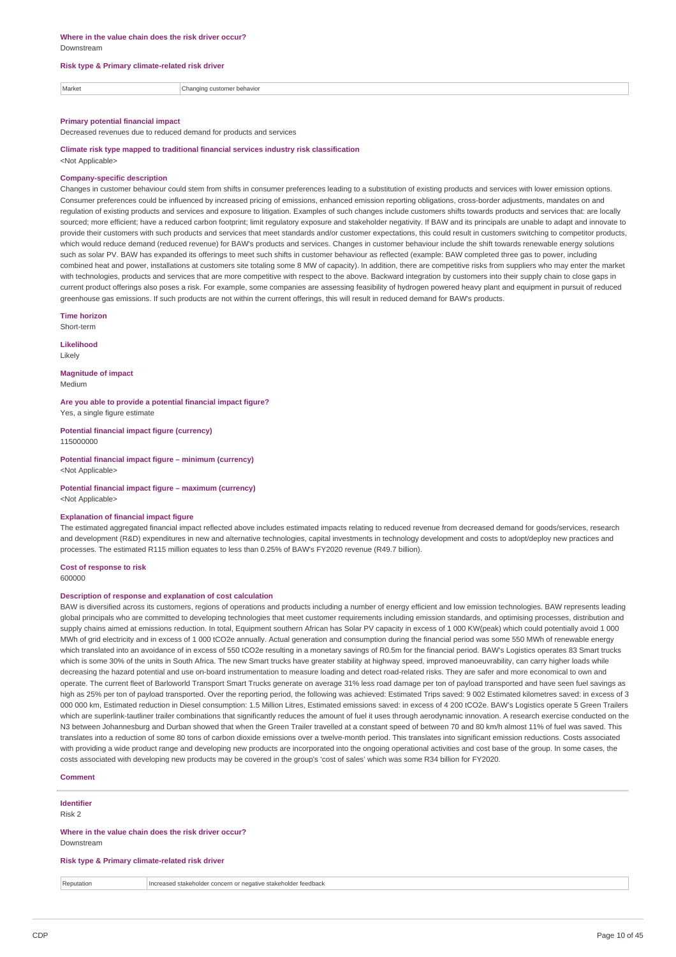#### **Risk type & Primary climate-related risk driver**

| Market | Changi<br>behavior<br>hme.<br>31 ISB |
|--------|--------------------------------------|
|        |                                      |

#### **Primary potential financial impact**

Decreased revenues due to reduced demand for products and services

**Climate risk type mapped to traditional financial services industry risk classification** <Not Applicable>

### **Company-specific description**

Changes in customer behaviour could stem from shifts in consumer preferences leading to a substitution of existing products and services with lower emission options. Consumer preferences could be influenced by increased pricing of emissions, enhanced emission reporting obligations, cross-border adjustments, mandates on and regulation of existing products and services and exposure to litigation. Examples of such changes include customers shifts towards products and services that: are locally sourced; more efficient; have a reduced carbon footprint; limit regulatory exposure and stakeholder negativity. If BAW and its principals are unable to adapt and innovate to provide their customers with such products and services that meet standards and/or customer expectations, this could result in customers switching to competitor products, which would reduce demand (reduced revenue) for BAW's products and services. Changes in customer behaviour include the shift towards renewable energy solutions such as solar PV. BAW has expanded its offerings to meet such shifts in customer behaviour as reflected (example: BAW completed three gas to power, including combined heat and power, installations at customers site totaling some 8 MW of capacity). In addition, there are competitive risks from suppliers who may enter the market with technologies, products and services that are more competitive with respect to the above. Backward integration by customers into their supply chain to close gaps in current product offerings also poses a risk. For example, some companies are assessing feasibility of hydrogen powered heavy plant and equipment in pursuit of reduced greenhouse gas emissions. If such products are not within the current offerings, this will result in reduced demand for BAW's products.

#### **Time horizon**

Short-term

**Likelihood** Likely

**Magnitude of impact** Medium

**Are you able to provide a potential financial impact figure?** Yes, a single figure estimate

**Potential financial impact figure (currency)** 115000000

**Potential financial impact figure – minimum (currency)** <Not Applicable>

**Potential financial impact figure – maximum (currency)** <Not Applicable>

### **Explanation of financial impact figure**

The estimated aggregated financial impact reflected above includes estimated impacts relating to reduced revenue from decreased demand for goods/services, research and development (R&D) expenditures in new and alternative technologies, capital investments in technology development and costs to adopt/deploy new practices and processes. The estimated R115 million equates to less than 0.25% of BAW's FY2020 revenue (R49.7 billion).

**Cost of response to risk** 600000

### **Description of response and explanation of cost calculation**

BAW is diversified across its customers, regions of operations and products including a number of energy efficient and low emission technologies. BAW represents leading global principals who are committed to developing technologies that meet customer requirements including emission standards, and optimising processes, distribution and supply chains aimed at emissions reduction. In total, Equipment southern African has Solar PV capacity in excess of 1 000 KW(peak) which could potentially avoid 1 000 MWh of grid electricity and in excess of 1 000 tCO2e annually. Actual generation and consumption during the financial period was some 550 MWh of renewable energy which translated into an avoidance of in excess of 550 tCO2e resulting in a monetary savings of R0.5m for the financial period. BAW's Logistics operates 83 Smart trucks which is some 30% of the units in South Africa. The new Smart trucks have greater stability at highway speed, improved manoeuvrability, can carry higher loads while decreasing the hazard potential and use on-board instrumentation to measure loading and detect road-related risks. They are safer and more economical to own and operate. The current fleet of Barloworld Transport Smart Trucks generate on average 31% less road damage per ton of payload transported and have seen fuel savings as high as 25% per ton of payload transported. Over the reporting period, the following was achieved: Estimated Trips saved: 9 002 Estimated kilometres saved: in excess of 3 000 000 km, Estimated reduction in Diesel consumption: 1.5 Million Litres, Estimated emissions saved: in excess of 4 200 tCO2e. BAW's Logistics operate 5 Green Trailers which are superlink-tautliner trailer combinations that significantly reduces the amount of fuel it uses through aerodynamic innovation. A research exercise conducted on the N3 between Johannesburg and Durban showed that when the Green Trailer travelled at a constant speed of between 70 and 80 km/h almost 11% of fuel was saved. This translates into a reduction of some 80 tons of carbon dioxide emissions over a twelve-month period. This translates into significant emission reductions. Costs associated with providing a wide product range and developing new products are incorporated into the ongoing operational activities and cost base of the group. In some cases, the costs associated with developing new products may be covered in the group's 'cost of sales' which was some R34 billion for FY2020.

| Comment                                                            |  |
|--------------------------------------------------------------------|--|
| <b>Identifier</b>                                                  |  |
| Risk 2                                                             |  |
| Where in the value chain does the risk driver occur?<br>Downstream |  |
| Risk type & Primary climate-related risk driver                    |  |

| Penutation. | negative stakeholder<br>`™ feedback<br>Hncreased stakeholde<br>ern e<br>' narist<br>conc |
|-------------|------------------------------------------------------------------------------------------|
|             |                                                                                          |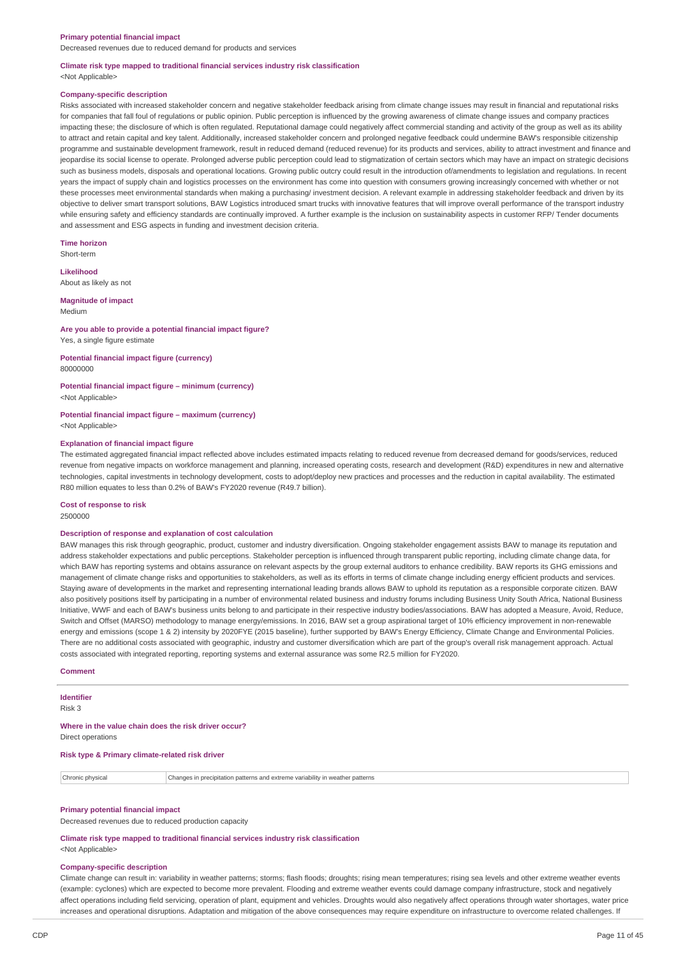#### **Primary potential financial impact**

Decreased revenues due to reduced demand for products and services

#### **Climate risk type mapped to traditional financial services industry risk classification** <Not Applicable>

#### **Company-specific description**

Risks associated with increased stakeholder concern and negative stakeholder feedback arising from climate change issues may result in financial and reputational risks for companies that fall foul of regulations or public opinion. Public perception is influenced by the growing awareness of climate change issues and company practices impacting these; the disclosure of which is often regulated. Reputational damage could negatively affect commercial standing and activity of the group as well as its ability to attract and retain capital and key talent. Additionally, increased stakeholder concern and prolonged negative feedback could undermine BAW's responsible citizenship programme and sustainable development framework, result in reduced demand (reduced revenue) for its products and services, ability to attract investment and finance and jeopardise its social license to operate. Prolonged adverse public perception could lead to stigmatization of certain sectors which may have an impact on strategic decisions such as business models, disposals and operational locations. Growing public outcry could result in the introduction of/amendments to legislation and regulations. In recent years the impact of supply chain and logistics processes on the environment has come into question with consumers growing increasingly concerned with whether or not these processes meet environmental standards when making a purchasing/ investment decision. A relevant example in addressing stakeholder feedback and driven by its objective to deliver smart transport solutions, BAW Logistics introduced smart trucks with innovative features that will improve overall performance of the transport industry while ensuring safety and efficiency standards are continually improved. A further example is the inclusion on sustainability aspects in customer RFP/ Tender documents and assessment and ESG aspects in funding and investment decision criteria.

**Time horizon** Short-term

**Likelihood**

About as likely as not

#### **Magnitude of impact** Medium

### **Are you able to provide a potential financial impact figure?** Yes, a single figure estimate

**Potential financial impact figure (currency)** 80000000

#### **Potential financial impact figure – minimum (currency)** <Not Applicable>

**Potential financial impact figure – maximum (currency)**

<Not Applicable>

### **Explanation of financial impact figure**

The estimated aggregated financial impact reflected above includes estimated impacts relating to reduced revenue from decreased demand for goods/services, reduced revenue from negative impacts on workforce management and planning, increased operating costs, research and development (R&D) expenditures in new and alternative technologies, capital investments in technology development, costs to adopt/deploy new practices and processes and the reduction in capital availability. The estimated R80 million equates to less than 0.2% of BAW's FY2020 revenue (R49.7 billion).

# **Cost of response to risk**

2500000

#### **Description of response and explanation of cost calculation**

BAW manages this risk through geographic, product, customer and industry diversification. Ongoing stakeholder engagement assists BAW to manage its reputation and address stakeholder expectations and public perceptions. Stakeholder perception is influenced through transparent public reporting, including climate change data, for which BAW has reporting systems and obtains assurance on relevant aspects by the group external auditors to enhance credibility. BAW reports its GHG emissions and management of climate change risks and opportunities to stakeholders, as well as its efforts in terms of climate change including energy efficient products and services. Staying aware of developments in the market and representing international leading brands allows BAW to uphold its reputation as a responsible corporate citizen. BAW also positively positions itself by participating in a number of environmental related business and industry forums including Business Unity South Africa, National Business Initiative, WWF and each of BAW's business units belong to and participate in their respective industry bodies/associations. BAW has adopted a Measure, Avoid, Reduce, Switch and Offset (MARSO) methodology to manage energy/emissions. In 2016, BAW set a group aspirational target of 10% efficiency improvement in non-renewable energy and emissions (scope 1 & 2) intensity by 2020FYE (2015 baseline), further supported by BAW's Energy Efficiency, Climate Change and Environmental Policies. There are no additional costs associated with geographic, industry and customer diversification which are part of the group's overall risk management approach. Actual costs associated with integrated reporting, reporting systems and external assurance was some R2.5 million for FY2020.

#### **Comment**

### **Identifier**

Risk 3

# **Where in the value chain does the risk driver occur?**

Direct operations

### **Risk type & Primary climate-related risk driver**

Chronic physical Changes in precipitation patterns and extreme variability in weather patterns

### **Primary potential financial impact**

Decreased revenues due to reduced production capacity

**Climate risk type mapped to traditional financial services industry risk classification**

# <Not Applicable>

#### **Company-specific description**

Climate change can result in: variability in weather patterns; storms; flash floods; droughts; rising mean temperatures; rising sea levels and other extreme weather events (example: cyclones) which are expected to become more prevalent. Flooding and extreme weather events could damage company infrastructure, stock and negatively affect operations including field servicing, operation of plant, equipment and vehicles. Droughts would also negatively affect operations through water shortages, water price increases and operational disruptions. Adaptation and mitigation of the above consequences may require expenditure on infrastructure to overcome related challenges. If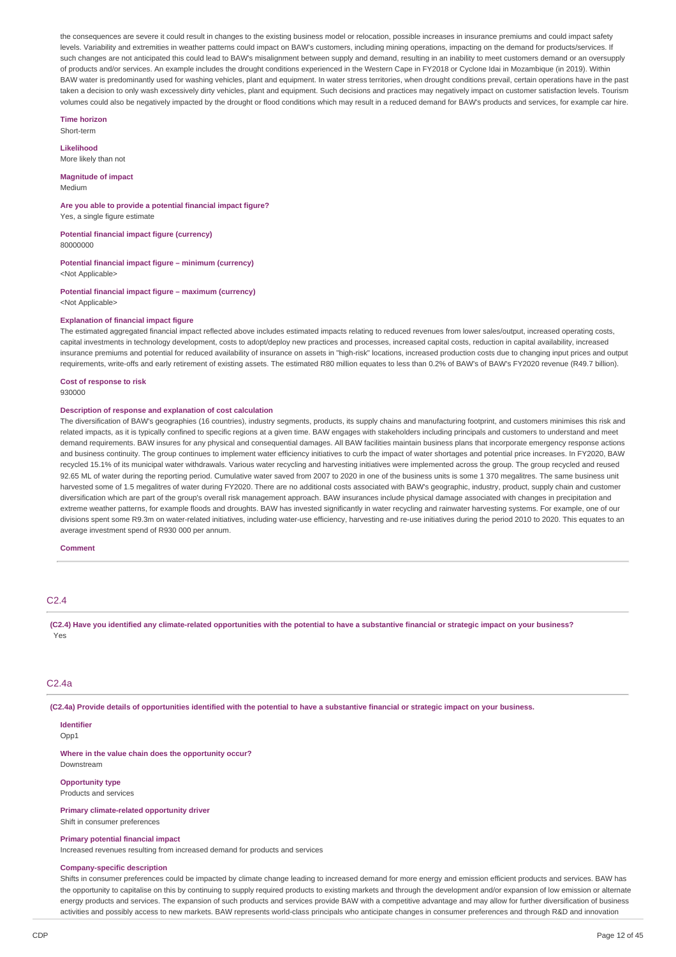the consequences are severe it could result in changes to the existing business model or relocation, possible increases in insurance premiums and could impact safety levels. Variability and extremities in weather patterns could impact on BAW's customers, including mining operations, impacting on the demand for products/services. If such changes are not anticipated this could lead to BAW's misalignment between supply and demand, resulting in an inability to meet customers demand or an oversupply of products and/or services. An example includes the drought conditions experienced in the Western Cape in FY2018 or Cyclone Idai in Mozambique (in 2019). Within BAW water is predominantly used for washing vehicles, plant and equipment. In water stress territories, when drought conditions prevail, certain operations have in the past taken a decision to only wash excessively dirty vehicles, plant and equipment. Such decisions and practices may negatively impact on customer satisfaction levels. Tourism volumes could also be negatively impacted by the drought or flood conditions which may result in a reduced demand for BAW's products and services, for example car hire.

**Time horizon** Short-term

**Likelihood**

More likely than not

**Magnitude of impact** Medium

**Are you able to provide a potential financial impact figure?** Yes, a single figure estimate

**Potential financial impact figure (currency)** 80000000

**Potential financial impact figure – minimum (currency)** <Not Applicable>

**Potential financial impact figure – maximum (currency)** <Not Applicable>

#### **Explanation of financial impact figure**

The estimated aggregated financial impact reflected above includes estimated impacts relating to reduced revenues from lower sales/output, increased operating costs, capital investments in technology development, costs to adopt/deploy new practices and processes, increased capital costs, reduction in capital availability, increased insurance premiums and potential for reduced availability of insurance on assets in "high-risk" locations, increased production costs due to changing input prices and output requirements, write-offs and early retirement of existing assets. The estimated R80 million equates to less than 0.2% of BAW's of BAW's FY2020 revenue (R49.7 billion).

**Cost of response to risk** 930000

#### **Description of response and explanation of cost calculation**

The diversification of BAW's geographies (16 countries), industry segments, products, its supply chains and manufacturing footprint, and customers minimises this risk and related impacts, as it is typically confined to specific regions at a given time. BAW engages with stakeholders including principals and customers to understand and meet demand requirements. BAW insures for any physical and consequential damages. All BAW facilities maintain business plans that incorporate emergency response actions and business continuity. The group continues to implement water efficiency initiatives to curb the impact of water shortages and potential price increases. In FY2020, BAW recycled 15.1% of its municipal water withdrawals. Various water recycling and harvesting initiatives were implemented across the group. The group recycled and reused 92.65 ML of water during the reporting period. Cumulative water saved from 2007 to 2020 in one of the business units is some 1 370 megalitres. The same business unit harvested some of 1.5 megalitres of water during FY2020. There are no additional costs associated with BAW's geographic, industry, product, supply chain and customer diversification which are part of the group's overall risk management approach. BAW insurances include physical damage associated with changes in precipitation and extreme weather patterns, for example floods and droughts. BAW has invested significantly in water recycling and rainwater harvesting systems. For example, one of our divisions spent some R9.3m on water-related initiatives, including water-use efficiency, harvesting and re-use initiatives during the period 2010 to 2020. This equates to an average investment spend of R930 000 per annum.

**Comment**

#### $C<sub>2</sub>$  4

(C2.4) Have you identified any climate-related opportunities with the potential to have a substantive financial or strategic impact on your business? Yes

#### C2.4a

(C2.4a) Provide details of opportunities identified with the potential to have a substantive financial or strategic impact on your business.

# **Identifier**

Opp1

**Where in the value chain does the opportunity occur?** Downstream

#### **Opportunity type** Products and services

**Primary climate-related opportunity driver**

Shift in consumer preferences

# **Primary potential financial impact**

Increased revenues resulting from increased demand for products and services

# **Company-specific description**

Shifts in consumer preferences could be impacted by climate change leading to increased demand for more energy and emission efficient products and services. BAW has the opportunity to capitalise on this by continuing to supply required products to existing markets and through the development and/or expansion of low emission or alternate energy products and services. The expansion of such products and services provide BAW with a competitive advantage and may allow for further diversification of business activities and possibly access to new markets. BAW represents world-class principals who anticipate changes in consumer preferences and through R&D and innovation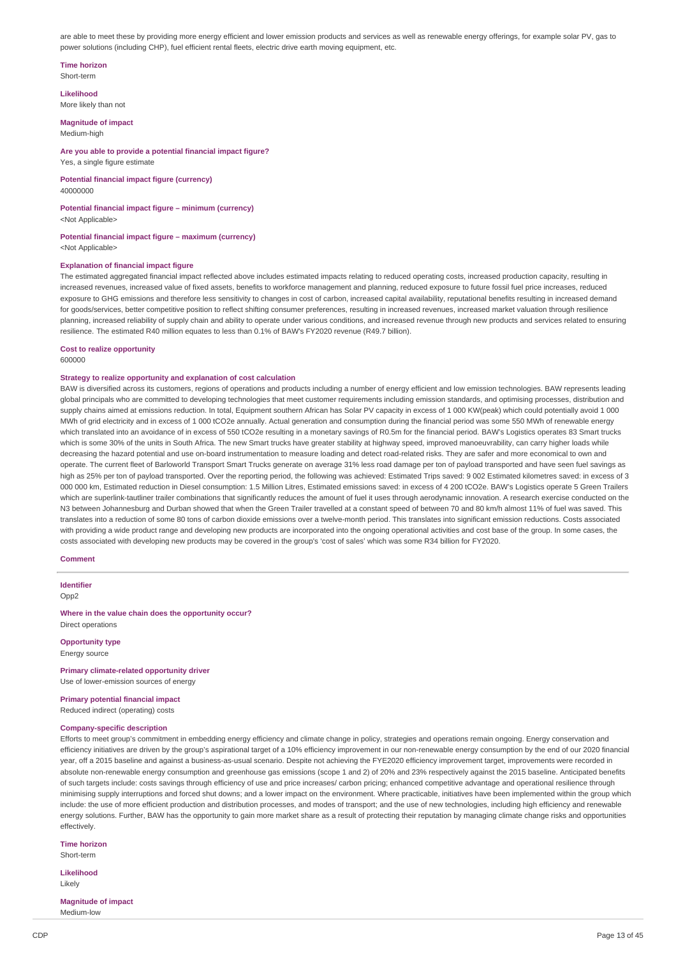are able to meet these by providing more energy efficient and lower emission products and services as well as renewable energy offerings, for example solar PV, gas to power solutions (including CHP), fuel efficient rental fleets, electric drive earth moving equipment, etc.

#### **Time horizon** Short-term

**Likelihood** More likely than not

#### **Magnitude of impact** Medium-high

### **Are you able to provide a potential financial impact figure?** Yes, a single figure estimate

**Potential financial impact figure (currency)** 40000000

### **Potential financial impact figure – minimum (currency)** <Not Applicable>

**Potential financial impact figure – maximum (currency)** <Not Applicable>

### **Explanation of financial impact figure**

The estimated aggregated financial impact reflected above includes estimated impacts relating to reduced operating costs, increased production capacity, resulting in increased revenues, increased value of fixed assets, benefits to workforce management and planning, reduced exposure to future fossil fuel price increases, reduced exposure to GHG emissions and therefore less sensitivity to changes in cost of carbon, increased capital availability, reputational benefits resulting in increased demand for goods/services, better competitive position to reflect shifting consumer preferences, resulting in increased revenues, increased market valuation through resilience planning, increased reliability of supply chain and ability to operate under various conditions, and increased revenue through new products and services related to ensuring resilience. The estimated R40 million equates to less than 0.1% of BAW's FY2020 revenue (R49.7 billion).

### **Cost to realize opportunity**

600000

#### **Strategy to realize opportunity and explanation of cost calculation**

BAW is diversified across its customers, regions of operations and products including a number of energy efficient and low emission technologies. BAW represents leading global principals who are committed to developing technologies that meet customer requirements including emission standards, and optimising processes, distribution and supply chains aimed at emissions reduction. In total, Equipment southern African has Solar PV capacity in excess of 1 000 KW(peak) which could potentially avoid 1 000 MWh of grid electricity and in excess of 1 000 tCO2e annually. Actual generation and consumption during the financial period was some 550 MWh of renewable energy which translated into an avoidance of in excess of 550 tCO2e resulting in a monetary savings of R0.5m for the financial period. BAW's Logistics operates 83 Smart trucks which is some 30% of the units in South Africa. The new Smart trucks have greater stability at highway speed, improved manoeuvrability, can carry higher loads while decreasing the hazard potential and use on-board instrumentation to measure loading and detect road-related risks. They are safer and more economical to own and operate. The current fleet of Barloworld Transport Smart Trucks generate on average 31% less road damage per ton of payload transported and have seen fuel savings as high as 25% per ton of payload transported. Over the reporting period, the following was achieved: Estimated Trips saved: 9 002 Estimated kilometres saved: in excess of 3 000 000 km, Estimated reduction in Diesel consumption: 1.5 Million Litres, Estimated emissions saved: in excess of 4 200 tCO2e. BAW's Logistics operate 5 Green Trailers which are superlink-tautliner trailer combinations that significantly reduces the amount of fuel it uses through aerodynamic innovation. A research exercise conducted on the N3 between Johannesburg and Durban showed that when the Green Trailer travelled at a constant speed of between 70 and 80 km/h almost 11% of fuel was saved. This translates into a reduction of some 80 tons of carbon dioxide emissions over a twelve-month period. This translates into significant emission reductions. Costs associated with providing a wide product range and developing new products are incorporated into the ongoing operational activities and cost base of the group. In some cases, the costs associated with developing new products may be covered in the group's 'cost of sales' which was some R34 billion for FY2020.

#### **Comment**

**Identifier** Opp2

**Where in the value chain does the opportunity occur?** Direct operations

**Opportunity type** Energy source

**Primary climate-related opportunity driver** Use of lower-emission sources of energy

### **Primary potential financial impact**

Reduced indirect (operating) costs

#### **Company-specific description**

Efforts to meet group's commitment in embedding energy efficiency and climate change in policy, strategies and operations remain ongoing. Energy conservation and efficiency initiatives are driven by the group's aspirational target of a 10% efficiency improvement in our non-renewable energy consumption by the end of our 2020 financial year, off a 2015 baseline and against a business-as-usual scenario. Despite not achieving the FYE2020 efficiency improvement target, improvements were recorded in absolute non-renewable energy consumption and greenhouse gas emissions (scope 1 and 2) of 20% and 23% respectively against the 2015 baseline. Anticipated benefits of such targets include: costs savings through efficiency of use and price increases/ carbon pricing; enhanced competitive advantage and operational resilience through minimising supply interruptions and forced shut downs; and a lower impact on the environment. Where practicable, initiatives have been implemented within the group which include: the use of more efficient production and distribution processes, and modes of transport; and the use of new technologies, including high efficiency and renewable energy solutions. Further, BAW has the opportunity to gain more market share as a result of protecting their reputation by managing climate change risks and opportunities effectively.

### **Time horizon**

Short-term

**Likelihood** Likely

#### **Magnitude of impact** Medium-low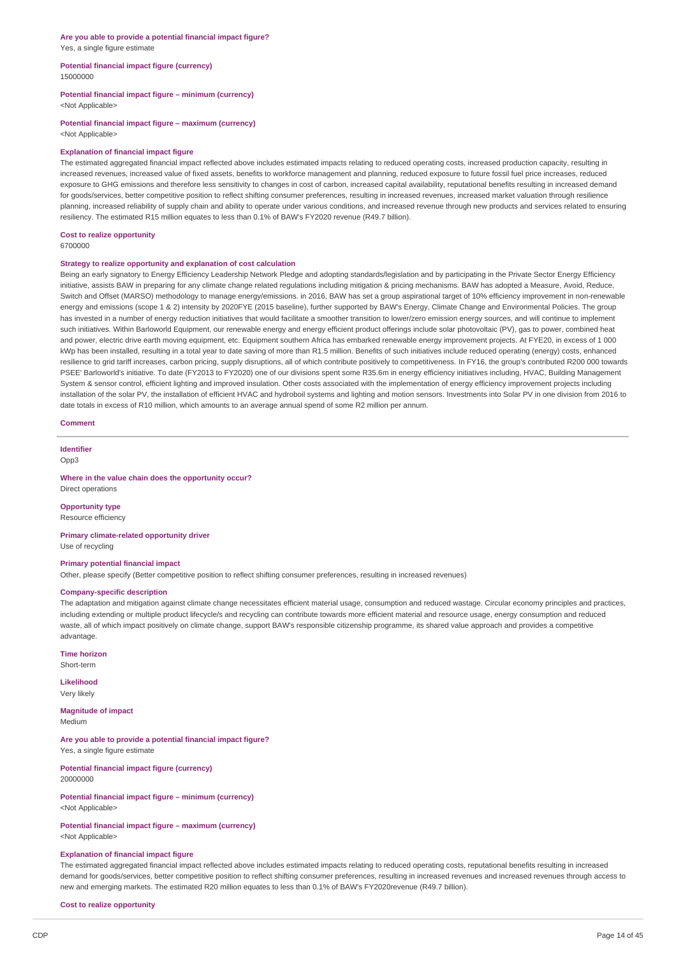#### **Are you able to provide a potential financial impact figure?** Yes, a single figure estimate

#### **Potential financial impact figure (currency)** 15000000

# **Potential financial impact figure – minimum (currency)**

<Not Applicable>

#### **Potential financial impact figure – maximum (currency)** <Not Applicable>

#### **Explanation of financial impact figure**

The estimated aggregated financial impact reflected above includes estimated impacts relating to reduced operating costs, increased production capacity, resulting in increased revenues, increased value of fixed assets, benefits to workforce management and planning, reduced exposure to future fossil fuel price increases, reduced exposure to GHG emissions and therefore less sensitivity to changes in cost of carbon, increased capital availability, reputational benefits resulting in increased demand for goods/services, better competitive position to reflect shifting consumer preferences, resulting in increased revenues, increased market valuation through resilience planning, increased reliability of supply chain and ability to operate under various conditions, and increased revenue through new products and services related to ensuring resiliency. The estimated R15 million equates to less than 0.1% of BAW's FY2020 revenue (R49.7 billion).

#### **Cost to realize opportunity**

6700000

#### **Strategy to realize opportunity and explanation of cost calculation**

Being an early signatory to Energy Efficiency Leadership Network Pledge and adopting standards/legislation and by participating in the Private Sector Energy Efficiency initiative, assists BAW in preparing for any climate change related regulations including mitigation & pricing mechanisms. BAW has adopted a Measure, Avoid, Reduce, Switch and Offset (MARSO) methodology to manage energy/emissions. in 2016, BAW has set a group aspirational target of 10% efficiency improvement in non-renewable energy and emissions (scope 1 & 2) intensity by 2020FYE (2015 baseline), further supported by BAW's Energy, Climate Change and Environmental Policies. The group has invested in a number of energy reduction initiatives that would facilitate a smoother transition to lower/zero emission energy sources, and will continue to implement such initiatives. Within Barloworld Equipment, our renewable energy and energy efficient product offerings include solar photovoltaic (PV), gas to power, combined heat and power, electric drive earth moving equipment, etc. Equipment southern Africa has embarked renewable energy improvement projects. At FYE20, in excess of 1 000 kWp has been installed, resulting in a total year to date saving of more than R1.5 million. Benefits of such initiatives include reduced operating (energy) costs, enhanced resilience to grid tariff increases, carbon pricing, supply disruptions, all of which contribute positively to competitiveness. In FY16, the group's contributed R200 000 towards PSEE' Barloworld's initiative. To date (FY2013 to FY2020) one of our divisions spent some R35.6m in energy efficiency initiatives including, HVAC, Building Management System & sensor control, efficient lighting and improved insulation. Other costs associated with the implementation of energy efficiency improvement projects including installation of the solar PV, the installation of efficient HVAC and hydroboil systems and lighting and motion sensors. Investments into Solar PV in one division from 2016 to date totals in excess of R10 million, which amounts to an average annual spend of some R2 million per annum.

#### **Comment**

### **Identifier**

Opp3

#### **Where in the value chain does the opportunity occur?** Direct operations

**Opportunity type** Resource efficiency

### **Primary climate-related opportunity driver**

Use of recycling

### **Primary potential financial impact**

Other, please specify (Better competitive position to reflect shifting consumer preferences, resulting in increased revenues)

#### **Company-specific description**

The adaptation and mitigation against climate change necessitates efficient material usage, consumption and reduced wastage. Circular economy principles and practices, including extending or multiple product lifecycle/s and recycling can contribute towards more efficient material and resource usage, energy consumption and reduced waste, all of which impact positively on climate change, support BAW's responsible citizenship programme, its shared value approach and provides a competitive advantage.

**Time horizon**

Short-term

**Likelihood** Very likely

**Magnitude of impact** Medium

**Are you able to provide a potential financial impact figure?** Yes, a single figure estimate

**Potential financial impact figure (currency)** 20000000

**Potential financial impact figure – minimum (currency)** <Not Applicable>

**Potential financial impact figure – maximum (currency)** <Not Applicable>

#### **Explanation of financial impact figure**

The estimated aggregated financial impact reflected above includes estimated impacts relating to reduced operating costs, reputational benefits resulting in increased demand for goods/services, better competitive position to reflect shifting consumer preferences, resulting in increased revenues and increased revenues through access to new and emerging markets. The estimated R20 million equates to less than 0.1% of BAW's FY2020revenue (R49.7 billion).

**Cost to realize opportunity**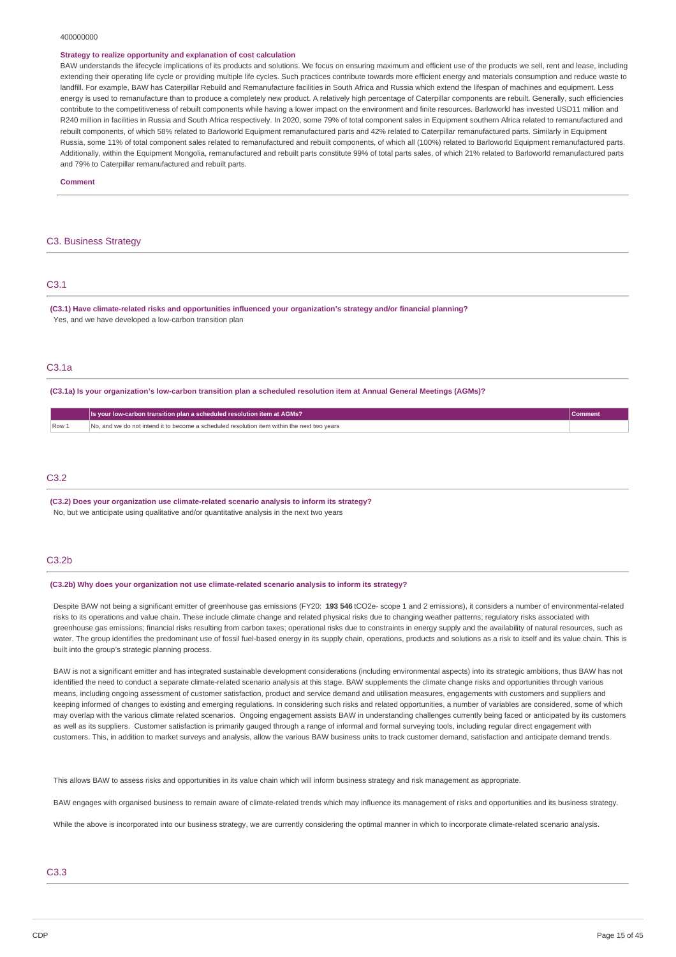#### 400000000

#### **Strategy to realize opportunity and explanation of cost calculation**

BAW understands the lifecycle implications of its products and solutions. We focus on ensuring maximum and efficient use of the products we sell, rent and lease, including extending their operating life cycle or providing multiple life cycles. Such practices contribute towards more efficient energy and materials consumption and reduce waste to landfill. For example, BAW has Caterpillar Rebuild and Remanufacture facilities in South Africa and Russia which extend the lifespan of machines and equipment. Less energy is used to remanufacture than to produce a completely new product. A relatively high percentage of Caterpillar components are rebuilt. Generally, such efficiencies contribute to the competitiveness of rebuilt components while having a lower impact on the environment and finite resources. Barloworld has invested USD11 million and R240 million in facilities in Russia and South Africa respectively. In 2020, some 79% of total component sales in Equipment southern Africa related to remanufactured and rebuilt components, of which 58% related to Barloworld Equipment remanufactured parts and 42% related to Caterpillar remanufactured parts. Similarly in Equipment Russia, some 11% of total component sales related to remanufactured and rebuilt components, of which all (100%) related to Barloworld Equipment remanufactured parts. Additionally, within the Equipment Mongolia, remanufactured and rebuilt parts constitute 99% of total parts sales, of which 21% related to Barloworld remanufactured parts and 79% to Caterpillar remanufactured and rebuilt parts.

**Comment**

### C3. Business Strategy

### C3.1

**(C3.1) Have climate-related risks and opportunities influenced your organization's strategy and/or financial planning?** Yes, and we have developed a low-carbon transition plan

# C3.1a

(C3.1a) Is your organization's low-carbon transition plan a scheduled resolution item at Annual General Meetings (AGMs)?

|      | Is your low-carbon transition plan a scheduled resolution item at AGMs?                     |  |
|------|---------------------------------------------------------------------------------------------|--|
| Row: | No, and we do not intend it to become a scheduled resolution item within the next two vears |  |
|      |                                                                                             |  |

### C3.2

**(C3.2) Does your organization use climate-related scenario analysis to inform its strategy?** No, but we anticipate using qualitative and/or quantitative analysis in the next two years

#### C3.2b

#### **(C3.2b) Why does your organization not use climate-related scenario analysis to inform its strategy?**

Despite BAW not being a significant emitter of greenhouse gas emissions (FY20: **193 546** tCO2e- scope 1 and 2 emissions), it considers a number of environmental-related risks to its operations and value chain. These include climate change and related physical risks due to changing weather patterns; regulatory risks associated with greenhouse gas emissions; financial risks resulting from carbon taxes; operational risks due to constraints in energy supply and the availability of natural resources, such as water. The group identifies the predominant use of fossil fuel-based energy in its supply chain, operations, products and solutions as a risk to itself and its value chain. This is built into the group's strategic planning process.

BAW is not a significant emitter and has integrated sustainable development considerations (including environmental aspects) into its strategic ambitions, thus BAW has not identified the need to conduct a separate climate-related scenario analysis at this stage. BAW supplements the climate change risks and opportunities through various means, including ongoing assessment of customer satisfaction, product and service demand and utilisation measures, engagements with customers and suppliers and keeping informed of changes to existing and emerging regulations. In considering such risks and related opportunities, a number of variables are considered, some of which may overlap with the various climate related scenarios. Ongoing engagement assists BAW in understanding challenges currently being faced or anticipated by its customers as well as its suppliers. Customer satisfaction is primarily gauged through a range of informal and formal surveying tools, including regular direct engagement with customers. This, in addition to market surveys and analysis, allow the various BAW business units to track customer demand, satisfaction and anticipate demand trends.

This allows BAW to assess risks and opportunities in its value chain which will inform business strategy and risk management as appropriate.

BAW engages with organised business to remain aware of climate-related trends which may influence its management of risks and opportunities and its business strategy.

While the above is incorporated into our business strategy, we are currently considering the optimal manner in which to incorporate climate-related scenario analysis.

### C3.3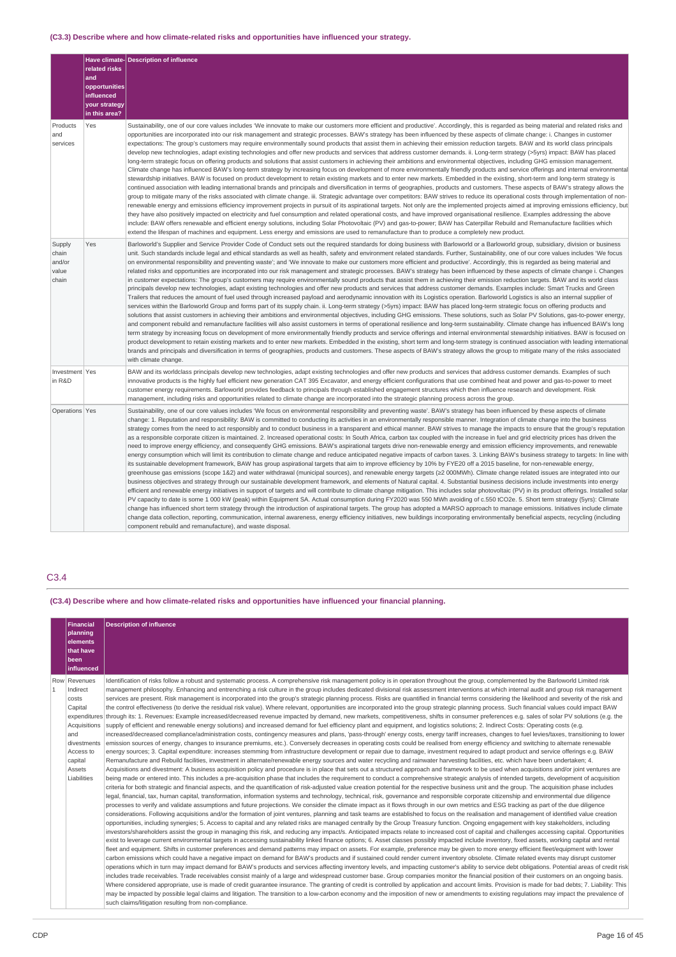# **(C3.3) Describe where and how climate-related risks and opportunities have influenced your strategy.**

|                                             | related risks<br>and<br>opportunities<br>influenced<br>your strategy<br>in this area? | Have climate- Description of influence                                                                                                                                                                                                                                                                                                                                                                                                                                                                                                                                                                                                                                                                                                                                                                                                                                                                                                                                                                                                                                                                                                                                                                                                                                                                                                                                                                                                                                                                                                                                                                                                                                                                                                                                                                                                                                                                                                                                                                                                                                                                                                                                                                                                                                                                                                                                                                                                                                                                                               |
|---------------------------------------------|---------------------------------------------------------------------------------------|--------------------------------------------------------------------------------------------------------------------------------------------------------------------------------------------------------------------------------------------------------------------------------------------------------------------------------------------------------------------------------------------------------------------------------------------------------------------------------------------------------------------------------------------------------------------------------------------------------------------------------------------------------------------------------------------------------------------------------------------------------------------------------------------------------------------------------------------------------------------------------------------------------------------------------------------------------------------------------------------------------------------------------------------------------------------------------------------------------------------------------------------------------------------------------------------------------------------------------------------------------------------------------------------------------------------------------------------------------------------------------------------------------------------------------------------------------------------------------------------------------------------------------------------------------------------------------------------------------------------------------------------------------------------------------------------------------------------------------------------------------------------------------------------------------------------------------------------------------------------------------------------------------------------------------------------------------------------------------------------------------------------------------------------------------------------------------------------------------------------------------------------------------------------------------------------------------------------------------------------------------------------------------------------------------------------------------------------------------------------------------------------------------------------------------------------------------------------------------------------------------------------------------------|
| Products<br>and<br>services                 | Yes                                                                                   | Sustainability, one of our core values includes 'We innovate to make our customers more efficient and productive'. Accordingly, this is regarded as being material and related risks and<br>opportunities are incorporated into our risk management and strategic processes. BAW's strategy has been influenced by these aspects of climate change: i. Changes in customer<br>expectations: The group's customers may require environmentally sound products that assist them in achieving their emission reduction targets. BAW and its world class principals<br>develop new technologies, adapt existing technologies and offer new products and services that address customer demands. ii. Long-term strategy (>5yrs) impact: BAW has placed<br>long-term strategic focus on offering products and solutions that assist customers in achieving their ambitions and environmental objectives, including GHG emission management.<br>Climate change has influenced BAW's long-term strategy by increasing focus on development of more environmentally friendly products and service offerings and internal environmental<br>stewardship initiatives. BAW is focused on product development to retain existing markets and to enter new markets. Embedded in the existing, short-term and long-term strategy is<br>continued association with leading international brands and principals and diversification in terms of geographies, products and customers. These aspects of BAW's strategy allows the<br>group to mitigate many of the risks associated with climate change. iii. Strategic advantage over competitors: BAW strives to reduce its operational costs through implementation of non-<br>renewable energy and emissions efficiency improvement projects in pursuit of its aspirational targets. Not only are the implemented projects aimed at improving emissions efficiency, but<br>they have also positively impacted on electricity and fuel consumption and related operational costs, and have improved organisational resilience. Examples addressing the above<br>include: BAW offers renewable and efficient energy solutions, including Solar Photovoltaic (PV) and gas-to-power; BAW has Caterpillar Rebuild and Remanufacture facilities which<br>extend the lifespan of machines and equipment. Less energy and emissions are used to remanufacture than to produce a completely new product.                                                                                                      |
| Supply<br>chain<br>and/or<br>value<br>chain | Yes                                                                                   | Barloworld's Supplier and Service Provider Code of Conduct sets out the required standards for doing business with Barloworld or a Barloworld group, subsidiary, division or business<br>unit. Such standards include legal and ethical standards as well as health, safety and environment related standards. Further, Sustainability, one of our core values includes 'We focus<br>on environmental responsibility and preventing waste'; and 'We innovate to make our customers more efficient and productive'. Accordingly, this is regarded as being material and<br>related risks and opportunities are incorporated into our risk management and strategic processes. BAW's strategy has been influenced by these aspects of climate change i. Changes<br>in customer expectations: The group's customers may require environmentally sound products that assist them in achieving their emission reduction targets. BAW and its world class<br>principals develop new technologies, adapt existing technologies and offer new products and services that address customer demands. Examples include: Smart Trucks and Green<br>Trailers that reduces the amount of fuel used through increased payload and aerodynamic innovation with its Logistics operation. Barloworld Logistics is also an internal supplier of<br>services within the Barloworld Group and forms part of its supply chain. ii. Long-term strategy (>5yrs) impact: BAW has placed long-term strategic focus on offering products and<br>solutions that assist customers in achieving their ambitions and environmental objectives, including GHG emissions. These solutions, such as Solar PV Solutions, gas-to-power energy,<br>and component rebuild and remanufacture facilities will also assist customers in terms of operational resilience and long-term sustainability. Climate change has influenced BAW's long<br>term strategy by increasing focus on development of more environmentally friendly products and service offerings and internal environmental stewardship initiatives. BAW is focused on<br>product development to retain existing markets and to enter new markets. Embedded in the existing, short term and long-term strategy is continued association with leading international<br>brands and principals and diversification in terms of geographies, products and customers. These aspects of BAW's strategy allows the group to mitigate many of the risks associated<br>with climate change.                          |
| Investment Yes<br>in R&D                    |                                                                                       | BAW and its worldclass principals develop new technologies, adapt existing technologies and offer new products and services that address customer demands. Examples of such<br>innovative products is the highly fuel efficient new generation CAT 395 Excavator, and energy efficient configurations that use combined heat and power and gas-to-power to meet<br>customer energy requirements. Barloworld provides feedback to principals through established engagement structures which then influence research and development. Risk<br>management, including risks and opportunities related to climate change are incorporated into the strategic planning process across the group.                                                                                                                                                                                                                                                                                                                                                                                                                                                                                                                                                                                                                                                                                                                                                                                                                                                                                                                                                                                                                                                                                                                                                                                                                                                                                                                                                                                                                                                                                                                                                                                                                                                                                                                                                                                                                                          |
| Operations Yes                              |                                                                                       | Sustainability, one of our core values includes 'We focus on environmental responsibility and preventing waste'. BAW's strategy has been influenced by these aspects of climate<br>change: 1. Reputation and responsibility: BAW is committed to conducting its activities in an environmentally responsible manner. Integration of climate change into the business<br>strategy comes from the need to act responsibly and to conduct business in a transparent and ethical manner. BAW strives to manage the impacts to ensure that the group's reputation<br>as a responsible corporate citizen is maintained. 2. Increased operational costs: In South Africa, carbon tax coupled with the increase in fuel and grid electricity prices has driven the<br>need to improve energy efficiency, and consequently GHG emissions. BAW's aspirational targets drive non-renewable energy and emission efficiency improvements, and renewable<br>energy consumption which will limit its contribution to climate change and reduce anticipated negative impacts of carbon taxes. 3. Linking BAW's business strategy to targets: In line with<br>its sustainable development framework, BAW has group aspirational targets that aim to improve efficiency by 10% by FYE20 off a 2015 baseline, for non-renewable energy,<br>greenhouse gas emissions (scope 1&2) and water withdrawal (municipal sources), and renewable energy targets (≥2 000MWh). Climate change related issues are integrated into our<br>business objectives and strategy through our sustainable development framework, and elements of Natural capital, 4. Substantial business decisions include investments into energy<br>efficient and renewable energy initiatives in support of targets and will contribute to climate change mitigation. This includes solar photovoltaic (PV) in its product offerings. Installed solar<br>PV capacity to date is some 1 000 kW (peak) within Equipment SA. Actual consumption during FY2020 was 550 MWh avoiding of c.550 tCO2e. 5. Short term strategy (5yrs): Climate<br>change has influenced short term strategy through the introduction of aspirational targets. The group has adopted a MARSO approach to manage emissions. Initiatives include climate<br>change data collection, reporting, communication, internal awareness, energy efficiency initiatives, new buildings incorporating environmentally beneficial aspects, recycling (including<br>component rebuild and remanufacture), and waste disposal. |

# C3.4

**(C3.4) Describe where and how climate-related risks and opportunities have influenced your financial planning.**

|                | <b>Financial</b><br>planning<br>elements<br>that have<br>been                                                       | <b>Description of influence</b>                                                                                                                                                                                                                                                                                                                                                                                                                                                                                                                                                                                                                                                                                                                                                                                                                                                                                                                                                                                                                                                                                                                                                                                                                                                                                                                                                                                                                                                                                                                                                                                                                                                                                                                                                                                                                                                                                                                                                                                                                                                                                                                                                                                                                                                                                                                                                                                                                                                                                                                                                                                                                                                                                                                                                                                                                                                                                                                                                                                                                                                                                                                                                                                                                                                                                                                                                                                                                                                                                                                                                                                                                                                                                                                                                                                                                                                                                                                                                                                                                                                                                                                                                                                                                                                                                                                                                                                                                                                                                                                                                                                                                                                                                                                                                                                                                                                                                                                                                                                                                                       |
|----------------|---------------------------------------------------------------------------------------------------------------------|-----------------------------------------------------------------------------------------------------------------------------------------------------------------------------------------------------------------------------------------------------------------------------------------------------------------------------------------------------------------------------------------------------------------------------------------------------------------------------------------------------------------------------------------------------------------------------------------------------------------------------------------------------------------------------------------------------------------------------------------------------------------------------------------------------------------------------------------------------------------------------------------------------------------------------------------------------------------------------------------------------------------------------------------------------------------------------------------------------------------------------------------------------------------------------------------------------------------------------------------------------------------------------------------------------------------------------------------------------------------------------------------------------------------------------------------------------------------------------------------------------------------------------------------------------------------------------------------------------------------------------------------------------------------------------------------------------------------------------------------------------------------------------------------------------------------------------------------------------------------------------------------------------------------------------------------------------------------------------------------------------------------------------------------------------------------------------------------------------------------------------------------------------------------------------------------------------------------------------------------------------------------------------------------------------------------------------------------------------------------------------------------------------------------------------------------------------------------------------------------------------------------------------------------------------------------------------------------------------------------------------------------------------------------------------------------------------------------------------------------------------------------------------------------------------------------------------------------------------------------------------------------------------------------------------------------------------------------------------------------------------------------------------------------------------------------------------------------------------------------------------------------------------------------------------------------------------------------------------------------------------------------------------------------------------------------------------------------------------------------------------------------------------------------------------------------------------------------------------------------------------------------------------------------------------------------------------------------------------------------------------------------------------------------------------------------------------------------------------------------------------------------------------------------------------------------------------------------------------------------------------------------------------------------------------------------------------------------------------------------------------------------------------------------------------------------------------------------------------------------------------------------------------------------------------------------------------------------------------------------------------------------------------------------------------------------------------------------------------------------------------------------------------------------------------------------------------------------------------------------------------------------------------------------------------------------------------------------------------------------------------------------------------------------------------------------------------------------------------------------------------------------------------------------------------------------------------------------------------------------------------------------------------------------------------------------------------------------------------------------------------------------------------------------------------------------------|
|                | influenced                                                                                                          |                                                                                                                                                                                                                                                                                                                                                                                                                                                                                                                                                                                                                                                                                                                                                                                                                                                                                                                                                                                                                                                                                                                                                                                                                                                                                                                                                                                                                                                                                                                                                                                                                                                                                                                                                                                                                                                                                                                                                                                                                                                                                                                                                                                                                                                                                                                                                                                                                                                                                                                                                                                                                                                                                                                                                                                                                                                                                                                                                                                                                                                                                                                                                                                                                                                                                                                                                                                                                                                                                                                                                                                                                                                                                                                                                                                                                                                                                                                                                                                                                                                                                                                                                                                                                                                                                                                                                                                                                                                                                                                                                                                                                                                                                                                                                                                                                                                                                                                                                                                                                                                                       |
| $\overline{1}$ | Row Revenues<br>Indirect<br>costs<br>Capital<br>and<br>divestments<br>Access to<br>capital<br>Assets<br>Liabilities | Identification of risks follow a robust and systematic process. A comprehensive risk management policy is in operation throughout the group, complemented by the Barloworld Limited risk<br>management philosophy. Enhancing and entrenching a risk culture in the group includes dedicated divisional risk assessment interventions at which internal audit and group risk management<br>services are present. Risk management is incorporated into the group's strategic planning process. Risks are quantified in financial terms considering the likelihood and severity of the risk and<br>the control effectiveness (to derive the residual risk value). Where relevant, opportunities are incorporated into the group strategic planning process. Such financial values could impact BAW<br>expenditures through its: 1. Revenues: Example increased/decreased revenue impacted by demand, new markets, competitiveness, shifts in consumer preferences e.g. sales of solar PV solutions (e.g. the<br>Acquisitions supply of efficient and renewable energy solutions) and increased demand for fuel efficiency plant and equipment, and logistics solutions; 2. Indirect Costs: Operating costs (e.g.<br>increased/decreased compliance/administration costs, contingency measures and plans, 'pass-through' energy costs, energy tariff increases, changes to fuel levies/taxes, transitioning to lower<br>emission sources of energy, changes to insurance premiums, etc.). Conversely decreases in operating costs could be realised from energy efficiency and switching to alternate renewable<br>energy sources; 3. Capital expenditure: increases stemming from infrastructure development or repair due to damage, investment required to adapt product and service offerings e.g. BAW<br>Remanufacture and Rebuild facilities, investment in alternate/renewable energy sources and water recycling and rainwater harvesting facilities, etc. which have been undertaken; 4.<br>Acquisitions and divestment: A business acquisition policy and procedure is in place that sets out a structured approach and framework to be used when acquisitions and/or joint ventures are<br>being made or entered into. This includes a pre-acquisition phase that includes the requirement to conduct a comprehensive strategic analysis of intended targets, development of acquisition<br>criteria for both strategic and financial aspects, and the quantification of risk-adjusted value creation potential for the respective business unit and the group. The acquisition phase includes<br>legal, financial, tax, human capital, transformation, information systems and technology, technical, risk, governance and responsible corporate citizenship and environmental due diligence<br>processes to verify and validate assumptions and future projections. We consider the climate impact as it flows through in our own metrics and ESG tracking as part of the due diligence<br>considerations. Following acquisitions and/or the formation of joint ventures, planning and task teams are established to focus on the realisation and management of identified value creation<br>opportunities, including synergies; 5. Access to capital and any related risks are managed centrally by the Group Treasury function. Ongoing engagement with key stakeholders, including<br>investors/shareholders assist the group in managing this risk, and reducing any impact/s. Anticipated impacts relate to increased cost of capital and challenges accessing capital. Opportunities<br>exist to leverage current environmental targets in accessing sustainability linked finance options; 6. Asset classes possibly impacted include inventory, fixed assets, working capital and rental<br>fleet and equipment. Shifts in customer preferences and demand patterns may impact on assets. For example, preference may be given to more energy efficient fleet/equipment with lower<br>carbon emissions which could have a negative impact on demand for BAW's products and if sustained could render current inventory obsolete. Climate related events may disrupt customer<br>operations which in turn may impact demand for BAW's products and services affecting inventory levels, and impacting customer's ability to service debt obligations. Potential areas of credit risk<br>includes trade receivables. Trade receivables consist mainly of a large and widespread customer base. Group companies monitor the financial position of their customers on an ongoing basis.<br>Where considered appropriate, use is made of credit quarantee insurance. The granting of credit is controlled by application and account limits. Provision is made for bad debts; 7. Liability: This<br>may be impacted by possible legal claims and litigation. The transition to a low-carbon economy and the imposition of new or amendments to existing regulations may impact the prevalence of<br>such claims/litigation resulting from non-compliance. |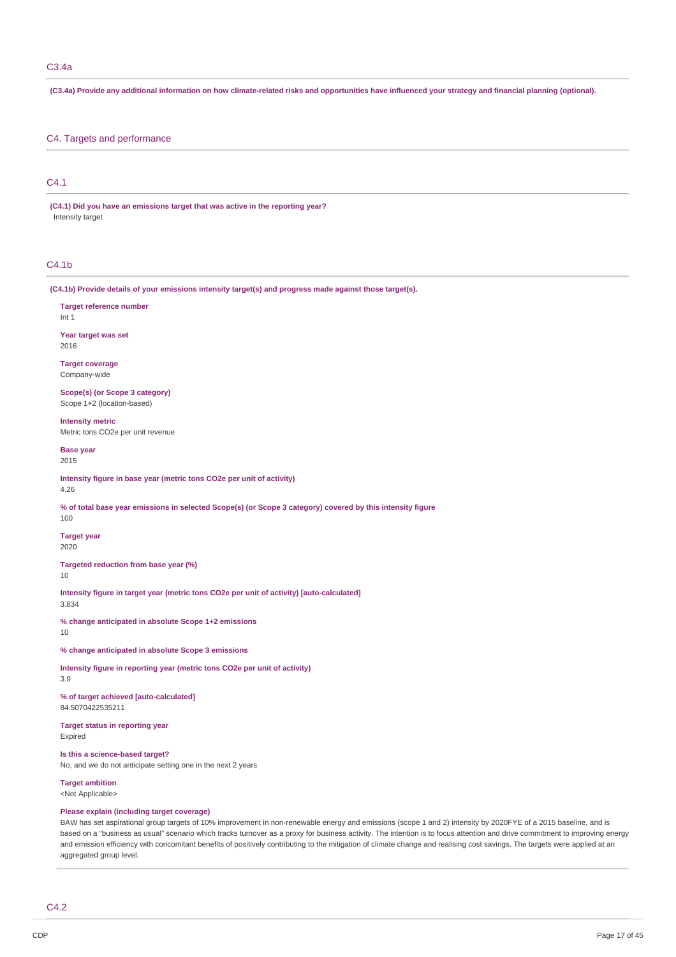# C3.4a

(C3.4a) Provide any additional information on how climate-related risks and opportunities have influenced your strategy and financial planning (optional).

### C4. Targets and performance

# C4.1

**(C4.1) Did you have an emissions target that was active in the reporting year?** Intensity target

### C4.1b

**(C4.1b) Provide details of your emissions intensity target(s) and progress made against those target(s).**

**Target reference number** Int 1 **Year target was set**

2016

**Target coverage** Company-wide

**Scope(s) (or Scope 3 category)** Scope 1+2 (location-based)

**Intensity metric** Metric tons CO2e per unit revenue

**Base year**

2015

**Intensity figure in base year (metric tons CO2e per unit of activity)**

4.26

% of total base year emissions in selected Scope(s) (or Scope 3 category) covered by this intensity figure 100

**Target year** 2020

**Targeted reduction from base year (%)**

10

**Intensity figure in target year (metric tons CO2e per unit of activity) [auto-calculated]**

3.834

**% change anticipated in absolute Scope 1+2 emissions** 10

**% change anticipated in absolute Scope 3 emissions**

**Intensity figure in reporting year (metric tons CO2e per unit of activity)** 3.9

**% of target achieved [auto-calculated]** 84.5070422535211

**Target status in reporting year** Expired

**Is this a science-based target?** No, and we do not anticipate setting one in the next 2 years

**Target ambition** <Not Applicable>

### **Please explain (including target coverage)**

BAW has set aspirational group targets of 10% improvement in non-renewable energy and emissions (scope 1 and 2) intensity by 2020FYE of a 2015 baseline, and is based on a "business as usual" scenario which tracks turnover as a proxy for business activity. The intention is to focus attention and drive commitment to improving energy and emission efficiency with concomitant benefits of positively contributing to the mitigation of climate change and realising cost savings. The targets were applied at an aggregated group level.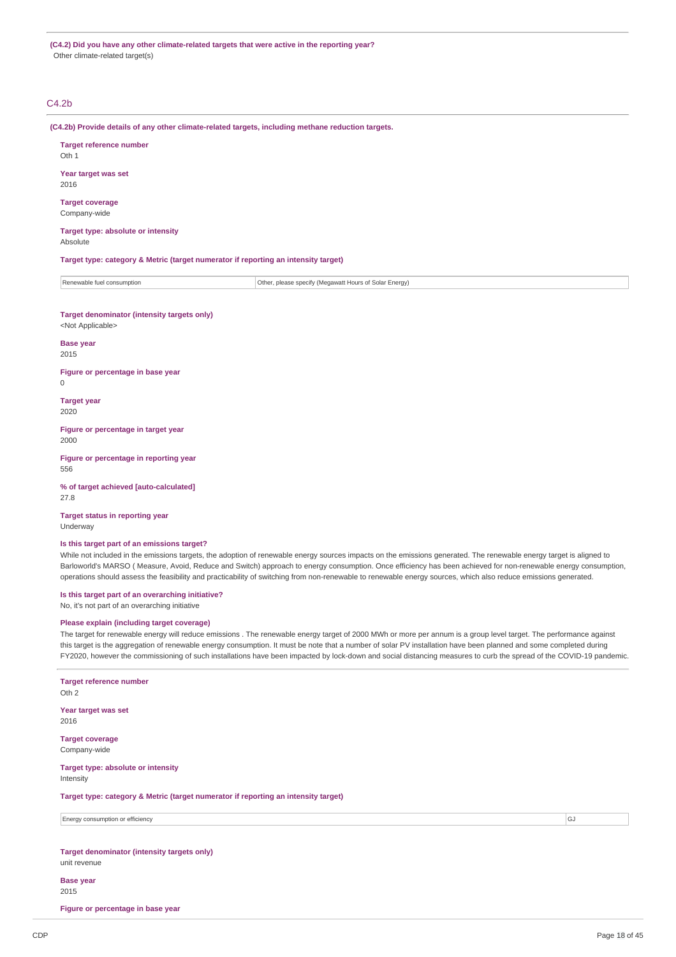**(C4.2) Did you have any other climate-related targets that were active in the reporting year?** Other climate-related target(s)

### C4.2b

**(C4.2b) Provide details of any other climate-related targets, including methane reduction targets.**

**Target reference number** Oth 1

**Year target was set** 2016

**Target coverage** Company-wide

**Target type: absolute or intensity** Absolute

**Target type: category & Metric (target numerator if reporting an intensity target)**

| Renewable fuel consumption | Other, please specify (Megawatt Hours of Solar Energy) |
|----------------------------|--------------------------------------------------------|
|                            |                                                        |

**Target denominator (intensity targets only)** <Not Applicable>

**Base year** 2015

**Figure or percentage in base year**

 $\Omega$ 

**Target year** 2020

**Figure or percentage in target year** 2000

**Figure or percentage in reporting year** 556

**% of target achieved [auto-calculated]** 27.8

**Target status in reporting year** Underway

#### **Is this target part of an emissions target?**

While not included in the emissions targets, the adoption of renewable energy sources impacts on the emissions generated. The renewable energy target is aligned to Barloworld's MARSO ( Measure, Avoid, Reduce and Switch) approach to energy consumption. Once efficiency has been achieved for non-renewable energy consumption, operations should assess the feasibility and practicability of switching from non-renewable to renewable energy sources, which also reduce emissions generated.

**Is this target part of an overarching initiative?** No, it's not part of an overarching initiative

**Please explain (including target coverage)**

The target for renewable energy will reduce emissions . The renewable energy target of 2000 MWh or more per annum is a group level target. The performance against this target is the aggregation of renewable energy consumption. It must be note that a number of solar PV installation have been planned and some completed during FY2020, however the commissioning of such installations have been impacted by lock-down and social distancing measures to curb the spread of the COVID-19 pandemic.

| <b>Target reference number</b><br>Oth <sub>2</sub>                                 |    |
|------------------------------------------------------------------------------------|----|
| Year target was set<br>2016                                                        |    |
| <b>Target coverage</b><br>Company-wide                                             |    |
| Target type: absolute or intensity<br>Intensity                                    |    |
| Target type: category & Metric (target numerator if reporting an intensity target) |    |
| Energy consumption or efficiency                                                   | GJ |
| Target denominator (intensity targets only)<br>unit revenue                        |    |
| <b>Base year</b>                                                                   |    |

2015

**Figure or percentage in base year**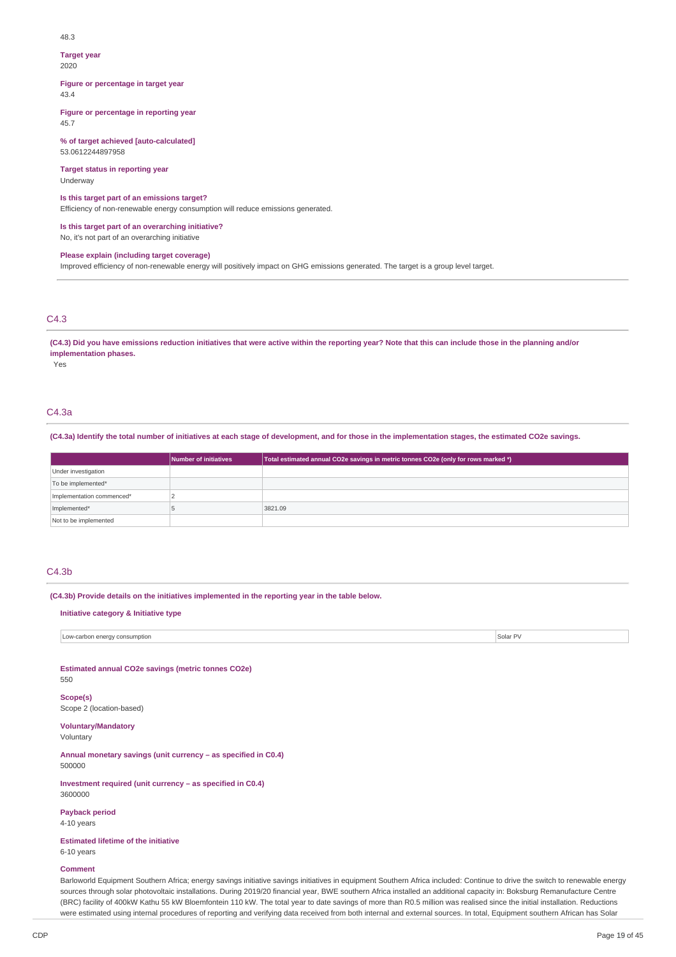#### 48.3

#### **Target year**

2020

**Figure or percentage in target year** 43.4

**Figure or percentage in reporting year** 45.7

**% of target achieved [auto-calculated]** 53.0612244897958

**Target status in reporting year** Underway

### **Is this target part of an emissions target?**

Efficiency of non-renewable energy consumption will reduce emissions generated.

**Is this target part of an overarching initiative?** No, it's not part of an overarching initiative

# **Please explain (including target coverage)**

Improved efficiency of non-renewable energy will positively impact on GHG emissions generated. The target is a group level target.

### C4.3

(C4.3) Did you have emissions reduction initiatives that were active within the reporting year? Note that this can include those in the planning and/or **implementation phases.**

Yes

### C4.3a

(C4.3a) Identify the total number of initiatives at each stage of development, and for those in the implementation stages, the estimated CO2e savings.

|                           | Number of initiatives | Total estimated annual CO2e savings in metric tonnes CO2e (only for rows marked *) |
|---------------------------|-----------------------|------------------------------------------------------------------------------------|
| Under investigation       |                       |                                                                                    |
| To be implemented*        |                       |                                                                                    |
| Implementation commenced* |                       |                                                                                    |
| Implemented*              |                       | 3821.09                                                                            |
| Not to be implemented     |                       |                                                                                    |

# $C4.3<sub>b</sub>$

**(C4.3b) Provide details on the initiatives implemented in the reporting year in the table below.**

### **Initiative category & Initiative type**

Low-carbon energy consumption Solar PV and the constant of the constant of the constant of the consumption Solar PV solar PV and the consumption Solar PV solar PV solar PV and the consumption

**Estimated annual CO2e savings (metric tonnes CO2e)** 550

# **Scope(s)**

Scope 2 (location-based)

**Voluntary/Mandatory**

Voluntary

**Annual monetary savings (unit currency – as specified in C0.4)** 500000

**Investment required (unit currency – as specified in C0.4)** 3600000

#### **Payback period**

4-10 years

**Estimated lifetime of the initiative**

# 6-10 years

**Comment**

Barloworld Equipment Southern Africa; energy savings initiative savings initiatives in equipment Southern Africa included: Continue to drive the switch to renewable energy sources through solar photovoltaic installations. During 2019/20 financial year, BWE southern Africa installed an additional capacity in: Boksburg Remanufacture Centre (BRC) facility of 400kW Kathu 55 kW Bloemfontein 110 kW. The total year to date savings of more than R0.5 million was realised since the initial installation. Reductions were estimated using internal procedures of reporting and verifying data received from both internal and external sources. In total, Equipment southern African has Solar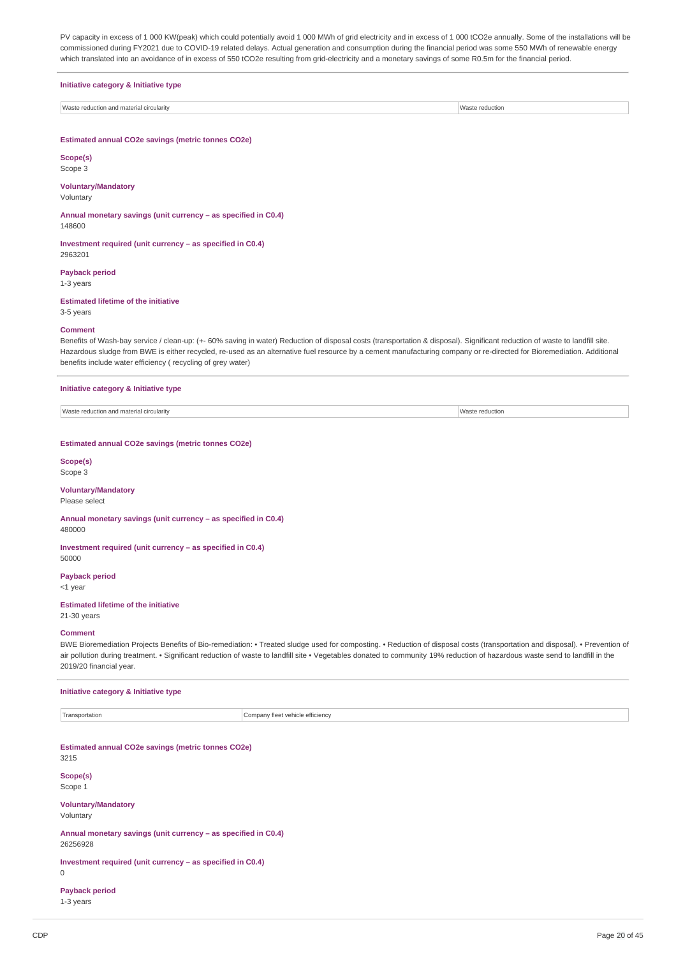PV capacity in excess of 1 000 KW(peak) which could potentially avoid 1 000 MWh of grid electricity and in excess of 1 000 tCO2e annually. Some of the installations will be commissioned during FY2021 due to COVID-19 related delays. Actual generation and consumption during the financial period was some 550 MWh of renewable energy which translated into an avoidance of in excess of 550 tCO2e resulting from grid-electricity and a monetary savings of some R0.5m for the financial period.

#### **Initiative category & Initiative type**

Waste reduction and material circularity Waster reduction with the state of the state reduction and material circularity

### **Estimated annual CO2e savings (metric tonnes CO2e)**

**Scope(s)** Scope 3

### **Voluntary/Mandatory**

Voluntary

**Annual monetary savings (unit currency – as specified in C0.4)** 148600

**Investment required (unit currency – as specified in C0.4)** 2963201

#### **Payback period** 1-3 years

**Estimated lifetime of the initiative**

3-5 years

#### **Comment**

Benefits of Wash-bay service / clean-up: (+- 60% saving in water) Reduction of disposal costs (transportation & disposal). Significant reduction of waste to landfill site. Hazardous sludge from BWE is either recycled, re-used as an alternative fuel resource by a cement manufacturing company or re-directed for Bioremediation. Additional benefits include water efficiency ( recycling of grey water)

#### **Initiative category & Initiative type**

Waste reduction and material circularity Waster reduction

#### **Estimated annual CO2e savings (metric tonnes CO2e)**

# **Scope(s)**

# Scope 3

# **Voluntary/Mandatory**

Please select

**Annual monetary savings (unit currency – as specified in C0.4)** 480000

**Investment required (unit currency – as specified in C0.4)** 50000

**Payback period** <1 year

### **Estimated lifetime of the initiative**

# 21-30 years **Comment**

BWE Bioremediation Projects Benefits of Bio-remediation: • Treated sludge used for composting. • Reduction of disposal costs (transportation and disposal). • Prevention of air pollution during treatment. • Significant reduction of waste to landfill site • Vegetables donated to community 19% reduction of hazardous waste send to landfill in the 2019/20 financial year.

#### **Initiative category & Initiative type**

Transportation **Company fleet vehicle efficiency** 

**Estimated annual CO2e savings (metric tonnes CO2e)** 3215

**Scope(s)**

Scope 1

**Voluntary/Mandatory** Voluntary

**Annual monetary savings (unit currency – as specified in C0.4)** 26256928

**Investment required (unit currency – as specified in C0.4)**

 $\Omega$ 

**Payback period**

1-3 years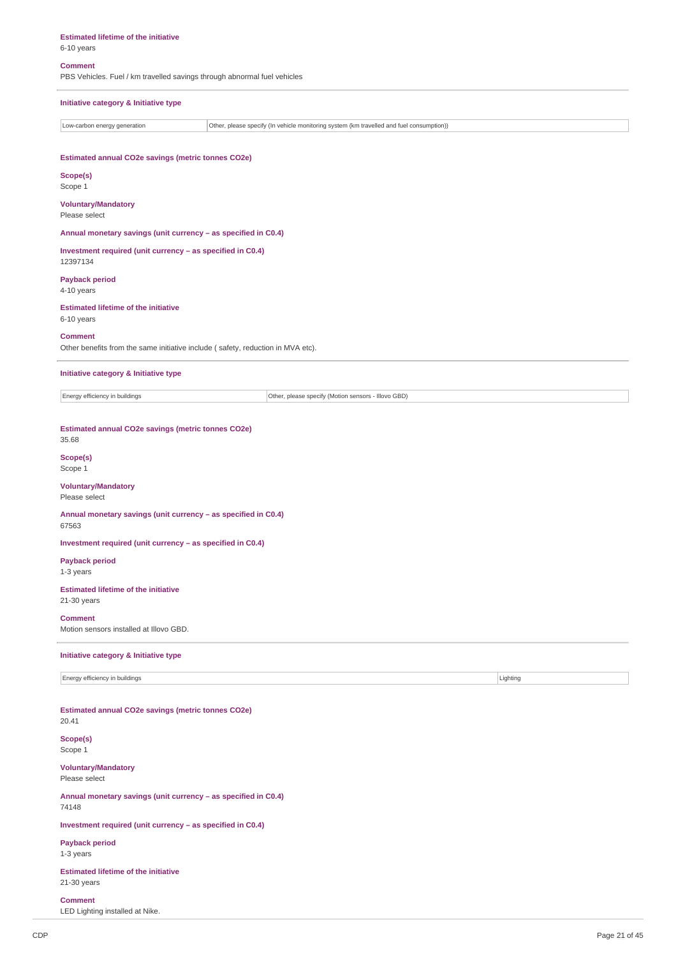**Estimated lifetime of the initiative**

# 6-10 years

**Comment**

PBS Vehicles. Fuel / km travelled savings through abnormal fuel vehicles

### **Initiative category & Initiative type**

Low-carbon energy generation **Other, please specify (In vehicle monitoring system (km travelled and fuel consumption))** 

### **Estimated annual CO2e savings (metric tonnes CO2e)**

**Scope(s)** Scope 1

# **Voluntary/Mandatory**

Please select

**Annual monetary savings (unit currency – as specified in C0.4)**

**Investment required (unit currency – as specified in C0.4)** 12397134

**Payback period** 4-10 years

**Estimated lifetime of the initiative** 6-10 years

#### **Comment**

Other benefits from the same initiative include ( safety, reduction in MVA etc).

**Initiative category & Initiative type**

Energy efficiency in buildings **Other, please specify (Motion sensors - Illovo GBD)** 

### **Estimated annual CO2e savings (metric tonnes CO2e)** 35.68

# **Scope(s)**

Scope 1

#### **Voluntary/Mandatory** Please select

**Annual monetary savings (unit currency – as specified in C0.4)** 67563

**Investment required (unit currency – as specified in C0.4)**

**Payback period** 1-3 years

### **Estimated lifetime of the initiative** 21-30 years

**Comment**

Motion sensors installed at Illovo GBD.

# **Initiative category & Initiative type**

Energy efficiency in buildings Lighting Community of the United States of the United States of Lighting Lighting

**Estimated annual CO2e savings (metric tonnes CO2e)** 20.41

**Scope(s)** Scope 1

**Voluntary/Mandatory**

Please select

**Annual monetary savings (unit currency – as specified in C0.4)** 74148

**Investment required (unit currency – as specified in C0.4)**

**Payback period** 1-3 years

**Estimated lifetime of the initiative** 21-30 years

**Comment**

LED Lighting installed at Nike.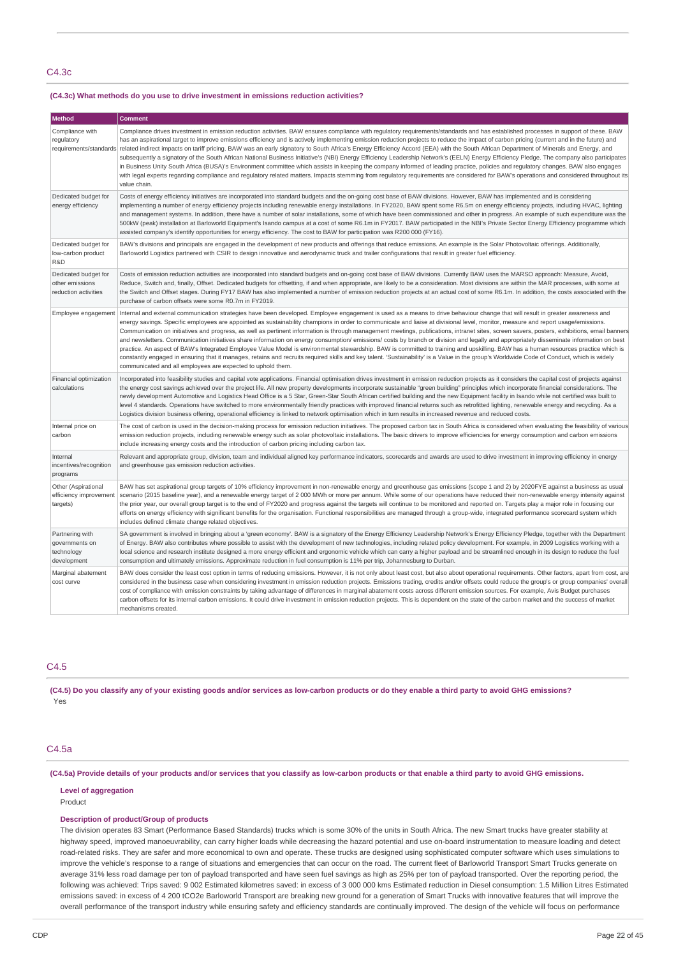### C4.3c

### **(C4.3c) What methods do you use to drive investment in emissions reduction activities?**

| Method                                                                                                                                                                                                                                                                                                                                                                                                                                                                                                                                                                                                                                                                                                                                                                                                                                                                                                                    | <b>Comment</b>                                                                                                                                                                                                                                                                                                                                                                                                                                                                                                                                                                                                                                                                                                                                                                                                                                                                                                                                                                                                                                                                                                                                                                                                      |  |  |
|---------------------------------------------------------------------------------------------------------------------------------------------------------------------------------------------------------------------------------------------------------------------------------------------------------------------------------------------------------------------------------------------------------------------------------------------------------------------------------------------------------------------------------------------------------------------------------------------------------------------------------------------------------------------------------------------------------------------------------------------------------------------------------------------------------------------------------------------------------------------------------------------------------------------------|---------------------------------------------------------------------------------------------------------------------------------------------------------------------------------------------------------------------------------------------------------------------------------------------------------------------------------------------------------------------------------------------------------------------------------------------------------------------------------------------------------------------------------------------------------------------------------------------------------------------------------------------------------------------------------------------------------------------------------------------------------------------------------------------------------------------------------------------------------------------------------------------------------------------------------------------------------------------------------------------------------------------------------------------------------------------------------------------------------------------------------------------------------------------------------------------------------------------|--|--|
| Compliance with<br>regulatory                                                                                                                                                                                                                                                                                                                                                                                                                                                                                                                                                                                                                                                                                                                                                                                                                                                                                             | Compliance drives investment in emission reduction activities. BAW ensures compliance with regulatory requirements/standards and has established processes in support of these. BAW<br>has an aspirational target to improve emissions efficiency and is actively implementing emission reduction projects to reduce the impact of carbon pricing (current and in the future) and<br>requirements/standards related indirect impacts on tariff pricing. BAW was an early signatory to South Africa's Energy Efficiency Accord (EEA) with the South African Department of Minerals and Energy, and<br>subsequently a signatory of the South African National Business Initiative's (NBI) Energy Efficiency Leadership Network's (EELN) Energy Efficiency Pledge. The company also participates<br>in Business Unity South Africa (BUSA)'s Environment committee which assists in keeping the company informed of leading practice, policies and regulatory changes. BAW also engages<br>with legal experts regarding compliance and regulatory related matters. Impacts stemming from regulatory requirements are considered for BAW's operations and considered throughout its<br>value chain.                      |  |  |
| Dedicated budget for<br>Costs of energy efficiency initiatives are incorporated into standard budgets and the on-going cost base of BAW divisions. However, BAW has implemented and is considering<br>energy efficiency<br>implementing a number of energy efficiency projects including renewable energy installations. In FY2020, BAW spent some R6.5m on energy efficiency projects, including HVAC, lighting<br>and management systems. In addition, there have a number of solar installations, some of which have been commissioned and other in progress. An example of such expenditure was the<br>500kW (peak) installation at Barloworld Equipment's Isando campus at a cost of some R6.1m in FY2017. BAW participated in the NBI's Private Sector Energy Efficiency programme which<br>assisted company's identify opportunities for energy efficiency. The cost to BAW for participation was R200 000 (FY16). |                                                                                                                                                                                                                                                                                                                                                                                                                                                                                                                                                                                                                                                                                                                                                                                                                                                                                                                                                                                                                                                                                                                                                                                                                     |  |  |
| Dedicated budget for<br>low-carbon product<br>R&D                                                                                                                                                                                                                                                                                                                                                                                                                                                                                                                                                                                                                                                                                                                                                                                                                                                                         | BAW's divisions and principals are engaged in the development of new products and offerings that reduce emissions. An example is the Solar Photovoltaic offerings. Additionally,<br>Barloworld Logistics partnered with CSIR to design innovative and aerodynamic truck and trailer configurations that result in greater fuel efficiency.                                                                                                                                                                                                                                                                                                                                                                                                                                                                                                                                                                                                                                                                                                                                                                                                                                                                          |  |  |
| Dedicated budget for<br>other emissions<br>reduction activities                                                                                                                                                                                                                                                                                                                                                                                                                                                                                                                                                                                                                                                                                                                                                                                                                                                           | Costs of emission reduction activities are incorporated into standard budgets and on-going cost base of BAW divisions. Currently BAW uses the MARSO approach: Measure, Avoid,<br>Reduce, Switch and, finally, Offset. Dedicated budgets for offsetting, if and when appropriate, are likely to be a consideration. Most divisions are within the MAR processes, with some at<br>the Switch and Offset stages. During FY17 BAW has also implemented a number of emission reduction projects at an actual cost of some R6.1m. In addition, the costs associated with the<br>purchase of carbon offsets were some R0.7m in FY2019.                                                                                                                                                                                                                                                                                                                                                                                                                                                                                                                                                                                     |  |  |
| Employee engagement                                                                                                                                                                                                                                                                                                                                                                                                                                                                                                                                                                                                                                                                                                                                                                                                                                                                                                       | Internal and external communication strategies have been developed. Employee engagement is used as a means to drive behaviour change that will result in greater awareness and<br>energy savings. Specific employees are appointed as sustainability champions in order to communicate and liaise at divisional level, monitor, measure and report usage/emissions.<br>Communication on initiatives and progress, as well as pertinent information is through management meetings, publications, intranet sites, screen savers, posters, exhibitions, email banners<br>and newsletters. Communication initiatives share information on energy consumption/ emissions/ costs by branch or division and legally and appropriately disseminate information on best<br>practice. An aspect of BAW's Integrated Employee Value Model is environmental stewardship. BAW is committed to training and upskilling. BAW has a human resources practice which is<br>constantly engaged in ensuring that it manages, retains and recruits required skills and key talent. 'Sustainability' is a Value in the group's Worldwide Code of Conduct, which is widely<br>communicated and all employees are expected to uphold them. |  |  |
| Financial optimization<br>calculations                                                                                                                                                                                                                                                                                                                                                                                                                                                                                                                                                                                                                                                                                                                                                                                                                                                                                    | Incorporated into feasibility studies and capital vote applications. Financial optimisation drives investment in emission reduction projects as it considers the capital cost of projects against<br>the energy cost savings achieved over the project life. All new property developments incorporate sustainable "green building" principles which incorporate financial considerations. The<br>newly development Automotive and Logistics Head Office is a 5 Star, Green-Star South African certified building and the new Equipment facility in Isando while not certified was built to<br>level 4 standards. Operations have switched to more environmentally friendly practices with improved financial returns such as retrofitted lighting, renewable energy and recycling. As a<br>Logistics division business offering, operational efficiency is linked to network optimisation which in turn results in increased revenue and reduced costs.                                                                                                                                                                                                                                                            |  |  |
| Internal price on<br>carbon                                                                                                                                                                                                                                                                                                                                                                                                                                                                                                                                                                                                                                                                                                                                                                                                                                                                                               | The cost of carbon is used in the decision-making process for emission reduction initiatives. The proposed carbon tax in South Africa is considered when evaluating the feasibility of various<br>emission reduction projects, including renewable energy such as solar photovoltaic installations. The basic drivers to improve efficiencies for energy consumption and carbon emissions<br>include increasing energy costs and the introduction of carbon pricing including carbon tax.                                                                                                                                                                                                                                                                                                                                                                                                                                                                                                                                                                                                                                                                                                                           |  |  |
| Internal<br>incentives/recognition<br>programs                                                                                                                                                                                                                                                                                                                                                                                                                                                                                                                                                                                                                                                                                                                                                                                                                                                                            | Relevant and appropriate group, division, team and individual aligned key performance indicators, scorecards and awards are used to drive investment in improving efficiency in energy<br>and greenhouse gas emission reduction activities.                                                                                                                                                                                                                                                                                                                                                                                                                                                                                                                                                                                                                                                                                                                                                                                                                                                                                                                                                                         |  |  |
| Other (Aspirational<br>efficiency improvement<br>targets)                                                                                                                                                                                                                                                                                                                                                                                                                                                                                                                                                                                                                                                                                                                                                                                                                                                                 | BAW has set aspirational group targets of 10% efficiency improvement in non-renewable energy and greenhouse gas emissions (scope 1 and 2) by 2020FYE against a business as usual<br>scenario (2015 baseline year), and a renewable energy target of 2 000 MWh or more per annum. While some of our operations have reduced their non-renewable energy intensity against<br>the prior year, our overall group target is to the end of FY2020 and progress against the targets will continue to be monitored and reported on. Targets play a major role in focusing our<br>efforts on energy efficiency with significant benefits for the organisation. Functional responsibilities are managed through a group-wide, integrated performance scorecard system which<br>includes defined climate change related objectives.                                                                                                                                                                                                                                                                                                                                                                                            |  |  |
| Partnering with<br>governments on<br>technology<br>development                                                                                                                                                                                                                                                                                                                                                                                                                                                                                                                                                                                                                                                                                                                                                                                                                                                            | SA government is involved in bringing about a 'green economy'. BAW is a signatory of the Energy Efficiency Leadership Network's Energy Efficiency Pledge, together with the Department<br>of Energy. BAW also contributes where possible to assist with the development of new technologies, including related policy development. For example, in 2009 Logistics working with a<br>local science and research institute designed a more energy efficient and ergonomic vehicle which can carry a higher payload and be streamlined enough in its design to reduce the fuel<br>consumption and ultimately emissions. Approximate reduction in fuel consumption is 11% per trip, Johannesburg to Durban.                                                                                                                                                                                                                                                                                                                                                                                                                                                                                                             |  |  |
| Marginal abatement<br>cost curve                                                                                                                                                                                                                                                                                                                                                                                                                                                                                                                                                                                                                                                                                                                                                                                                                                                                                          | BAW does consider the least cost option in terms of reducing emissions. However, it is not only about least cost, but also about operational requirements. Other factors, apart from cost, are<br>considered in the business case when considering investment in emission reduction projects. Emissions trading, credits and/or offsets could reduce the group's or group companies' overall<br>cost of compliance with emission constraints by taking advantage of differences in marginal abatement costs across different emission sources. For example, Avis Budget purchases<br>carbon offsets for its internal carbon emissions. It could drive investment in emission reduction projects. This is dependent on the state of the carbon market and the success of market<br>mechanisms created.                                                                                                                                                                                                                                                                                                                                                                                                               |  |  |

# C4.5

(C4.5) Do you classify any of your existing goods and/or services as low-carbon products or do they enable a third party to avoid GHG emissions? Yes

### C4.5a

(C4.5a) Provide details of your products and/or services that you classify as low-carbon products or that enable a third party to avoid GHG emissions.

### **Level of aggregation**

Product

### **Description of product/Group of products**

The division operates 83 Smart (Performance Based Standards) trucks which is some 30% of the units in South Africa. The new Smart trucks have greater stability at highway speed, improved manoeuvrability, can carry higher loads while decreasing the hazard potential and use on-board instrumentation to measure loading and detect road-related risks. They are safer and more economical to own and operate. These trucks are designed using sophisticated computer software which uses simulations to improve the vehicle's response to a range of situations and emergencies that can occur on the road. The current fleet of Barloworld Transport Smart Trucks generate on average 31% less road damage per ton of payload transported and have seen fuel savings as high as 25% per ton of payload transported. Over the reporting period, the following was achieved: Trips saved: 9 002 Estimated kilometres saved: in excess of 3 000 000 kms Estimated reduction in Diesel consumption: 1.5 Million Litres Estimated emissions saved: in excess of 4 200 tCO2e Barloworld Transport are breaking new ground for a generation of Smart Trucks with innovative features that will improve the overall performance of the transport industry while ensuring safety and efficiency standards are continually improved. The design of the vehicle will focus on performance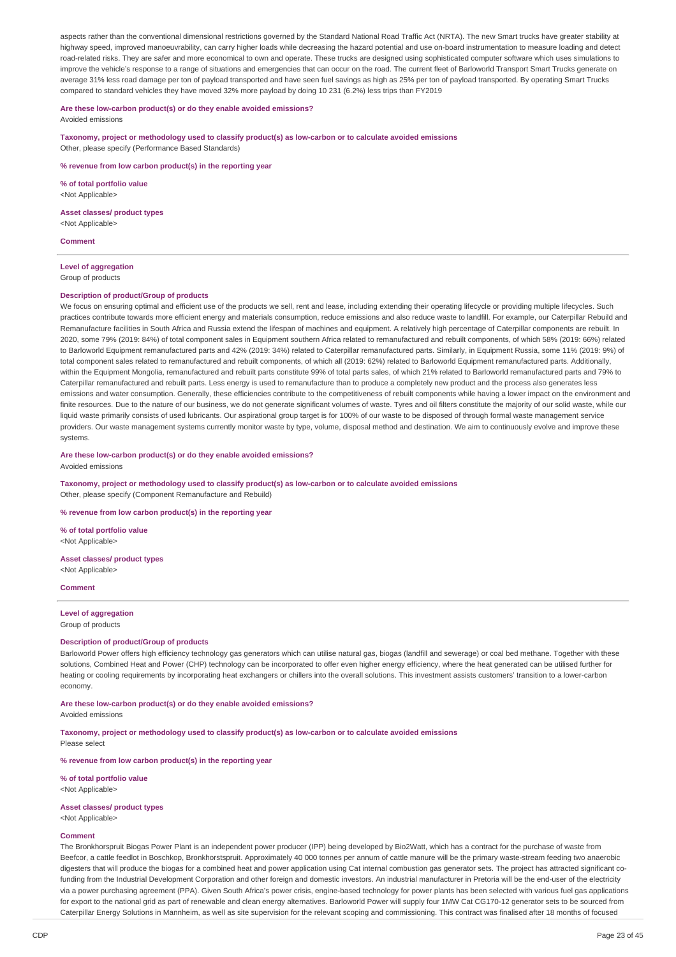aspects rather than the conventional dimensional restrictions governed by the Standard National Road Traffic Act (NRTA). The new Smart trucks have greater stability at highway speed, improved manoeuvrability, can carry higher loads while decreasing the hazard potential and use on-board instrumentation to measure loading and detect road-related risks. They are safer and more economical to own and operate. These trucks are designed using sophisticated computer software which uses simulations to improve the vehicle's response to a range of situations and emergencies that can occur on the road. The current fleet of Barloworld Transport Smart Trucks generate on average 31% less road damage per ton of payload transported and have seen fuel savings as high as 25% per ton of payload transported. By operating Smart Trucks compared to standard vehicles they have moved 32% more payload by doing 10 231 (6.2%) less trips than FY2019

#### **Are these low-carbon product(s) or do they enable avoided emissions?**

Avoided emissions

**Taxonomy, project or methodology used to classify product(s) as low-carbon or to calculate avoided emissions** Other, please specify (Performance Based Standards)

**% revenue from low carbon product(s) in the reporting year**

**% of total portfolio value** <Not Applicable>

**Asset classes/ product types** <Not Applicable>

**Comment**

#### **Level of aggregation** Group of products

#### **Description of product/Group of products**

We focus on ensuring optimal and efficient use of the products we sell, rent and lease, including extending their operating lifecycle or providing multiple lifecycles. Such practices contribute towards more efficient energy and materials consumption, reduce emissions and also reduce waste to landfill. For example, our Caterpillar Rebuild and Remanufacture facilities in South Africa and Russia extend the lifespan of machines and equipment. A relatively high percentage of Caterpillar components are rebuilt. In 2020, some 79% (2019: 84%) of total component sales in Equipment southern Africa related to remanufactured and rebuilt components, of which 58% (2019: 66%) related to Barloworld Equipment remanufactured parts and 42% (2019: 34%) related to Caterpillar remanufactured parts. Similarly, in Equipment Russia, some 11% (2019: 9%) of total component sales related to remanufactured and rebuilt components, of which all (2019: 62%) related to Barloworld Equipment remanufactured parts. Additionally, within the Equipment Mongolia, remanufactured and rebuilt parts constitute 99% of total parts sales, of which 21% related to Barloworld remanufactured parts and 79% to Caterpillar remanufactured and rebuilt parts. Less energy is used to remanufacture than to produce a completely new product and the process also generates less emissions and water consumption. Generally, these efficiencies contribute to the competitiveness of rebuilt components while having a lower impact on the environment and finite resources. Due to the nature of our business, we do not generate significant volumes of waste. Tyres and oil filters constitute the majority of our solid waste, while our liquid waste primarily consists of used lubricants. Our aspirational group target is for 100% of our waste to be disposed of through formal waste management service providers. Our waste management systems currently monitor waste by type, volume, disposal method and destination. We aim to continuously evolve and improve these systems.

#### **Are these low-carbon product(s) or do they enable avoided emissions?**

Avoided emissions

**Taxonomy, project or methodology used to classify product(s) as low-carbon or to calculate avoided emissions** Other, please specify (Component Remanufacture and Rebuild)

#### **% revenue from low carbon product(s) in the reporting year**

**% of total portfolio value** <Not Applicable>

**Asset classes/ product types** <Not Applicable>

**Comment**

# **Level of aggregation**

Group of products

# **Description of product/Group of products**

Barloworld Power offers high efficiency technology gas generators which can utilise natural gas, biogas (landfill and sewerage) or coal bed methane. Together with these solutions, Combined Heat and Power (CHP) technology can be incorporated to offer even higher energy efficiency, where the heat generated can be utilised further for heating or cooling requirements by incorporating heat exchangers or chillers into the overall solutions. This investment assists customers' transition to a lower-carbon economy.

### **Are these low-carbon product(s) or do they enable avoided emissions?**

Avoided emissions

#### **Taxonomy, project or methodology used to classify product(s) as low-carbon or to calculate avoided emissions** Please select

**% revenue from low carbon product(s) in the reporting year**

**% of total portfolio value** <Not Applicable>

### **Asset classes/ product types**

<Not Applicable>

### **Comment**

The Bronkhorspruit Biogas Power Plant is an independent power producer (IPP) being developed by Bio2Watt, which has a contract for the purchase of waste from Beefcor, a cattle feedlot in Boschkop, Bronkhorstspruit. Approximately 40 000 tonnes per annum of cattle manure will be the primary waste-stream feeding two anaerobic digesters that will produce the biogas for a combined heat and power application using Cat internal combustion gas generator sets. The project has attracted significant cofunding from the Industrial Development Corporation and other foreign and domestic investors. An industrial manufacturer in Pretoria will be the end-user of the electricity via a power purchasing agreement (PPA). Given South Africa's power crisis, engine-based technology for power plants has been selected with various fuel gas applications for export to the national grid as part of renewable and clean energy alternatives. Barloworld Power will supply four 1MW Cat CG170-12 generator sets to be sourced from Caterpillar Energy Solutions in Mannheim, as well as site supervision for the relevant scoping and commissioning. This contract was finalised after 18 months of focused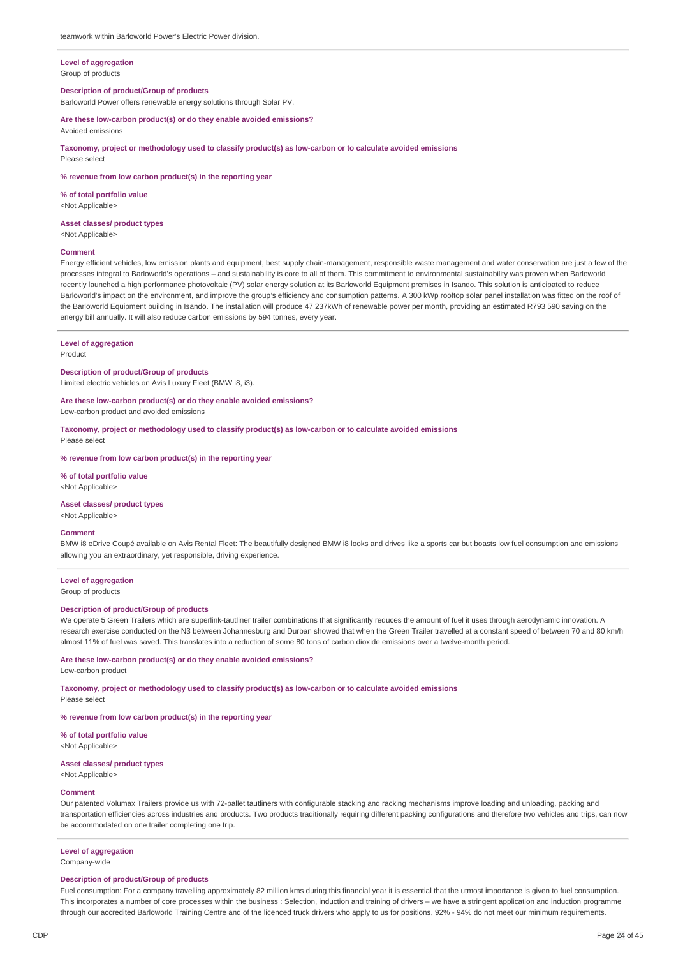#### **Level of aggregation** Group of products

#### **Description of product/Group of products**

Barloworld Power offers renewable energy solutions through Solar PV.

**% revenue from low carbon product(s) in the reporting year**

**Are these low-carbon product(s) or do they enable avoided emissions?** Avoided emissions

**Taxonomy, project or methodology used to classify product(s) as low-carbon or to calculate avoided emissions**

# **% of total portfolio value**

<Not Applicable>

#### **Asset classes/ product types**

<Not Applicable>

Please select

### **Comment**

Energy efficient vehicles, low emission plants and equipment, best supply chain-management, responsible waste management and water conservation are just a few of the processes integral to Barloworld's operations – and sustainability is core to all of them. This commitment to environmental sustainability was proven when Barloworld recently launched a high performance photovoltaic (PV) solar energy solution at its Barloworld Equipment premises in Isando. This solution is anticipated to reduce Barloworld's impact on the environment, and improve the group's efficiency and consumption patterns. A 300 kWp rooftop solar panel installation was fitted on the roof of the Barloworld Equipment building in Isando. The installation will produce 47 237kWh of renewable power per month, providing an estimated R793 590 saving on the energy bill annually. It will also reduce carbon emissions by 594 tonnes, every year.

#### **Level of aggregation**

Product

#### **Description of product/Group of products**

Limited electric vehicles on Avis Luxury Fleet (BMW i8, i3).

**Are these low-carbon product(s) or do they enable avoided emissions?**

Low-carbon product and avoided emissions

**Taxonomy, project or methodology used to classify product(s) as low-carbon or to calculate avoided emissions** Please select

#### **% revenue from low carbon product(s) in the reporting year**

**% of total portfolio value** <Not Applicable>

#### **Asset classes/ product types**

<Not Applicable>

#### **Comment**

BMW i8 eDrive Coupé available on Avis Rental Fleet: The beautifully designed BMW i8 looks and drives like a sports car but boasts low fuel consumption and emissions allowing you an extraordinary, yet responsible, driving experience.

### **Level of aggregation**

Group of products

#### **Description of product/Group of products**

We operate 5 Green Trailers which are superlink-tautliner trailer combinations that significantly reduces the amount of fuel it uses through aerodynamic innovation. A research exercise conducted on the N3 between Johannesburg and Durban showed that when the Green Trailer travelled at a constant speed of between 70 and 80 km/h almost 11% of fuel was saved. This translates into a reduction of some 80 tons of carbon dioxide emissions over a twelve-month period.

#### **Are these low-carbon product(s) or do they enable avoided emissions?**

Low-carbon product

**Taxonomy, project or methodology used to classify product(s) as low-carbon or to calculate avoided emissions** Please select

# **% revenue from low carbon product(s) in the reporting year**

**% of total portfolio value** <Not Applicable>

### **Asset classes/ product types**

<Not Applicable>

#### **Comment**

Our patented Volumax Trailers provide us with 72-pallet tautliners with configurable stacking and racking mechanisms improve loading and unloading, packing and transportation efficiencies across industries and products. Two products traditionally requiring different packing configurations and therefore two vehicles and trips, can now be accommodated on one trailer completing one trip.

#### **Level of aggregation**

Company-wide

#### **Description of product/Group of products**

Fuel consumption: For a company travelling approximately 82 million kms during this financial year it is essential that the utmost importance is given to fuel consumption. This incorporates a number of core processes within the business : Selection, induction and training of drivers – we have a stringent application and induction programme through our accredited Barloworld Training Centre and of the licenced truck drivers who apply to us for positions, 92% - 94% do not meet our minimum requirements.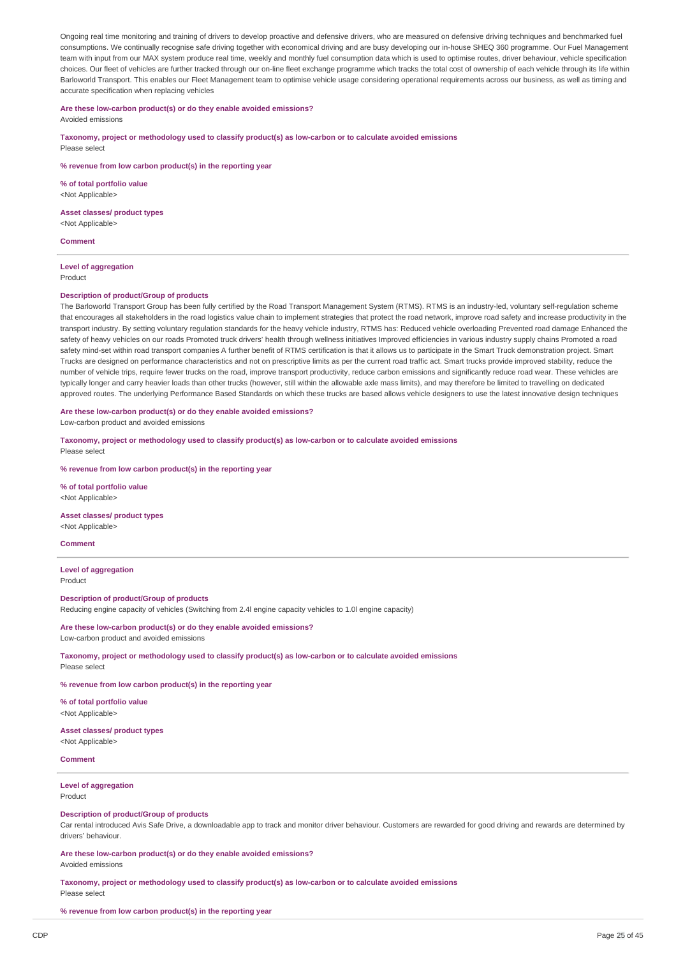Ongoing real time monitoring and training of drivers to develop proactive and defensive drivers, who are measured on defensive driving techniques and benchmarked fuel consumptions. We continually recognise safe driving together with economical driving and are busy developing our in-house SHEQ 360 programme. Our Fuel Management team with input from our MAX system produce real time, weekly and monthly fuel consumption data which is used to optimise routes, driver behaviour, vehicle specification choices. Our fleet of vehicles are further tracked through our on-line fleet exchange programme which tracks the total cost of ownership of each vehicle through its life within Barloworld Transport. This enables our Fleet Management team to optimise vehicle usage considering operational requirements across our business, as well as timing and accurate specification when replacing vehicles

### **Are these low-carbon product(s) or do they enable avoided emissions?**

Avoided emissions

**Taxonomy, project or methodology used to classify product(s) as low-carbon or to calculate avoided emissions** Please select

**% revenue from low carbon product(s) in the reporting year**

**% of total portfolio value** <Not Applicable>

**Asset classes/ product types**

<Not Applicable>

**Comment**

**Level of aggregation** Product

#### **Description of product/Group of products**

The Barloworld Transport Group has been fully certified by the Road Transport Management System (RTMS). RTMS is an industry-led, voluntary self-regulation scheme that encourages all stakeholders in the road logistics value chain to implement strategies that protect the road network, improve road safety and increase productivity in the transport industry. By setting voluntary regulation standards for the heavy vehicle industry, RTMS has: Reduced vehicle overloading Prevented road damage Enhanced the safety of heavy vehicles on our roads Promoted truck drivers' health through wellness initiatives Improved efficiencies in various industry supply chains Promoted a road safety mind-set within road transport companies A further benefit of RTMS certification is that it allows us to participate in the Smart Truck demonstration project. Smart Trucks are designed on performance characteristics and not on prescriptive limits as per the current road traffic act. Smart trucks provide improved stability, reduce the number of vehicle trips, require fewer trucks on the road, improve transport productivity, reduce carbon emissions and significantly reduce road wear. These vehicles are typically longer and carry heavier loads than other trucks (however, still within the allowable axle mass limits), and may therefore be limited to travelling on dedicated approved routes. The underlying Performance Based Standards on which these trucks are based allows vehicle designers to use the latest innovative design techniques

#### **Are these low-carbon product(s) or do they enable avoided emissions?**

Low-carbon product and avoided emissions

**Taxonomy, project or methodology used to classify product(s) as low-carbon or to calculate avoided emissions**

Please select

**% revenue from low carbon product(s) in the reporting year**

**% of total portfolio value** <Not Applicable>

**Asset classes/ product types** <Not Applicable>

#### **Comment**

**Level of aggregation** Product

**Description of product/Group of products** Reducing engine capacity of vehicles (Switching from 2.4l engine capacity vehicles to 1.0l engine capacity)

**Are these low-carbon product(s) or do they enable avoided emissions?** Low-carbon product and avoided emissions

**Taxonomy, project or methodology used to classify product(s) as low-carbon or to calculate avoided emissions** Please select

**% revenue from low carbon product(s) in the reporting year**

**% of total portfolio value** <Not Applicable>

#### **Asset classes/ product types** <Not Applicable>

### **Comment**

#### **Level of aggregation** Product

**Description of product/Group of products**

Car rental introduced Avis Safe Drive, a downloadable app to track and monitor driver behaviour. Customers are rewarded for good driving and rewards are determined by drivers' behaviour.

**Are these low-carbon product(s) or do they enable avoided emissions?**

Avoided emissions

**Taxonomy, project or methodology used to classify product(s) as low-carbon or to calculate avoided emissions** Please select

**% revenue from low carbon product(s) in the reporting year**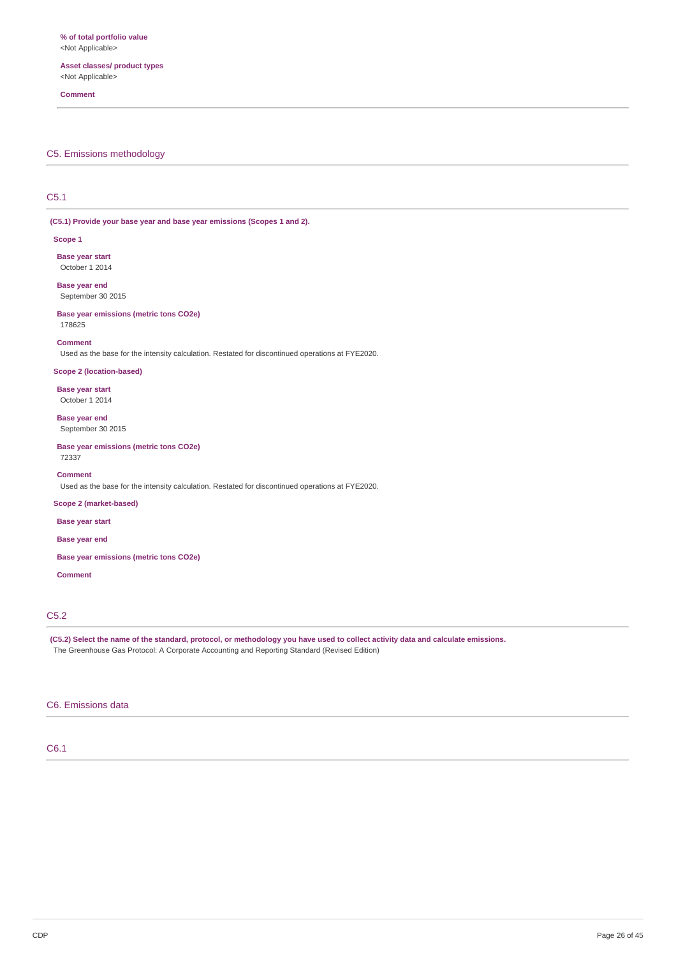**Asset classes/ product types** <Not Applicable>

#### **Comment**

### C5. Emissions methodology

# C5.1

**(C5.1) Provide your base year and base year emissions (Scopes 1 and 2).**

#### **Scope 1**

**Base year start** October 1 2014

**Base year end** September 30 2015

#### **Base year emissions (metric tons CO2e)**

178625

### **Comment**

Used as the base for the intensity calculation. Restated for discontinued operations at FYE2020.

### **Scope 2 (location-based)**

**Base year start** October 1 2014

# **Base year end**

September 30 2015

**Base year emissions (metric tons CO2e)** 72337

### **Comment**

Used as the base for the intensity calculation. Restated for discontinued operations at FYE2020.

### **Scope 2 (market-based)**

**Base year start**

### **Base year end**

**Base year emissions (metric tons CO2e)**

#### **Comment**

# C5.2

(C5.2) Select the name of the standard, protocol, or methodology you have used to collect activity data and calculate emissions. The Greenhouse Gas Protocol: A Corporate Accounting and Reporting Standard (Revised Edition)

### C6. Emissions data

### C6.1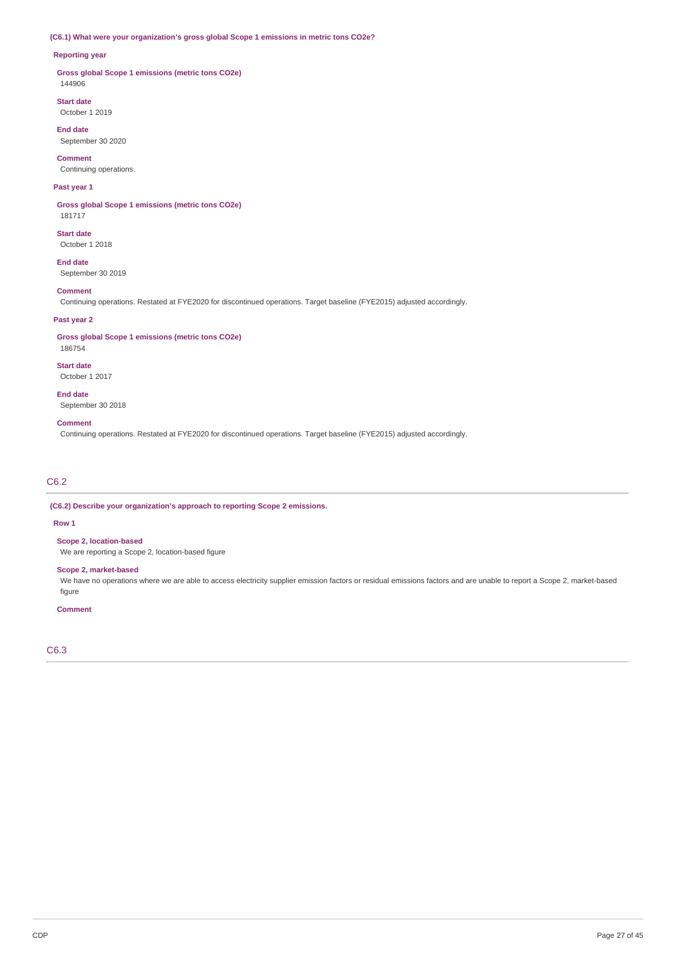### **(C6.1) What were your organization's gross global Scope 1 emissions in metric tons CO2e?**

### **Reporting year**

**Gross global Scope 1 emissions (metric tons CO2e)** 144906

**Start date** October 1 2019

**End date** September 30 2020

**Comment**

Continuing operations.

### **Past year 1**

**Gross global Scope 1 emissions (metric tons CO2e)** 181717

**Start date** October 1 2018

**End date** September 30 2019

### **Comment**

Continuing operations. Restated at FYE2020 for discontinued operations. Target baseline (FYE2015) adjusted accordingly.

### **Past year 2**

**Gross global Scope 1 emissions (metric tons CO2e)**

186754 **Start date**

October 1 2017

**End date** September 30 2018

#### **Comment**

Continuing operations. Restated at FYE2020 for discontinued operations. Target baseline (FYE2015) adjusted accordingly.

# C6.2

**(C6.2) Describe your organization's approach to reporting Scope 2 emissions.**

#### **Row 1**

**Scope 2, location-based**

We are reporting a Scope 2, location-based figure

### **Scope 2, market-based**

We have no operations where we are able to access electricity supplier emission factors or residual emissions factors and are unable to report a Scope 2, market-based figure

#### **Comment**

C6.3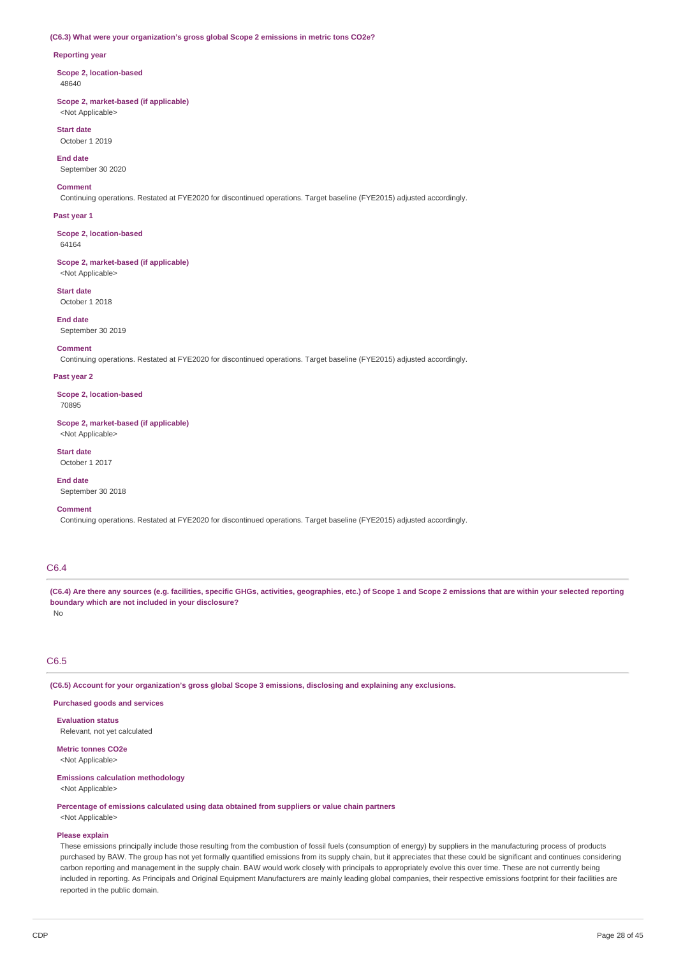#### **(C6.3) What were your organization's gross global Scope 2 emissions in metric tons CO2e?**

#### **Reporting year**

**Scope 2, location-based** 48640

**Scope 2, market-based (if applicable)** <Not Applicable>

**Start date** October 1 2019

**End date**

September 30 2020

#### **Comment**

Continuing operations. Restated at FYE2020 for discontinued operations. Target baseline (FYE2015) adjusted accordingly.

### **Past year 1**

**Scope 2, location-based** 64164

**Scope 2, market-based (if applicable)** <Not Applicable>

**Start date**

October 1 2018

# **End date**

September 30 2019

# **Comment**

Continuing operations. Restated at FYE2020 for discontinued operations. Target baseline (FYE2015) adjusted accordingly.

#### **Past year 2**

**Scope 2, location-based** 70895

**Scope 2, market-based (if applicable)**

<Not Applicable>

### **Start date**

October 1 2017

**End date** September 30 2018

#### **Comment**

Continuing operations. Restated at FYE2020 for discontinued operations. Target baseline (FYE2015) adjusted accordingly.

# C6.4

(C6.4) Are there any sources (e.g. facilities, specific GHGs, activities, geographies, etc.) of Scope 1 and Scope 2 emissions that are within your selected reporting **boundary which are not included in your disclosure?**

No

# C6.5

**(C6.5) Account for your organization's gross global Scope 3 emissions, disclosing and explaining any exclusions.**

### **Purchased goods and services**

**Evaluation status** Relevant, not yet calculated

**Metric tonnes CO2e**

# <Not Applicable>

**Emissions calculation methodology** <Not Applicable>

**Percentage of emissions calculated using data obtained from suppliers or value chain partners** <Not Applicable>

**Please explain**

These emissions principally include those resulting from the combustion of fossil fuels (consumption of energy) by suppliers in the manufacturing process of products purchased by BAW. The group has not yet formally quantified emissions from its supply chain, but it appreciates that these could be significant and continues considering carbon reporting and management in the supply chain. BAW would work closely with principals to appropriately evolve this over time. These are not currently being included in reporting. As Principals and Original Equipment Manufacturers are mainly leading global companies, their respective emissions footprint for their facilities are reported in the public domain.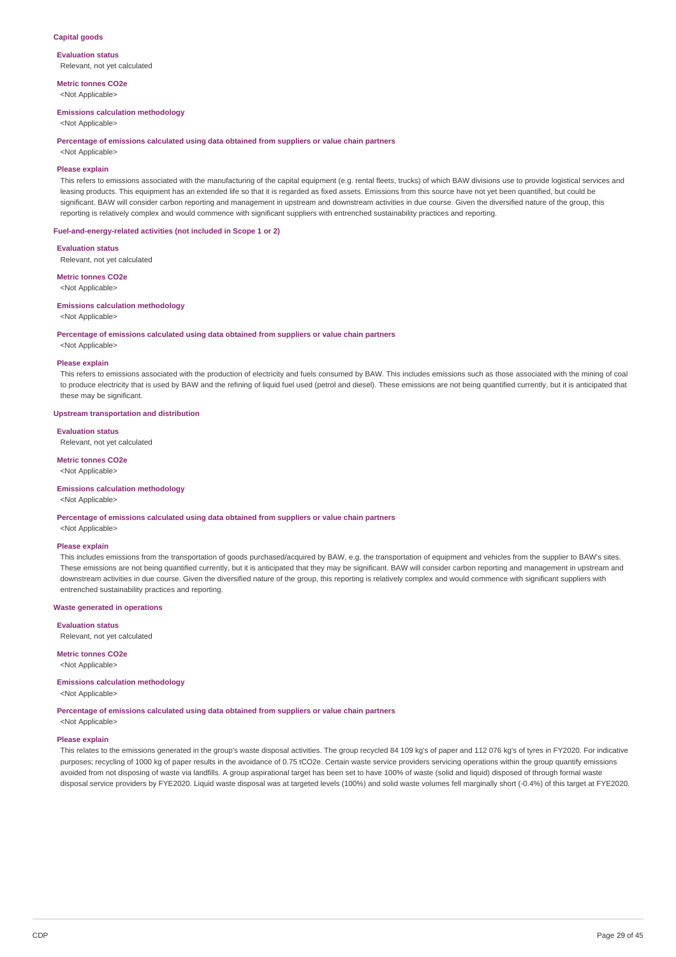### **Capital goods**

**Evaluation status** Relevant, not yet calculated

**Metric tonnes CO2e** <Not Applicable>

#### **Emissions calculation methodology**

<Not Applicable>

#### **Percentage of emissions calculated using data obtained from suppliers or value chain partners**

<Not Applicable>

### **Please explain**

This refers to emissions associated with the manufacturing of the capital equipment (e.g. rental fleets, trucks) of which BAW divisions use to provide logistical services and leasing products. This equipment has an extended life so that it is regarded as fixed assets. Emissions from this source have not yet been quantified, but could be significant. BAW will consider carbon reporting and management in upstream and downstream activities in due course. Given the diversified nature of the group, this reporting is relatively complex and would commence with significant suppliers with entrenched sustainability practices and reporting.

### **Fuel-and-energy-related activities (not included in Scope 1 or 2)**

**Evaluation status**

Relevant, not yet calculated

**Metric tonnes CO2e** <Not Applicable>

#### **Emissions calculation methodology**

<Not Applicable>

#### **Percentage of emissions calculated using data obtained from suppliers or value chain partners**

<Not Applicable>

#### **Please explain**

This refers to emissions associated with the production of electricity and fuels consumed by BAW. This includes emissions such as those associated with the mining of coal to produce electricity that is used by BAW and the refining of liquid fuel used (petrol and diesel). These emissions are not being quantified currently, but it is anticipated that these may be significant.

#### **Upstream transportation and distribution**

# **Evaluation status**

Relevant, not yet calculated

# **Metric tonnes CO2e**

<Not Applicable>

### **Emissions calculation methodology**

<Not Applicable>

**Percentage of emissions calculated using data obtained from suppliers or value chain partners**

<Not Applicable>

#### **Please explain**

This includes emissions from the transportation of goods purchased/acquired by BAW, e.g. the transportation of equipment and vehicles from the supplier to BAW's sites. These emissions are not being quantified currently, but it is anticipated that they may be significant. BAW will consider carbon reporting and management in upstream and downstream activities in due course. Given the diversified nature of the group, this reporting is relatively complex and would commence with significant suppliers with entrenched sustainability practices and reporting.

#### **Waste generated in operations**

**Evaluation status**

Relevant, not yet calculated

**Metric tonnes CO2e** <Not Applicable>

### **Emissions calculation methodology**

<Not Applicable>

**Percentage of emissions calculated using data obtained from suppliers or value chain partners**

<Not Applicable>

### **Please explain**

This relates to the emissions generated in the group's waste disposal activities. The group recycled 84 109 kg's of paper and 112 076 kg's of tyres in FY2020. For indicative purposes; recycling of 1000 kg of paper results in the avoidance of 0.75 tCO2e. Certain waste service providers servicing operations within the group quantify emissions avoided from not disposing of waste via landfills. A group aspirational target has been set to have 100% of waste (solid and liquid) disposed of through formal waste disposal service providers by FYE2020. Liquid waste disposal was at targeted levels (100%) and solid waste volumes fell marginally short (-0.4%) of this target at FYE2020.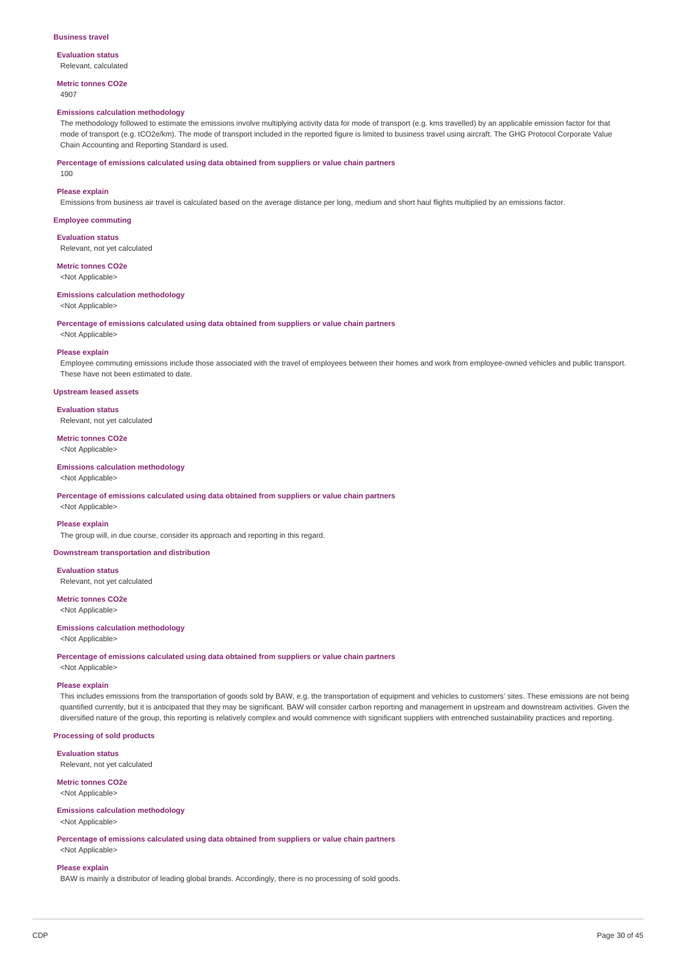#### **Business travel**

**Evaluation status** Relevant, calculated

**Metric tonnes CO2e**

### 4907

### **Emissions calculation methodology**

The methodology followed to estimate the emissions involve multiplying activity data for mode of transport (e.g. kms travelled) by an applicable emission factor for that mode of transport (e.g. tCO2e/km). The mode of transport included in the reported figure is limited to business travel using aircraft. The GHG Protocol Corporate Value Chain Accounting and Reporting Standard is used.

**Percentage of emissions calculated using data obtained from suppliers or value chain partners**

# 100 **Please explain**

Emissions from business air travel is calculated based on the average distance per long, medium and short haul flights multiplied by an emissions factor.

# **Employee commuting**

**Evaluation status** Relevant, not yet calculated

#### **Metric tonnes CO2e**

<Not Applicable>

#### **Emissions calculation methodology**

<Not Applicable>

#### **Percentage of emissions calculated using data obtained from suppliers or value chain partners**

<Not Applicable>

#### **Please explain**

Employee commuting emissions include those associated with the travel of employees between their homes and work from employee-owned vehicles and public transport. These have not been estimated to date.

### **Upstream leased assets**

#### **Evaluation status**

Relevant, not yet calculated

# **Metric tonnes CO2e**

<Not Applicable>

# **Emissions calculation methodology**

<Not Applicable>

**Percentage of emissions calculated using data obtained from suppliers or value chain partners**

<Not Applicable>

#### **Please explain**

The group will, in due course, consider its approach and reporting in this regard.

#### **Downstream transportation and distribution**

**Evaluation status** Relevant, not yet calculated

#### **Metric tonnes CO2e** <Not Applicable>

# **Emissions calculation methodology**

<Not Applicable>

#### **Percentage of emissions calculated using data obtained from suppliers or value chain partners**

<Not Applicable>

#### **Please explain**

This includes emissions from the transportation of goods sold by BAW, e.g. the transportation of equipment and vehicles to customers' sites. These emissions are not being quantified currently, but it is anticipated that they may be significant. BAW will consider carbon reporting and management in upstream and downstream activities. Given the diversified nature of the group, this reporting is relatively complex and would commence with significant suppliers with entrenched sustainability practices and reporting.

#### **Processing of sold products**

**Evaluation status** Relevant, not yet calculated

# **Metric tonnes CO2e**

<Not Applicable>

# **Emissions calculation methodology**

<Not Applicable>

**Percentage of emissions calculated using data obtained from suppliers or value chain partners** <Not Applicable>

#### **Please explain**

BAW is mainly a distributor of leading global brands. Accordingly, there is no processing of sold goods.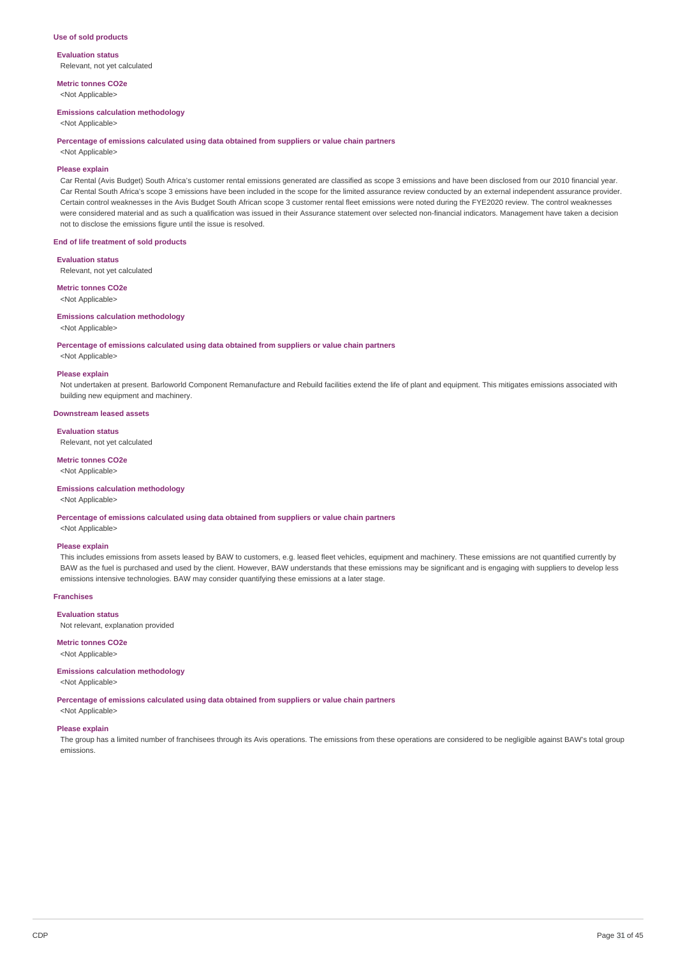#### **Use of sold products**

**Evaluation status** Relevant, not yet calculated

**Metric tonnes CO2e** <Not Applicable>

### **Emissions calculation methodology**

<Not Applicable>

#### **Percentage of emissions calculated using data obtained from suppliers or value chain partners**

<Not Applicable>

### **Please explain**

Car Rental (Avis Budget) South Africa's customer rental emissions generated are classified as scope 3 emissions and have been disclosed from our 2010 financial year. Car Rental South Africa's scope 3 emissions have been included in the scope for the limited assurance review conducted by an external independent assurance provider. Certain control weaknesses in the Avis Budget South African scope 3 customer rental fleet emissions were noted during the FYE2020 review. The control weaknesses were considered material and as such a qualification was issued in their Assurance statement over selected non-financial indicators. Management have taken a decision not to disclose the emissions figure until the issue is resolved.

### **End of life treatment of sold products**

#### **Evaluation status**

Relevant, not yet calculated

#### **Metric tonnes CO2e**

<Not Applicable>

#### **Emissions calculation methodology**

<Not Applicable>

#### **Percentage of emissions calculated using data obtained from suppliers or value chain partners**

<Not Applicable> **Please explain**

Not undertaken at present. Barloworld Component Remanufacture and Rebuild facilities extend the life of plant and equipment. This mitigates emissions associated with building new equipment and machinery.

#### **Downstream leased assets**

**Evaluation status**

Relevant, not yet calculated

### **Metric tonnes CO2e**

<Not Applicable>

### **Emissions calculation methodology**

<Not Applicable>

**Percentage of emissions calculated using data obtained from suppliers or value chain partners**

<Not Applicable>

### **Please explain**

This includes emissions from assets leased by BAW to customers, e.g. leased fleet vehicles, equipment and machinery. These emissions are not quantified currently by BAW as the fuel is purchased and used by the client. However, BAW understands that these emissions may be significant and is engaging with suppliers to develop less emissions intensive technologies. BAW may consider quantifying these emissions at a later stage.

#### **Franchises**

#### **Evaluation status**

Not relevant, explanation provided

### **Metric tonnes CO2e**

<Not Applicable>

#### **Emissions calculation methodology**

<Not Applicable>

### **Percentage of emissions calculated using data obtained from suppliers or value chain partners**

<Not Applicable>

# **Please explain**

The group has a limited number of franchisees through its Avis operations. The emissions from these operations are considered to be negligible against BAW's total group emissions.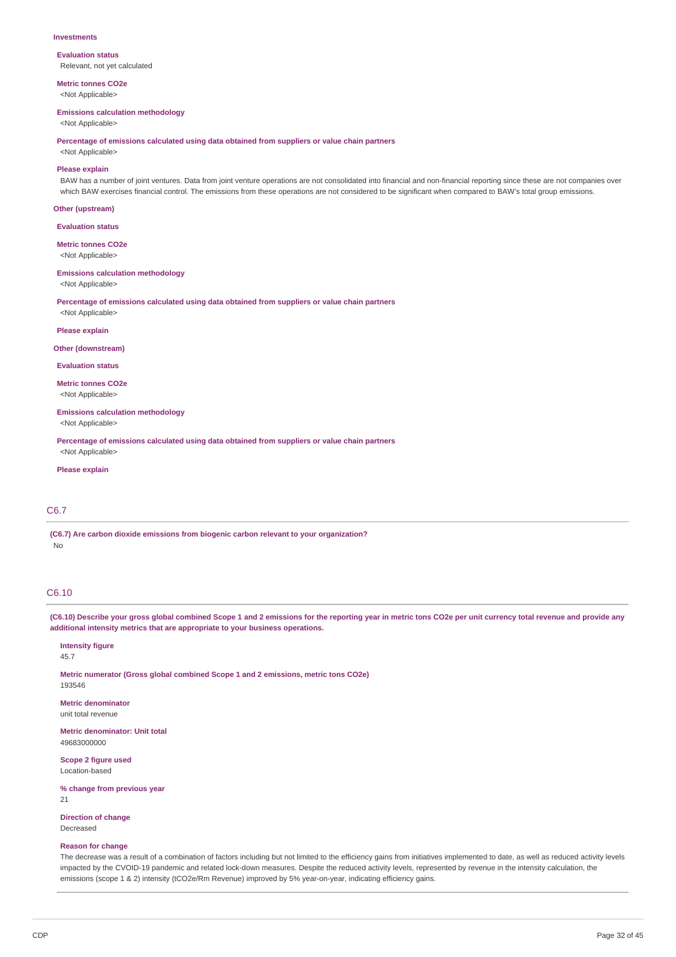#### **Investments**

**Evaluation status** Relevant, not yet calculated

**Metric tonnes CO2e** <Not Applicable>

#### **Emissions calculation methodology**

<Not Applicable>

**Percentage of emissions calculated using data obtained from suppliers or value chain partners**

<Not Applicable>

### **Please explain**

BAW has a number of joint ventures. Data from joint venture operations are not consolidated into financial and non-financial reporting since these are not companies over which BAW exercises financial control. The emissions from these operations are not considered to be significant when compared to BAW's total group emissions.

#### **Other (upstream)**

**Evaluation status**

**Metric tonnes CO2e**

<Not Applicable>

#### **Emissions calculation methodology**

<Not Applicable>

**Percentage of emissions calculated using data obtained from suppliers or value chain partners**

# <Not Applicable> **Please explain**

#### **Other (downstream)**

**Evaluation status**

**Metric tonnes CO2e** <Not Applicable>

**Emissions calculation methodology**

<Not Applicable>

**Percentage of emissions calculated using data obtained from suppliers or value chain partners** <Not Applicable>

### **Please explain**

### C6.7

**(C6.7) Are carbon dioxide emissions from biogenic carbon relevant to your organization?** No

# C6.10

(C6.10) Describe your gross global combined Scope 1 and 2 emissions for the reporting year in metric tons CO2e per unit currency total revenue and provide any **additional intensity metrics that are appropriate to your business operations.**

#### **Intensity figure** 45.7

193546

**Metric numerator (Gross global combined Scope 1 and 2 emissions, metric tons CO2e)**

**Metric denominator** unit total revenue

**Metric denominator: Unit total** 49683000000

**Scope 2 figure used** Location-based

**% change from previous year**

21

**Direction of change** Decreased

#### **Reason for change**

The decrease was a result of a combination of factors including but not limited to the efficiency gains from initiatives implemented to date, as well as reduced activity levels impacted by the CVOID-19 pandemic and related lock-down measures. Despite the reduced activity levels, represented by revenue in the intensity calculation, the emissions (scope 1 & 2) intensity (tCO2e/Rm Revenue) improved by 5% year-on-year, indicating efficiency gains.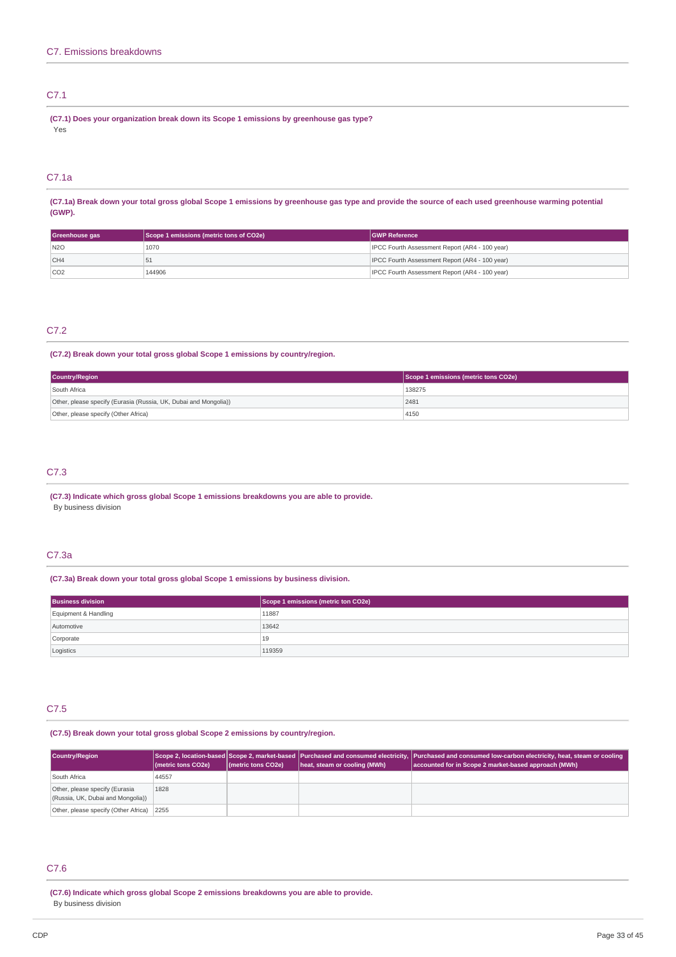# C7.1

**(C7.1) Does your organization break down its Scope 1 emissions by greenhouse gas type?** Yes

# C7.1a

(C7.1a) Break down your total gross global Scope 1 emissions by greenhouse gas type and provide the source of each used greenhouse warming potential **(GWP).**

| Greenhouse gas  | Scope 1 emissions (metric tons of CO2e) | <b>GWP Reference</b>                           |
|-----------------|-----------------------------------------|------------------------------------------------|
| N2O             | 1070                                    | IPCC Fourth Assessment Report (AR4 - 100 year) |
| CH <sub>4</sub> | эı                                      | IPCC Fourth Assessment Report (AR4 - 100 year) |
| CO <sub>2</sub> | 144906                                  | IPCC Fourth Assessment Report (AR4 - 100 year) |

# C7.2

# **(C7.2) Break down your total gross global Scope 1 emissions by country/region.**

| <b>Country/Region</b>                                            | Scope 1 emissions (metric tons CO2e) |
|------------------------------------------------------------------|--------------------------------------|
| South Africa                                                     | 138275                               |
| Other, please specify (Eurasia (Russia, UK, Dubai and Mongolia)) | 2481                                 |
| Other, please specify (Other Africa)                             | 4150                                 |

# C7.3

### **(C7.3) Indicate which gross global Scope 1 emissions breakdowns you are able to provide.** By business division

# C7.3a

# **(C7.3a) Break down your total gross global Scope 1 emissions by business division.**

| <b>Business division</b> | Scope 1 emissions (metric ton CO2e) |
|--------------------------|-------------------------------------|
| Equipment & Handling     | 11887                               |
| Automotive               | 13642                               |
| Corporate                | 19                                  |
| Logistics                | 119359                              |

# C7.5

### **(C7.5) Break down your total gross global Scope 2 emissions by country/region.**

| <b>Country/Region</b>                                               | (metric tons CO2e) | (metric tons CO2e) | heat, steam or cooling (MWh) | Scope 2, location-based Scope 2, market-based  Purchased and consumed electricity,  Purchased and consumed low-carbon electricity, heat, steam or cooling<br>accounted for in Scope 2 market-based approach (MWh) |
|---------------------------------------------------------------------|--------------------|--------------------|------------------------------|-------------------------------------------------------------------------------------------------------------------------------------------------------------------------------------------------------------------|
| South Africa                                                        | 44557              |                    |                              |                                                                                                                                                                                                                   |
| Other, please specify (Eurasia<br>(Russia, UK, Dubai and Mongolia)) | 1828               |                    |                              |                                                                                                                                                                                                                   |
| Other, please specify (Other Africa)                                | 2255               |                    |                              |                                                                                                                                                                                                                   |

# C7.6

**(C7.6) Indicate which gross global Scope 2 emissions breakdowns you are able to provide.** By business division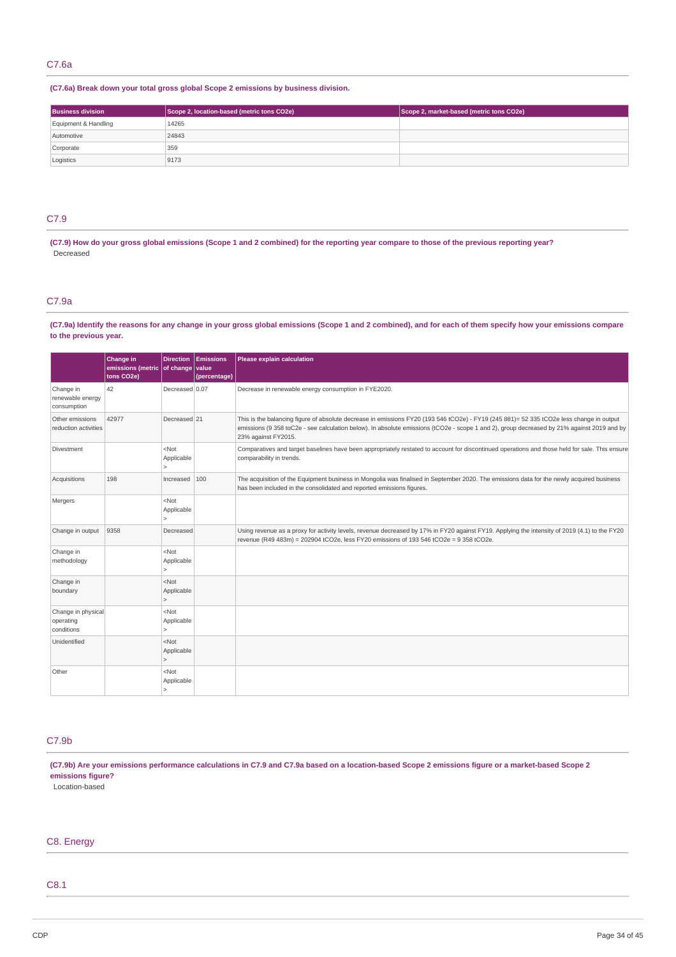### **(C7.6a) Break down your total gross global Scope 2 emissions by business division.**

| <b>Business division</b> | Scope 2, location-based (metric tons CO2e) | Scope 2, market-based (metric tons CO2e) |
|--------------------------|--------------------------------------------|------------------------------------------|
| Equipment & Handling     | 14265                                      |                                          |
| Automotive               | 24843                                      |                                          |
| Corporate                | 359                                        |                                          |
| Logistics                | 9173                                       |                                          |

# C7.9

(C7.9) How do your gross global emissions (Scope 1 and 2 combined) for the reporting year compare to those of the previous reporting year? Decreased

### C7.9a

(C7.9a) Identify the reasons for any change in your gross global emissions (Scope 1 and 2 combined), and for each of them specify how your emissions compare **to the previous year.**

|                                               | Change in<br>emissions (metric   of change   value<br>tons CO2e) | <b>Direction</b>                      | <b>Emissions</b><br>(percentage) | Please explain calculation                                                                                                                                                                                                                                                                                    |
|-----------------------------------------------|------------------------------------------------------------------|---------------------------------------|----------------------------------|---------------------------------------------------------------------------------------------------------------------------------------------------------------------------------------------------------------------------------------------------------------------------------------------------------------|
| Change in<br>renewable energy<br>consumption  | 42                                                               | Decreased 0.07                        |                                  | Decrease in renewable energy consumption in FYE2020.                                                                                                                                                                                                                                                          |
| Other emissions<br>reduction activities       | 42977                                                            | Decreased 21                          |                                  | This is the balancing figure of absolute decrease in emissions FY20 (193 546 tCO2e) - FY19 (245 881)= 52 335 tCO2e less change in output<br>emissions (9 358 toC2e - see calculation below). In absolute emissions (tCO2e - scope 1 and 2), group decreased by 21% against 2019 and by<br>23% against FY2015. |
| Divestment                                    |                                                                  | $<$ Not<br>Applicable<br>5            |                                  | Comparatives and target baselines have been appropriately restated to account for discontinued operations and those held for sale. This ensure<br>comparability in trends.                                                                                                                                    |
| Acquisitions                                  | 198                                                              | Increased                             | 100                              | The acquisition of the Equipment business in Mongolia was finalised in September 2020. The emissions data for the newly acquired business<br>has been included in the consolidated and reported emissions figures.                                                                                            |
| Mergers                                       |                                                                  | $<$ Not<br>Applicable<br>$\geq$       |                                  |                                                                                                                                                                                                                                                                                                               |
| Change in output                              | 9358                                                             | Decreased                             |                                  | Using revenue as a proxy for activity levels, revenue decreased by 17% in FY20 against FY19. Applying the intensity of 2019 (4.1) to the FY20<br>revenue (R49 483m) = 202904 tCO2e, less FY20 emissions of 193 546 tCO2e = 9 358 tCO2e.                                                                       |
| Change in<br>methodology                      |                                                                  | $<$ Not<br>Applicable<br>$\geq$       |                                  |                                                                                                                                                                                                                                                                                                               |
| Change in<br>boundary                         |                                                                  | $<$ Not<br>Applicable                 |                                  |                                                                                                                                                                                                                                                                                                               |
| Change in physical<br>operating<br>conditions |                                                                  | $<$ Not<br>Applicable<br>$\mathbf{r}$ |                                  |                                                                                                                                                                                                                                                                                                               |
| Unidentified                                  |                                                                  | $<$ Not<br>Applicable<br>$\geq$       |                                  |                                                                                                                                                                                                                                                                                                               |
| Other                                         |                                                                  | $<$ Not<br>Applicable                 |                                  |                                                                                                                                                                                                                                                                                                               |

# C7.9b

(C7.9b) Are your emissions performance calculations in C7.9 and C7.9a based on a location-based Scope 2 emissions figure or a market-based Scope 2 **emissions figure?**

Location-based

# C8. Energy

# C8.1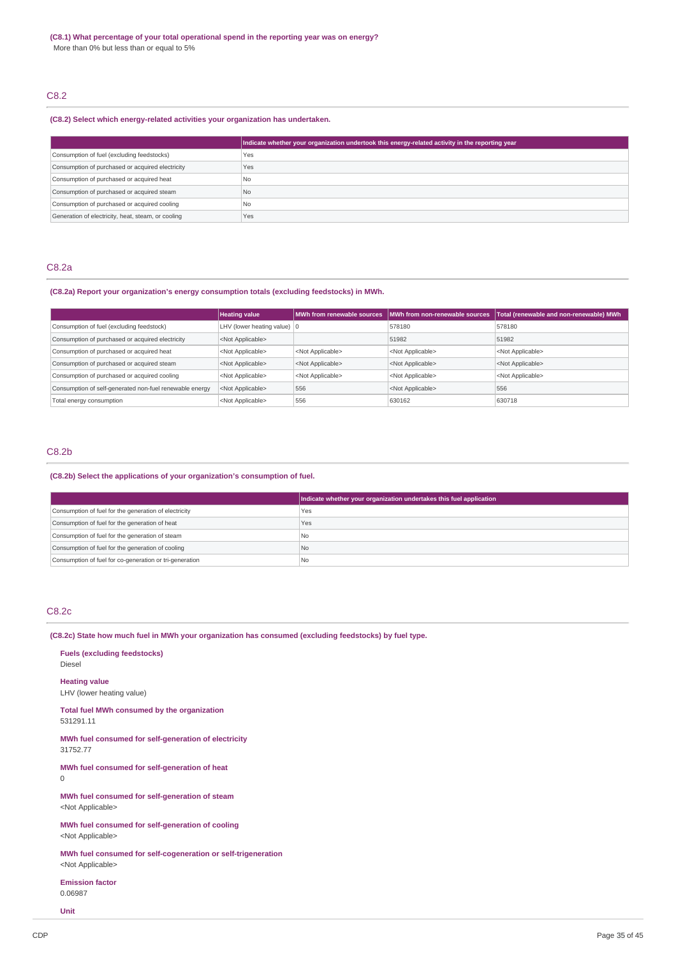# C8.2

### **(C8.2) Select which energy-related activities your organization has undertaken.**

|                                                    | Indicate whether your organization undertook this energy-related activity in the reporting year |
|----------------------------------------------------|-------------------------------------------------------------------------------------------------|
| Consumption of fuel (excluding feedstocks)         | Yes                                                                                             |
| Consumption of purchased or acquired electricity   | Yes                                                                                             |
| Consumption of purchased or acquired heat          | No                                                                                              |
| Consumption of purchased or acquired steam         | N <sub>0</sub>                                                                                  |
| Consumption of purchased or acquired cooling       | 'No                                                                                             |
| Generation of electricity, heat, steam, or cooling | Yes                                                                                             |

### C8.2a

# **(C8.2a) Report your organization's energy consumption totals (excluding feedstocks) in MWh.**

|                                                         | <b>Heating value</b>                  |                           | MWh from renewable sources MWh from non-renewable sources | Total (renewable and non-renewable) MWh |
|---------------------------------------------------------|---------------------------------------|---------------------------|-----------------------------------------------------------|-----------------------------------------|
| Consumption of fuel (excluding feedstock)               | LHV (lower heating value) $ 0\rangle$ |                           | 578180                                                    | 578180                                  |
| Consumption of purchased or acquired electricity        | <not applicable=""></not>             |                           | 51982                                                     | 51982                                   |
| Consumption of purchased or acquired heat               | <not applicable=""></not>             | <not applicable=""></not> | <not applicable=""></not>                                 | <not applicable=""></not>               |
| Consumption of purchased or acquired steam              | <not applicable=""></not>             | <not applicable=""></not> | <not applicable=""></not>                                 | <not applicable=""></not>               |
| Consumption of purchased or acquired cooling            | <not applicable=""></not>             | <not applicable=""></not> | <not applicable=""></not>                                 | <not applicable=""></not>               |
| Consumption of self-generated non-fuel renewable energy | <not applicable=""></not>             | 556                       | <not applicable=""></not>                                 | 556                                     |
| Total energy consumption                                | <not applicable=""></not>             | 556                       | 630162                                                    | 630718                                  |

### C8.2b

### **(C8.2b) Select the applications of your organization's consumption of fuel.**

|                                                         | Indicate whether your organization undertakes this fuel application |
|---------------------------------------------------------|---------------------------------------------------------------------|
| Consumption of fuel for the generation of electricity   | Yes                                                                 |
| Consumption of fuel for the generation of heat          | Yes                                                                 |
| Consumption of fuel for the generation of steam         | l Nc                                                                |
| Consumption of fuel for the generation of cooling       | No                                                                  |
| Consumption of fuel for co-generation or tri-generation | l Nc                                                                |

### C8.2c

# **(C8.2c) State how much fuel in MWh your organization has consumed (excluding feedstocks) by fuel type.**

**Fuels (excluding feedstocks)** Diesel

**Heating value**

LHV (lower heating value)

**Total fuel MWh consumed by the organization**

531291.11

**MWh fuel consumed for self-generation of electricity** 31752.77

**MWh fuel consumed for self-generation of heat** 0

**MWh fuel consumed for self-generation of steam** <Not Applicable>

**MWh fuel consumed for self-generation of cooling** <Not Applicable>

**MWh fuel consumed for self-cogeneration or self-trigeneration** <Not Applicable>

**Emission factor** 0.06987

**Unit**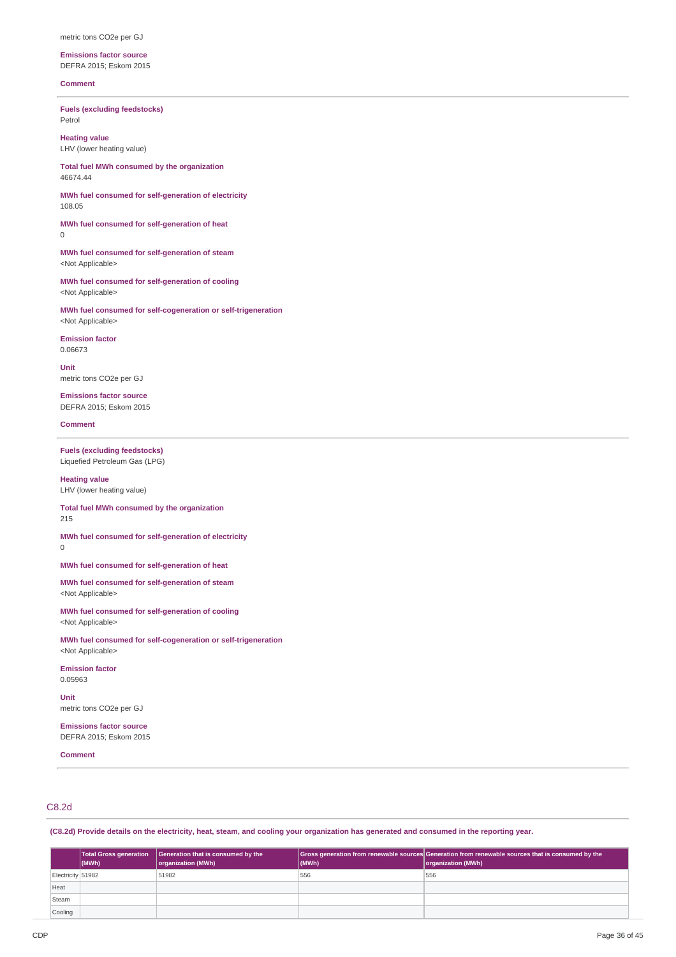#### metric tons CO2e per GJ

**Emissions factor source** DEFRA 2015; Eskom 2015

### **Comment**

**Fuels (excluding feedstocks)** Petrol

**Heating value** LHV (lower heating value)

**Total fuel MWh consumed by the organization** 46674.44

**MWh fuel consumed for self-generation of electricity** 108.05

**MWh fuel consumed for self-generation of heat**  $\theta$ 

**MWh fuel consumed for self-generation of steam** <Not Applicable>

**MWh fuel consumed for self-generation of cooling** <Not Applicable>

**MWh fuel consumed for self-cogeneration or self-trigeneration** <Not Applicable>

**Emission factor** 0.06673

**Unit** metric tons CO2e per GJ

**Emissions factor source** DEFRA 2015; Eskom 2015

**Comment**

0

**Fuels (excluding feedstocks)** Liquefied Petroleum Gas (LPG)

**Heating value** LHV (lower heating value)

**Total fuel MWh consumed by the organization** 215

**MWh fuel consumed for self-generation of electricity**

**MWh fuel consumed for self-generation of heat**

**MWh fuel consumed for self-generation of steam** <Not Applicable>

**MWh fuel consumed for self-generation of cooling** <Not Applicable>

**MWh fuel consumed for self-cogeneration or self-trigeneration** <Not Applicable>

**Emission factor** 0.05963

**Unit** metric tons CO2e per GJ

**Emissions factor source** DEFRA 2015; Eskom 2015

**Comment**

# C8.2d

(C8.2d) Provide details on the electricity, heat, steam, and cooling your organization has generated and consumed in the reporting year.

|                   | $\vert$ (MWh) | Total Gross generation Generation that is consumed by the<br>organization (MWh) | (MWh) | Gross generation from renewable sources Generation from renewable sources that is consumed by the<br>organization (MWh) |
|-------------------|---------------|---------------------------------------------------------------------------------|-------|-------------------------------------------------------------------------------------------------------------------------|
| Electricity 51982 |               | 51982                                                                           | 556   | 556                                                                                                                     |
| Heat              |               |                                                                                 |       |                                                                                                                         |
| Steam             |               |                                                                                 |       |                                                                                                                         |
| Cooling           |               |                                                                                 |       |                                                                                                                         |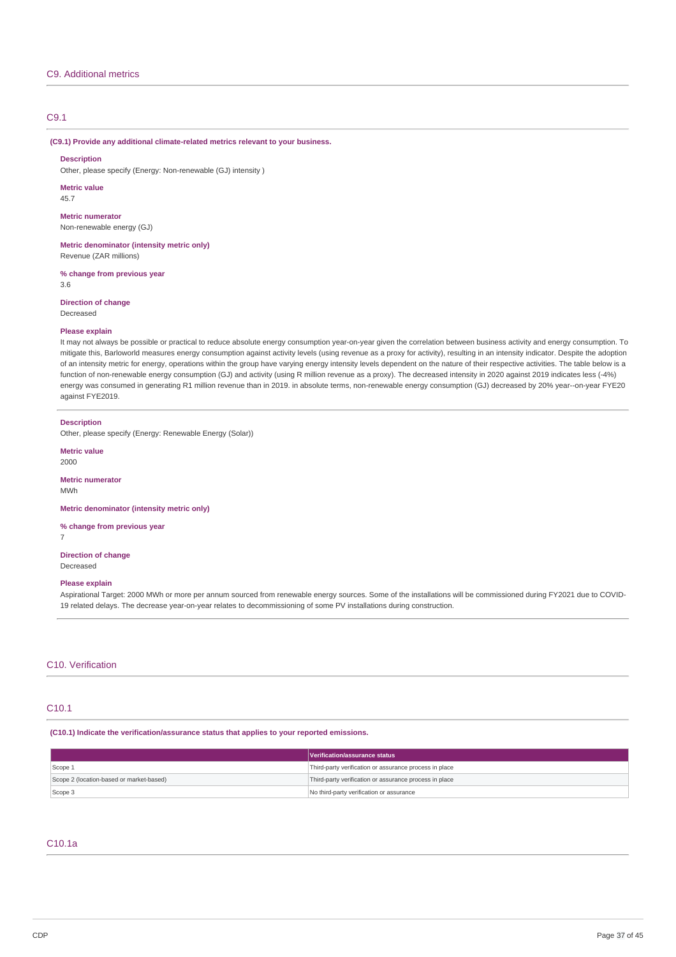### C9.1

#### **(C9.1) Provide any additional climate-related metrics relevant to your business.**

#### **Description**

Other, please specify (Energy: Non-renewable (GJ) intensity )

**Metric value**

45.7

**Metric numerator** Non-renewable energy (GJ)

**Metric denominator (intensity metric only)** Revenue (ZAR millions)

**% change from previous year** 3.6

**Direction of change** Decreased

#### **Please explain**

It may not always be possible or practical to reduce absolute energy consumption year-on-year given the correlation between business activity and energy consumption. To mitigate this, Barloworld measures energy consumption against activity levels (using revenue as a proxy for activity), resulting in an intensity indicator. Despite the adoption of an intensity metric for energy, operations within the group have varying energy intensity levels dependent on the nature of their respective activities. The table below is a function of non-renewable energy consumption (GJ) and activity (using R million revenue as a proxy). The decreased intensity in 2020 against 2019 indicates less (-4%) energy was consumed in generating R1 million revenue than in 2019. in absolute terms, non-renewable energy consumption (GJ) decreased by 20% year--on-year FYE20 against FYE2019.

#### **Description**

Other, please specify (Energy: Renewable Energy (Solar))

#### **Metric value**

2000

#### **Metric numerator**

MWh

7

**Metric denominator (intensity metric only)**

# **% change from previous year**

**Direction of change** Decreased

#### **Please explain**

Aspirational Target: 2000 MWh or more per annum sourced from renewable energy sources. Some of the installations will be commissioned during FY2021 due to COVID-19 related delays. The decrease year-on-year relates to decommissioning of some PV installations during construction.

### C10. Verification

### C10.1

### **(C10.1) Indicate the verification/assurance status that applies to your reported emissions.**

|                                          | Verification/assurance status                          |  |
|------------------------------------------|--------------------------------------------------------|--|
| Scope 1                                  | Third-party verification or assurance process in place |  |
| Scope 2 (location-based or market-based) | Third-party verification or assurance process in place |  |
| Scope 3                                  | No third-party verification or assurance               |  |

# C10.1a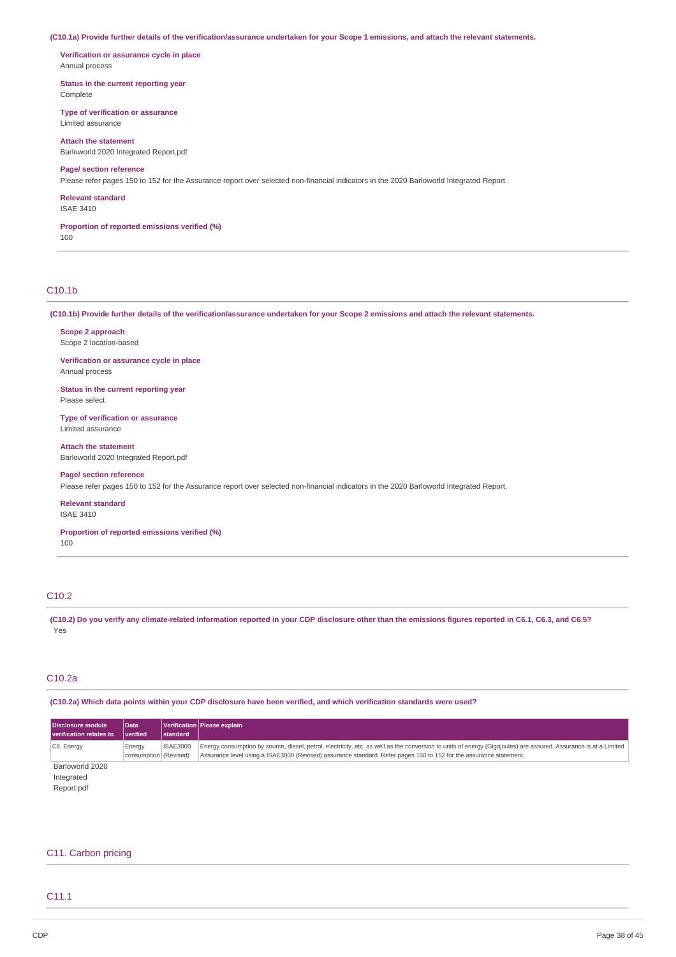(C10.1a) Provide further details of the verification/assurance undertaken for your Scope 1 emissions, and attach the relevant statements.

**Verification or assurance cycle in place** Annual process

**Status in the current reporting year** Complete

**Type of verification or assurance** Limited assurance

**Attach the statement** Barloworld 2020 Integrated Report ndf

### **Page/ section reference**

Please refer pages 150 to 152 for the Assurance report over selected non-financial indicators in the 2020 Barloworld Integrated Report.

**Relevant standard**

ISAE 3410

**Proportion of reported emissions verified (%)**

100

# C10.1b

(C10.1b) Provide further details of the verification/assurance undertaken for your Scope 2 emissions and attach the relevant statements.

**Scope 2 approach** Scope 2 location-based

**Verification or assurance cycle in place** Annual process

**Status in the current reporting year** Please select

**Type of verification or assurance** Limited assurance

**Attach the statement** Barloworld 2020 Integrated Report.pdf

# **Page/ section reference**

Please refer pages 150 to 152 for the Assurance report over selected non-financial indicators in the 2020 Barloworld Integrated Report.

#### **Relevant standard**

ISAE 3410

**Proportion of reported emissions verified (%)**

100

# C10.2

(C10.2) Do you verify any climate-related information reported in your CDP disclosure other than the emissions figures reported in C6.1, C6.3, and C6.5? Yes

### C10.2a

(C10.2a) Which data points within your CDP disclosure have been verified, and which verification standards were used?

| Disclosure module       | Data                  |                 | Verification   Please explain                                                                                                                                    |
|-------------------------|-----------------------|-----------------|------------------------------------------------------------------------------------------------------------------------------------------------------------------|
| verification relates to | <i>verified</i>       | standard        |                                                                                                                                                                  |
| C8. Energy              | Energy                | <b>ISAE3000</b> | Energy consumption by source, diesel, petrol, electricity, etc. as well as the conversion to units of energy (Gigajoules) are assured. Assurance is at a Limited |
|                         | consumption (Revised) |                 | Assurance level using a ISAE3000 (Revised) assurance standard. Refer pages 150 to 152 for the assurance statement,                                               |
| Barloworld 2020         |                       |                 |                                                                                                                                                                  |
| Integrated              |                       |                 |                                                                                                                                                                  |
| Report.pdf              |                       |                 |                                                                                                                                                                  |

### C11. Carbon pricing

### C11.1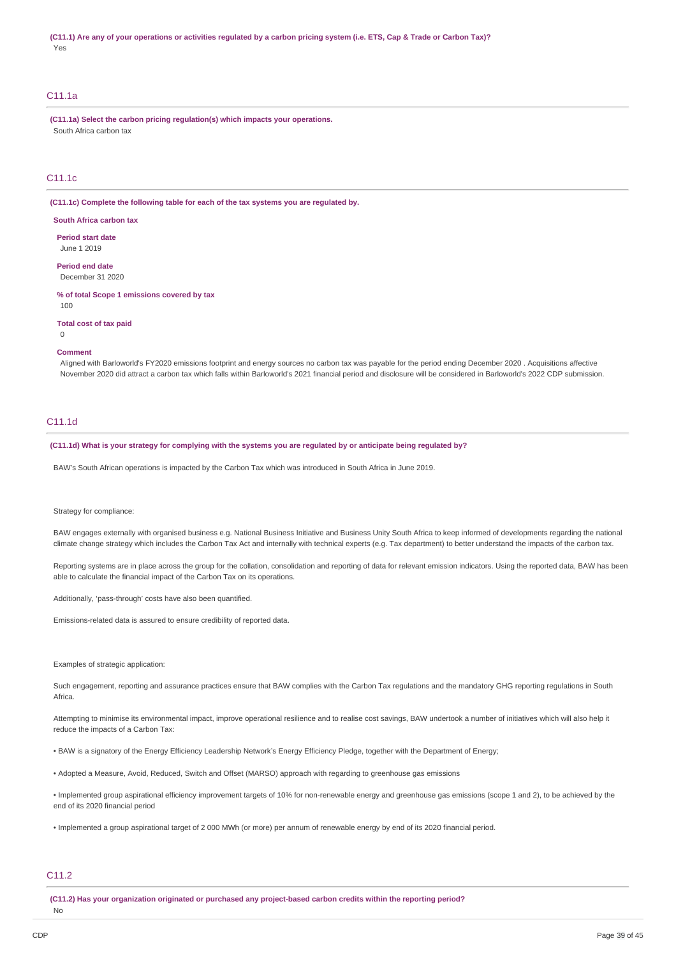(C11.1) Are any of your operations or activities regulated by a carbon pricing system (i.e. ETS, Cap & Trade or Carbon Tax)? Yes

### C11.1a

**(C11.1a) Select the carbon pricing regulation(s) which impacts your operations.** South Africa carbon tax

### C11.1c

**(C11.1c) Complete the following table for each of the tax systems you are regulated by.**

**South Africa carbon tax**

**Period start date** June 1 2019

**Period end date** December 31 2020

**% of total Scope 1 emissions covered by tax** 100

**Total cost of tax paid**

 $\theta$ 

#### **Comment**

Aligned with Barloworld's FY2020 emissions footprint and energy sources no carbon tax was payable for the period ending December 2020 . Acquisitions affective November 2020 did attract a carbon tax which falls within Barloworld's 2021 financial period and disclosure will be considered in Barloworld's 2022 CDP submission.

### C11.1d

(C11.1d) What is your strategy for complying with the systems you are regulated by or anticipate being regulated by?

BAW's South African operations is impacted by the Carbon Tax which was introduced in South Africa in June 2019.

#### Strategy for compliance:

BAW engages externally with organised business e.g. National Business Initiative and Business Unity South Africa to keep informed of developments regarding the national climate change strategy which includes the Carbon Tax Act and internally with technical experts (e.g. Tax department) to better understand the impacts of the carbon tax.

Reporting systems are in place across the group for the collation, consolidation and reporting of data for relevant emission indicators. Using the reported data, BAW has been able to calculate the financial impact of the Carbon Tax on its operations.

Additionally, 'pass-through' costs have also been quantified.

Emissions-related data is assured to ensure credibility of reported data.

Examples of strategic application:

Such engagement, reporting and assurance practices ensure that BAW complies with the Carbon Tax regulations and the mandatory GHG reporting regulations in South Africa.

Attempting to minimise its environmental impact, improve operational resilience and to realise cost savings, BAW undertook a number of initiatives which will also help it reduce the impacts of a Carbon Tax:

• BAW is a signatory of the Energy Efficiency Leadership Network's Energy Efficiency Pledge, together with the Department of Energy;

• Adopted a Measure, Avoid, Reduced, Switch and Offset (MARSO) approach with regarding to greenhouse gas emissions

• Implemented group aspirational efficiency improvement targets of 10% for non-renewable energy and greenhouse gas emissions (scope 1 and 2), to be achieved by the end of its 2020 financial period

• Implemented a group aspirational target of 2 000 MWh (or more) per annum of renewable energy by end of its 2020 financial period.

# C11.2

**(C11.2) Has your organization originated or purchased any project-based carbon credits within the reporting period?** No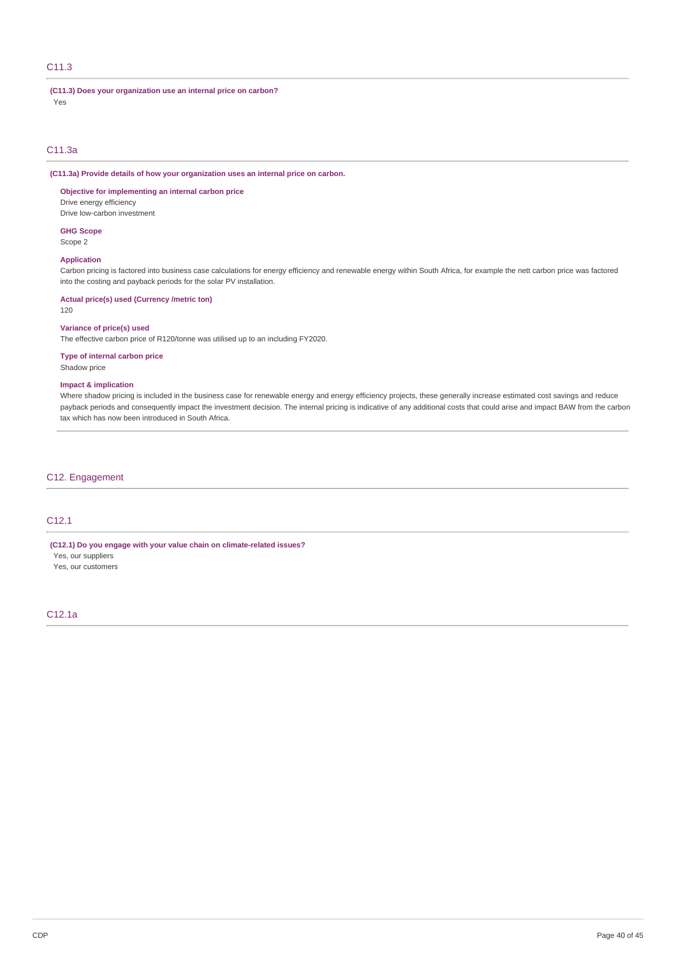# C11.3

### **(C11.3) Does your organization use an internal price on carbon?**

Yes

### C11.3a

# **(C11.3a) Provide details of how your organization uses an internal price on carbon.**

### **Objective for implementing an internal carbon price**

Drive energy efficiency Drive low-carbon investment

# **GHG Scope**

Scope 2

# **Application**

Carbon pricing is factored into business case calculations for energy efficiency and renewable energy within South Africa, for example the nett carbon price was factored into the costing and payback periods for the solar PV installation.

#### **Actual price(s) used (Currency /metric ton)**

120

### **Variance of price(s) used**

The effective carbon price of R120/tonne was utilised up to an including FY2020.

### **Type of internal carbon price** Shadow price

# **Impact & implication**

Where shadow pricing is included in the business case for renewable energy and energy efficiency projects, these generally increase estimated cost savings and reduce payback periods and consequently impact the investment decision. The internal pricing is indicative of any additional costs that could arise and impact BAW from the carbon tax which has now been introduced in South Africa.

# C12. Engagement

# C12.1

**(C12.1) Do you engage with your value chain on climate-related issues?**

Yes, our suppliers Yes, our customers

### C12.1a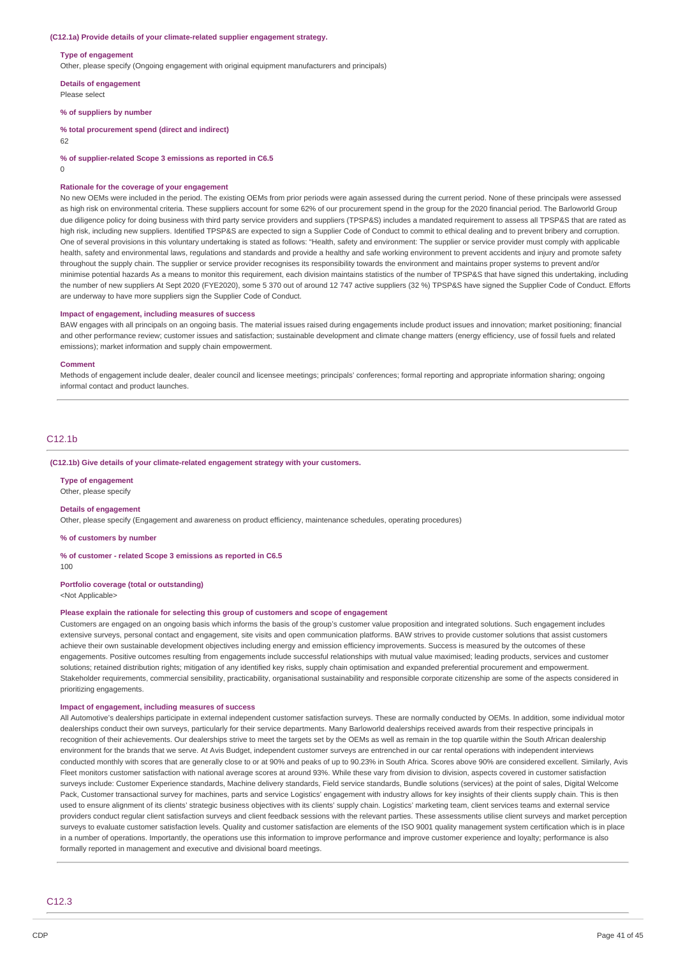#### **(C12.1a) Provide details of your climate-related supplier engagement strategy.**

#### **Type of engagement**

Other, please specify (Ongoing engagement with original equipment manufacturers and principals)

**Details of engagement**

Please select

**% of suppliers by number**

**% total procurement spend (direct and indirect)**

62

**% of supplier-related Scope 3 emissions as reported in C6.5**

 $\overline{0}$ 

#### **Rationale for the coverage of your engagement**

No new OEMs were included in the period. The existing OEMs from prior periods were again assessed during the current period. None of these principals were assessed as high risk on environmental criteria. These suppliers account for some 62% of our procurement spend in the group for the 2020 financial period. The Barloworld Group due diligence policy for doing business with third party service providers and suppliers (TPSP&S) includes a mandated requirement to assess all TPSP&S that are rated as high risk, including new suppliers. Identified TPSP&S are expected to sign a Supplier Code of Conduct to commit to ethical dealing and to prevent bribery and corruption. One of several provisions in this voluntary undertaking is stated as follows: "Health, safety and environment: The supplier or service provider must comply with applicable health, safety and environmental laws, regulations and standards and provide a healthy and safe working environment to prevent accidents and injury and promote safety throughout the supply chain. The supplier or service provider recognises its responsibility towards the environment and maintains proper systems to prevent and/or minimise potential hazards As a means to monitor this requirement, each division maintains statistics of the number of TPSP&S that have signed this undertaking, including the number of new suppliers At Sept 2020 (FYE2020), some 5 370 out of around 12 747 active suppliers (32 %) TPSP&S have signed the Supplier Code of Conduct. Efforts are underway to have more suppliers sign the Supplier Code of Conduct.

#### **Impact of engagement, including measures of success**

BAW engages with all principals on an ongoing basis. The material issues raised during engagements include product issues and innovation; market positioning; financial and other performance review; customer issues and satisfaction; sustainable development and climate change matters (energy efficiency, use of fossil fuels and related emissions); market information and supply chain empowerment.

#### **Comment**

Methods of engagement include dealer, dealer council and licensee meetings; principals' conferences; formal reporting and appropriate information sharing; ongoing informal contact and product launches.

### C12.1b

#### **(C12.1b) Give details of your climate-related engagement strategy with your customers.**

**Type of engagement** Other, please specify

#### **Details of engagement**

Other, please specify (Engagement and awareness on product efficiency, maintenance schedules, operating procedures)

**% of customers by number**

#### **% of customer - related Scope 3 emissions as reported in C6.5**

100

# **Portfolio coverage (total or outstanding)**

<Not Applicable>

#### **Please explain the rationale for selecting this group of customers and scope of engagement**

Customers are engaged on an ongoing basis which informs the basis of the group's customer value proposition and integrated solutions. Such engagement includes extensive surveys, personal contact and engagement, site visits and open communication platforms. BAW strives to provide customer solutions that assist customers achieve their own sustainable development objectives including energy and emission efficiency improvements. Success is measured by the outcomes of these engagements. Positive outcomes resulting from engagements include successful relationships with mutual value maximised; leading products, services and customer solutions; retained distribution rights; mitigation of any identified key risks, supply chain optimisation and expanded preferential procurement and empowerment. Stakeholder requirements, commercial sensibility, practicability, organisational sustainability and responsible corporate citizenship are some of the aspects considered in prioritizing engagements.

### **Impact of engagement, including measures of success**

All Automotive's dealerships participate in external independent customer satisfaction surveys. These are normally conducted by OEMs. In addition, some individual motor dealerships conduct their own surveys, particularly for their service departments. Many Barloworld dealerships received awards from their respective principals in recognition of their achievements. Our dealerships strive to meet the targets set by the OEMs as well as remain in the top quartile within the South African dealership environment for the brands that we serve. At Avis Budget, independent customer surveys are entrenched in our car rental operations with independent interviews conducted monthly with scores that are generally close to or at 90% and peaks of up to 90.23% in South Africa. Scores above 90% are considered excellent. Similarly, Avis Fleet monitors customer satisfaction with national average scores at around 93%. While these vary from division to division, aspects covered in customer satisfaction surveys include: Customer Experience standards, Machine delivery standards, Field service standards, Bundle solutions (services) at the point of sales, Digital Welcome Pack, Customer transactional survey for machines, parts and service Logistics' engagement with industry allows for key insights of their clients supply chain. This is then used to ensure alignment of its clients' strategic business objectives with its clients' supply chain. Logistics' marketing team, client services teams and external service providers conduct regular client satisfaction surveys and client feedback sessions with the relevant parties. These assessments utilise client surveys and market perception surveys to evaluate customer satisfaction levels. Quality and customer satisfaction are elements of the ISO 9001 quality management system certification which is in place in a number of operations. Importantly, the operations use this information to improve performance and improve customer experience and loyalty; performance is also formally reported in management and executive and divisional board meetings.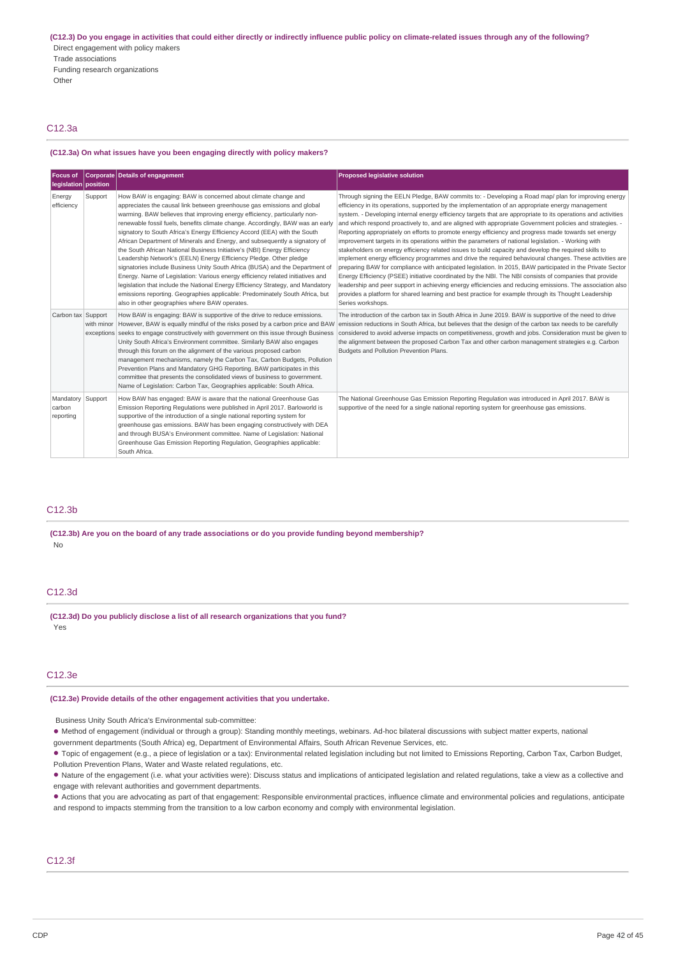(C12.3) Do you engage in activities that could either directly or indirectly influence public policy on climate-related issues through any of the following? Direct engagement with policy makers Trade associations Funding research organizations Other

# C12.3a

#### **(C12.3a) On what issues have you been engaging directly with policy makers?**

| Focus of<br>legislation position         |            | Corporate Details of engagement                                                                                                                                                                                                                                                                                                                                                                                                                                                                                                                                                                                                                                                                                                                                                                                                                                                                                                                                                                             | <b>Proposed legislative solution</b>                                                                                                                                                                                                                                                                                                                                                                                                                                                                                                                                                                                                                                                                                                                                                                                                                                                                                                                                                                                                                                                                                                                                                                                                                                                                                                       |
|------------------------------------------|------------|-------------------------------------------------------------------------------------------------------------------------------------------------------------------------------------------------------------------------------------------------------------------------------------------------------------------------------------------------------------------------------------------------------------------------------------------------------------------------------------------------------------------------------------------------------------------------------------------------------------------------------------------------------------------------------------------------------------------------------------------------------------------------------------------------------------------------------------------------------------------------------------------------------------------------------------------------------------------------------------------------------------|--------------------------------------------------------------------------------------------------------------------------------------------------------------------------------------------------------------------------------------------------------------------------------------------------------------------------------------------------------------------------------------------------------------------------------------------------------------------------------------------------------------------------------------------------------------------------------------------------------------------------------------------------------------------------------------------------------------------------------------------------------------------------------------------------------------------------------------------------------------------------------------------------------------------------------------------------------------------------------------------------------------------------------------------------------------------------------------------------------------------------------------------------------------------------------------------------------------------------------------------------------------------------------------------------------------------------------------------|
| Energy<br>efficiency                     | Support    | How BAW is engaging: BAW is concerned about climate change and<br>appreciates the causal link between greenhouse gas emissions and global<br>warming. BAW believes that improving energy efficiency, particularly non-<br>renewable fossil fuels, benefits climate change. Accordingly, BAW was an early<br>signatory to South Africa's Energy Efficiency Accord (EEA) with the South<br>African Department of Minerals and Energy, and subsequently a signatory of<br>the South African National Business Initiative's (NBI) Energy Efficiency<br>Leadership Network's (EELN) Energy Efficiency Pledge. Other pledge<br>signatories include Business Unity South Africa (BUSA) and the Department of<br>Energy. Name of Legislation: Various energy efficiency related initiatives and<br>legislation that include the National Energy Efficiency Strategy, and Mandatory<br>emissions reporting. Geographies applicable: Predominately South Africa, but<br>also in other geographies where BAW operates. | Through signing the EELN Pledge, BAW commits to: - Developing a Road map/ plan for improving energy<br>efficiency in its operations, supported by the implementation of an appropriate energy management<br>system. - Developing internal energy efficiency targets that are appropriate to its operations and activities<br>and which respond proactively to, and are aligned with appropriate Government policies and strategies. -<br>Reporting appropriately on efforts to promote energy efficiency and progress made towards set energy<br>improvement targets in its operations within the parameters of national legislation. - Working with<br>stakeholders on energy efficiency related issues to build capacity and develop the required skills to<br>implement energy efficiency programmes and drive the required behavioural changes. These activities are<br>preparing BAW for compliance with anticipated legislation. In 2015, BAW participated in the Private Sector<br>Energy Efficiency (PSEE) initiative coordinated by the NBI. The NBI consists of companies that provide<br>leadership and peer support in achieving energy efficiencies and reducing emissions. The association also<br>provides a platform for shared learning and best practice for example through its Thought Leadership<br>Series workshops. |
| Carbon tax Support                       | with minor | How BAW is engaging: BAW is supportive of the drive to reduce emissions.<br>However, BAW is equally mindful of the risks posed by a carbon price and BAW<br>exceptions seeks to engage constructively with government on this issue through Business<br>Unity South Africa's Environment committee. Similarly BAW also engages<br>through this forum on the alignment of the various proposed carbon<br>management mechanisms, namely the Carbon Tax, Carbon Budgets, Pollution<br>Prevention Plans and Mandatory GHG Reporting. BAW participates in this<br>committee that presents the consolidated views of business to government.<br>Name of Legislation: Carbon Tax, Geographies applicable: South Africa.                                                                                                                                                                                                                                                                                            | The introduction of the carbon tax in South Africa in June 2019. BAW is supportive of the need to drive<br>emission reductions in South Africa, but believes that the design of the carbon tax needs to be carefully<br>considered to avoid adverse impacts on competitiveness, growth and jobs. Consideration must be given to<br>the alignment between the proposed Carbon Tax and other carbon management strategies e.g. Carbon<br>Budgets and Pollution Prevention Plans.                                                                                                                                                                                                                                                                                                                                                                                                                                                                                                                                                                                                                                                                                                                                                                                                                                                             |
| Mandatory Support<br>carbon<br>reporting |            | How BAW has engaged: BAW is aware that the national Greenhouse Gas<br>Emission Reporting Regulations were published in April 2017. Barloworld is<br>supportive of the introduction of a single national reporting system for<br>greenhouse gas emissions. BAW has been engaging constructively with DEA<br>and through BUSA's Environment committee. Name of Legislation: National<br>Greenhouse Gas Emission Reporting Regulation, Geographies applicable:<br>South Africa.                                                                                                                                                                                                                                                                                                                                                                                                                                                                                                                                | The National Greenhouse Gas Emission Reporting Regulation was introduced in April 2017. BAW is<br>supportive of the need for a single national reporting system for greenhouse gas emissions.                                                                                                                                                                                                                                                                                                                                                                                                                                                                                                                                                                                                                                                                                                                                                                                                                                                                                                                                                                                                                                                                                                                                              |

# C12.3b

**(C12.3b) Are you on the board of any trade associations or do you provide funding beyond membership?** No

# C12.3d

**(C12.3d) Do you publicly disclose a list of all research organizations that you fund?** Yes

#### C12.3e

#### **(C12.3e) Provide details of the other engagement activities that you undertake.**

Business Unity South Africa's Environmental sub-committee:

Method of engagement (individual or through a group): Standing monthly meetings, webinars. Ad-hoc bilateral discussions with subject matter experts, national •

government departments (South Africa) eg, Department of Environmental Affairs, South African Revenue Services, etc.

● Topic of engagement (e.g., a piece of legislation or a tax): Environmental related legislation including but not limited to Emissions Reporting, Carbon Tax, Carbon Budget, Pollution Prevention Plans, Water and Waste related regulations, etc.

• Nature of the engagement (i.e. what your activities were): Discuss status and implications of anticipated legislation and related regulations, take a view as a collective and engage with relevant authorities and government departments.

• Actions that you are advocating as part of that engagement: Responsible environmental practices, influence climate and environmental policies and regulations, anticipate and respond to impacts stemming from the transition to a low carbon economy and comply with environmental legislation.

# C12.3f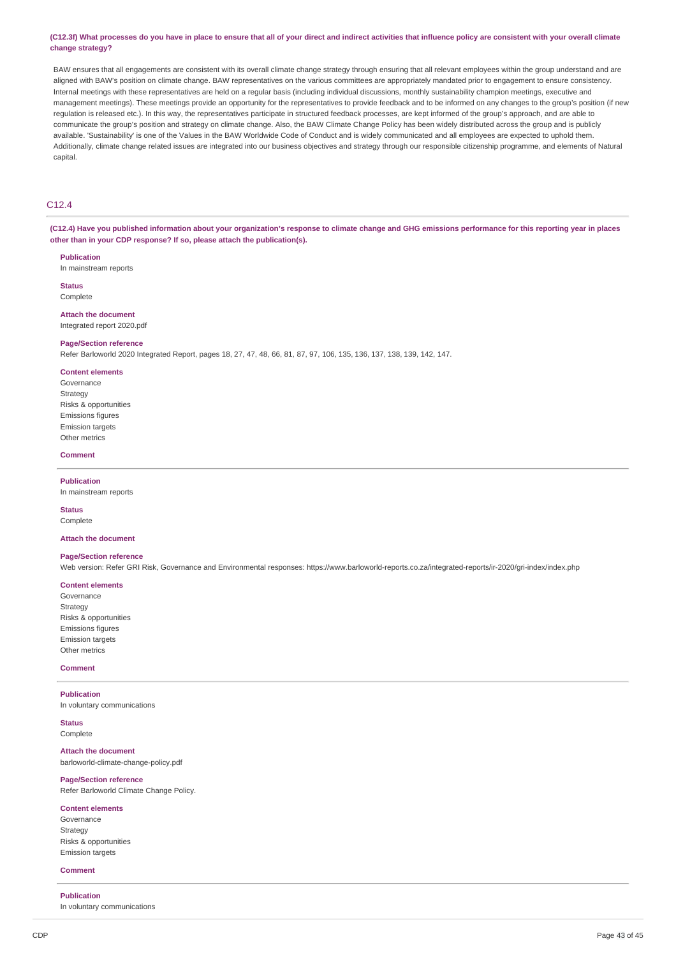#### (C12.3f) What processes do you have in place to ensure that all of your direct and indirect activities that influence policy are consistent with your overall climate **change strategy?**

BAW ensures that all engagements are consistent with its overall climate change strategy through ensuring that all relevant employees within the group understand and are aligned with BAW's position on climate change. BAW representatives on the various committees are appropriately mandated prior to engagement to ensure consistency. Internal meetings with these representatives are held on a regular basis (including individual discussions, monthly sustainability champion meetings, executive and management meetings). These meetings provide an opportunity for the representatives to provide feedback and to be informed on any changes to the group's position (if new regulation is released etc.). In this way, the representatives participate in structured feedback processes, are kept informed of the group's approach, and are able to communicate the group's position and strategy on climate change. Also, the BAW Climate Change Policy has been widely distributed across the group and is publicly available. 'Sustainability' is one of the Values in the BAW Worldwide Code of Conduct and is widely communicated and all employees are expected to uphold them. Additionally, climate change related issues are integrated into our business objectives and strategy through our responsible citizenship programme, and elements of Natural capital.

# C12.4

(C12.4) Have you published information about your organization's response to climate change and GHG emissions performance for this reporting year in places **other than in your CDP response? If so, please attach the publication(s).**

**Publication** In mainstream reports

**Status** Complete

**Attach the document** Integrated report 2020.pdf

#### **Page/Section reference**

Refer Barloworld 2020 Integrated Report, pages 18, 27, 47, 48, 66, 81, 87, 97, 106, 135, 136, 137, 138, 139, 142, 147.

#### **Content elements**

Governance Strategy Risks & opportunities Emissions figures Emission targets Other metrics

#### **Comment**

**Publication** In mainstream reports

**Status Complete** 

### **Attach the document**

#### **Page/Section reference**

Web version: Refer GRI Risk, Governance and Environmental responses: https://www.barloworld-reports.co.za/integrated-reports/ir-2020/gri-index/index.php

### **Content elements**

Governance Strategy Risks & opportunities Emissions figures Emission targets Other metrics

#### **Comment**

**Publication** In voluntary communications

**Status** Complete

#### **Attach the document**

barloworld-climate-change-policy.pdf

#### **Page/Section reference**

Refer Barloworld Climate Change Policy.

### **Content elements**

Governance **Strategy** Risks & opportunities Emission targets

#### **Comment**

#### **Publication**

In voluntary communications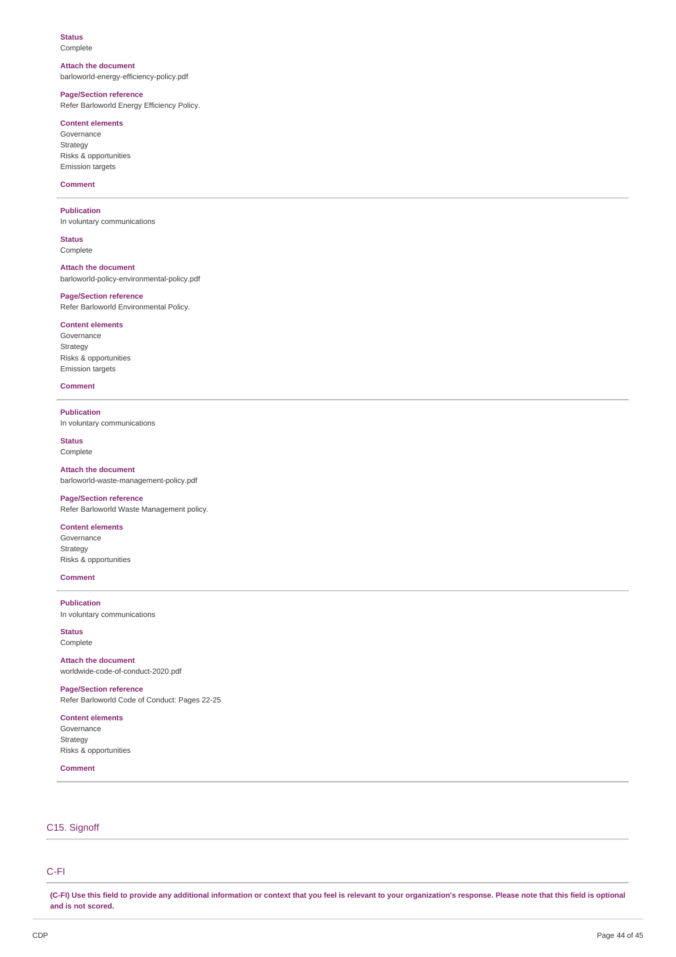# **Status**

Complete

#### **Attach the document**

barloworld-energy-efficiency-policy.pdf

# **Page/Section reference**

Refer Barloworld Energy Efficiency Policy.

# **Content elements**

Governance Strategy Risks & opportunities Emission targets

### **Comment**

### **Publication**

In voluntary communications

**Status** Complete

**Attach the document** barloworld-policy-environmental-policy.pdf

### **Page/Section reference**

Refer Barloworld Environmental Policy.

### **Content elements**

Governance Strategy Risks & opportunities Emission targets

#### **Comment**

#### **Publication**

In voluntary communications

**Status** Complete

**Attach the document** barloworld-waste-management-policy.pdf

### **Page/Section reference**

Refer Barloworld Waste Management policy.

# **Content elements**

Governance Strategy Risks & opportunities

# **Comment**

**Publication** In voluntary communications

**Status** Complete

**Attach the document** worldwide-code-of-conduct-2020.pdf

**Page/Section reference** Refer Barloworld Code of Conduct: Pages 22-25

**Content elements** Governance Strategy Risks & opportunities

**Comment**

# C15. Signoff

# C-FI

(C-FI) Use this field to provide any additional information or context that you feel is relevant to your organization's response. Please note that this field is optional **and is not scored.**